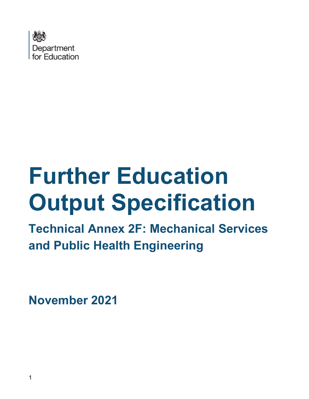

# **Further Education Output Specification**

**Technical Annex 2F: Mechanical Services and Public Health Engineering**

**November 2021**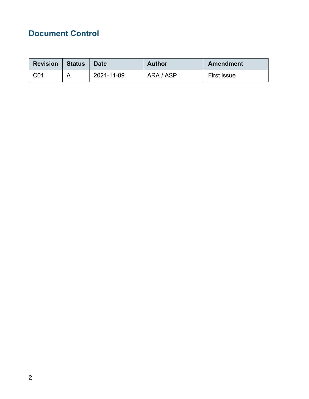# <span id="page-1-0"></span>**Document Control**

| <b>Revision</b> | <b>Status</b> | <b>Date</b> | <b>Author</b> | Amendment   |
|-----------------|---------------|-------------|---------------|-------------|
| C01             |               | 2021-11-09  | ARA / ASP     | First issue |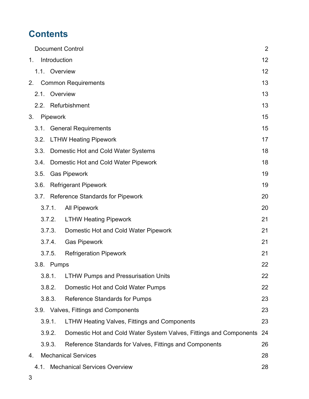# **Contents**

|    |                                                   |        |               | <b>Document Control</b>                                            | $\overline{2}$ |
|----|---------------------------------------------------|--------|---------------|--------------------------------------------------------------------|----------------|
| 1. |                                                   |        | Introduction  |                                                                    | 12             |
|    |                                                   |        | 1.1. Overview |                                                                    | 12             |
|    | 2.                                                |        |               | <b>Common Requirements</b>                                         | 13             |
|    |                                                   | 2.1.   | Overview      |                                                                    | 13             |
|    |                                                   |        |               | 2.2. Refurbishment                                                 | 13             |
| 3. |                                                   |        | Pipework      |                                                                    | 15             |
|    |                                                   |        |               | 3.1. General Requirements                                          | 15             |
|    |                                                   | 3.2.   |               | <b>LTHW Heating Pipework</b>                                       | 17             |
|    |                                                   | 3.3.   |               | Domestic Hot and Cold Water Systems                                | 18             |
|    |                                                   | 3.4.   |               | Domestic Hot and Cold Water Pipework                               | 18             |
|    |                                                   | 3.5.   |               | <b>Gas Pipework</b>                                                | 19             |
|    |                                                   | 3.6.   |               | <b>Refrigerant Pipework</b>                                        | 19             |
|    |                                                   |        |               | 3.7. Reference Standards for Pipework                              | 20             |
|    |                                                   |        | 3.7.1.        | <b>All Pipework</b>                                                | 20             |
|    |                                                   |        | 3.7.2.        | <b>LTHW Heating Pipework</b>                                       | 21             |
|    |                                                   |        | 3.7.3.        | Domestic Hot and Cold Water Pipework                               | 21             |
|    |                                                   |        | 3.7.4.        | <b>Gas Pipework</b>                                                | 21             |
|    |                                                   |        | 3.7.5.        | <b>Refrigeration Pipework</b>                                      | 21             |
|    |                                                   |        | 3.8. Pumps    |                                                                    | 22             |
|    |                                                   |        | 3.8.1.        | <b>LTHW Pumps and Pressurisation Units</b>                         | 22             |
|    |                                                   |        | 3.8.2.        | Domestic Hot and Cold Water Pumps                                  | 22             |
|    |                                                   |        | 3.8.3.        | <b>Reference Standards for Pumps</b>                               | 23             |
|    |                                                   |        |               | 3.9. Valves, Fittings and Components                               | 23             |
|    |                                                   | 3.9.1. |               | <b>LTHW Heating Valves, Fittings and Components</b>                | 23             |
|    |                                                   |        | 3.9.2.        | Domestic Hot and Cold Water System Valves, Fittings and Components | 24             |
|    |                                                   |        | 3.9.3.        | Reference Standards for Valves, Fittings and Components            | 26             |
| 4. |                                                   |        |               | <b>Mechanical Services</b>                                         | 28             |
|    | <b>Mechanical Services Overview</b><br>28<br>4.1. |        |               |                                                                    |                |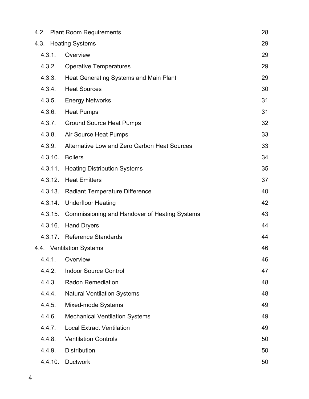|         | 4.2. Plant Room Requirements                         | 28 |
|---------|------------------------------------------------------|----|
|         | 4.3. Heating Systems                                 | 29 |
| 4.3.1.  | Overview                                             | 29 |
| 4.3.2.  | <b>Operative Temperatures</b>                        | 29 |
| 4.3.3.  | Heat Generating Systems and Main Plant               | 29 |
| 4.3.4.  | <b>Heat Sources</b>                                  | 30 |
| 4.3.5.  | <b>Energy Networks</b>                               | 31 |
| 4.3.6.  | <b>Heat Pumps</b>                                    | 31 |
| 4.3.7.  | <b>Ground Source Heat Pumps</b>                      | 32 |
| 4.3.8.  | Air Source Heat Pumps                                | 33 |
| 4.3.9.  | Alternative Low and Zero Carbon Heat Sources         | 33 |
| 4.3.10. | <b>Boilers</b>                                       | 34 |
| 4.3.11. | <b>Heating Distribution Systems</b>                  | 35 |
| 4.3.12. | <b>Heat Emitters</b>                                 | 37 |
| 4.3.13. | <b>Radiant Temperature Difference</b>                | 40 |
|         | 4.3.14. Underfloor Heating                           | 42 |
| 4.3.15. | <b>Commissioning and Handover of Heating Systems</b> | 43 |
| 4.3.16. | <b>Hand Dryers</b>                                   | 44 |
|         | 4.3.17. Reference Standards                          | 44 |
|         | 4.4. Ventilation Systems                             | 46 |
| 4.4.1.  | Overview                                             | 46 |
| 4.4.2.  | <b>Indoor Source Control</b>                         | 47 |
| 4.4.3.  | <b>Radon Remediation</b>                             | 48 |
| 4.4.4.  | <b>Natural Ventilation Systems</b>                   | 48 |
| 4.4.5.  | Mixed-mode Systems                                   | 49 |
| 4.4.6.  | <b>Mechanical Ventilation Systems</b>                | 49 |
| 4.4.7.  | <b>Local Extract Ventilation</b>                     | 49 |
| 4.4.8.  | <b>Ventilation Controls</b>                          | 50 |
| 4.4.9.  | <b>Distribution</b>                                  | 50 |
| 4.4.10. | <b>Ductwork</b>                                      | 50 |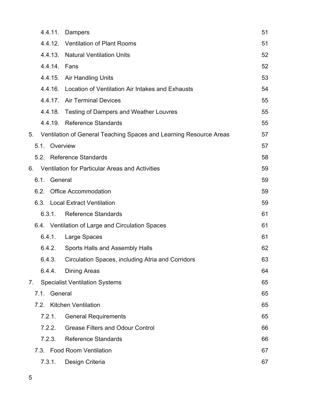|    | 4.4.11.         | Dampers                                                            | 51 |
|----|-----------------|--------------------------------------------------------------------|----|
|    |                 | 4.4.12. Ventilation of Plant Rooms                                 | 51 |
|    |                 | 4.4.13. Natural Ventilation Units                                  | 52 |
|    | 4.4.14. Fans    |                                                                    | 52 |
|    |                 | 4.4.15. Air Handling Units                                         | 53 |
|    | 4.4.16.         | Location of Ventilation Air Intakes and Exhausts                   | 54 |
|    |                 | 4.4.17. Air Terminal Devices                                       | 55 |
|    | 4.4.18.         | <b>Testing of Dampers and Weather Louvres</b>                      | 55 |
|    |                 | 4.4.19. Reference Standards                                        | 55 |
| 5. |                 | Ventilation of General Teaching Spaces and Learning Resource Areas | 57 |
|    | 5.1. Overview   |                                                                    | 57 |
|    |                 | 5.2. Reference Standards                                           | 58 |
| 6. |                 | <b>Ventilation for Particular Areas and Activities</b>             | 59 |
|    | General<br>6.1. |                                                                    | 59 |
|    | 6.2.            | <b>Office Accommodation</b>                                        | 59 |
|    |                 | 6.3. Local Extract Ventilation                                     | 59 |
|    | 6.3.1.          | <b>Reference Standards</b>                                         | 61 |
|    |                 | 6.4. Ventilation of Large and Circulation Spaces                   | 61 |
|    | 6.4.1.          | Large Spaces                                                       | 61 |
|    | 6.4.2.          | <b>Sports Halls and Assembly Halls</b>                             | 62 |
|    | 6.4.3.          | Circulation Spaces, including Atria and Corridors                  | 63 |
|    | 6.4.4.          | <b>Dining Areas</b>                                                | 64 |
| 7. |                 | <b>Specialist Ventilation Systems</b>                              | 65 |
|    | General<br>7.1. |                                                                    | 65 |
|    |                 | 7.2. Kitchen Ventilation                                           | 65 |
|    | 7.2.1.          | <b>General Requirements</b>                                        | 65 |
|    | 7.2.2.          | <b>Grease Filters and Odour Control</b>                            | 66 |
|    | 7.2.3.          | <b>Reference Standards</b>                                         | 66 |
|    |                 | 7.3. Food Room Ventilation                                         | 67 |
|    | 7.3.1.          | Design Criteria                                                    | 67 |
|    |                 |                                                                    |    |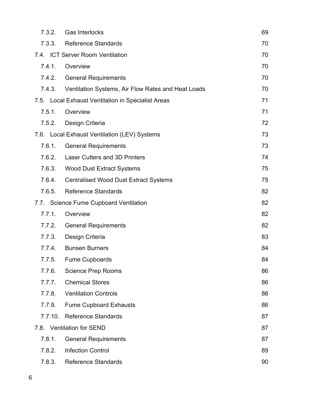| 7.3.2.  | <b>Gas Interlocks</b>                              | 69 |
|---------|----------------------------------------------------|----|
| 7.3.3.  | <b>Reference Standards</b>                         | 70 |
|         | 7.4. ICT Server Room Ventilation                   | 70 |
| 7.4.1.  | Overview                                           | 70 |
| 7.4.2.  | <b>General Requirements</b>                        | 70 |
| 7.4.3.  | Ventilation Systems, Air Flow Rates and Heat Loads | 70 |
|         | 7.5. Local Exhaust Ventilation in Specialist Areas | 71 |
| 7.5.1.  | Overview                                           | 71 |
| 7.5.2.  | Design Criteria                                    | 72 |
|         | 7.6. Local Exhaust Ventilation (LEV) Systems       | 73 |
| 7.6.1.  | <b>General Requirements</b>                        | 73 |
| 7.6.2.  | <b>Laser Cutters and 3D Printers</b>               | 74 |
| 7.6.3.  | <b>Wood Dust Extract Systems</b>                   | 75 |
| 7.6.4.  | <b>Centralised Wood Dust Extract Systems</b>       | 75 |
| 7.6.5.  | <b>Reference Standards</b>                         | 82 |
|         | 7.7. Science Fume Cupboard Ventilation             | 82 |
| 7.7.1.  | Overview                                           | 82 |
| 7.7.2.  | <b>General Requirements</b>                        | 82 |
| 7.7.3.  | Design Criteria                                    | 83 |
| 7.7.4.  | <b>Bunsen Burners</b>                              | 84 |
| 7.7.5.  | <b>Fume Cupboards</b>                              | 84 |
| 7.7.6.  | <b>Science Prep Rooms</b>                          | 86 |
| 7.7.7.  | <b>Chemical Stores</b>                             | 86 |
| 7.7.8.  | <b>Ventilation Controls</b>                        | 86 |
| 7.7.9.  | <b>Fume Cupboard Exhausts</b>                      | 86 |
| 7.7.10. | <b>Reference Standards</b>                         | 87 |
|         | 7.8. Ventilation for SEND                          | 87 |
| 7.8.1.  | <b>General Requirements</b>                        | 87 |
| 7.8.2.  | <b>Infection Control</b>                           | 89 |
| 7.8.3.  | <b>Reference Standards</b>                         | 90 |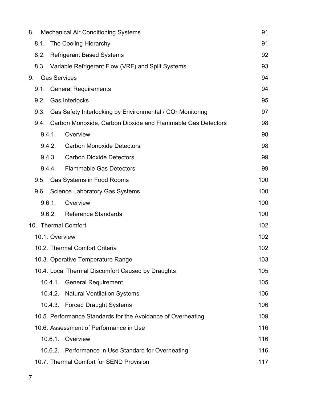| 8.                                |                                          | <b>Mechanical Air Conditioning Systems</b>             |                                                                       |     |  |
|-----------------------------------|------------------------------------------|--------------------------------------------------------|-----------------------------------------------------------------------|-----|--|
|                                   | 8.1.                                     | The Cooling Hierarchy                                  |                                                                       |     |  |
|                                   | 8.2.                                     | <b>Refrigerant Based Systems</b>                       |                                                                       |     |  |
|                                   |                                          | 8.3. Variable Refrigerant Flow (VRF) and Split Systems |                                                                       |     |  |
| 9.                                |                                          | <b>Gas Services</b>                                    |                                                                       | 94  |  |
|                                   | 9.1.                                     |                                                        | <b>General Requirements</b>                                           | 94  |  |
|                                   | 9.2.                                     |                                                        | <b>Gas Interlocks</b>                                                 | 95  |  |
|                                   | 9.3.                                     |                                                        | Gas Safety Interlocking by Environmental / CO <sub>2</sub> Monitoring | 97  |  |
|                                   |                                          |                                                        | 9.4. Carbon Monoxide, Carbon Dioxide and Flammable Gas Detectors      | 98  |  |
|                                   |                                          | 9.4.1.                                                 | Overview                                                              | 98  |  |
|                                   |                                          | 9.4.2.                                                 | <b>Carbon Monoxide Detectors</b>                                      | 98  |  |
|                                   |                                          | 9.4.3.                                                 | <b>Carbon Dioxide Detectors</b>                                       | 99  |  |
|                                   |                                          | 9.4.4.                                                 | <b>Flammable Gas Detectors</b>                                        | 99  |  |
|                                   | 9.5.                                     |                                                        | Gas Systems in Food Rooms                                             | 100 |  |
|                                   |                                          |                                                        | 9.6. Science Laboratory Gas Systems                                   | 100 |  |
|                                   |                                          | 9.6.1.                                                 | Overview                                                              | 100 |  |
| 9.6.2.                            |                                          |                                                        | <b>Reference Standards</b>                                            | 100 |  |
| 10. Thermal Comfort               |                                          | 102                                                    |                                                                       |     |  |
| 10.1. Overview                    |                                          | 102                                                    |                                                                       |     |  |
| 10.2. Thermal Comfort Criteria    |                                          | 102                                                    |                                                                       |     |  |
| 10.3. Operative Temperature Range |                                          | 103                                                    |                                                                       |     |  |
|                                   |                                          |                                                        | 10.4. Local Thermal Discomfort Caused by Draughts                     | 105 |  |
|                                   |                                          |                                                        | 10.4.1. General Requirement                                           | 105 |  |
|                                   |                                          | 10.4.2.                                                | <b>Natural Ventilation Systems</b>                                    | 106 |  |
|                                   |                                          |                                                        | 10.4.3. Forced Draught Systems                                        | 106 |  |
|                                   |                                          |                                                        | 10.5. Performance Standards for the Avoidance of Overheating          | 109 |  |
|                                   |                                          |                                                        | 10.6. Assessment of Performance in Use                                | 116 |  |
|                                   |                                          | 10.6.1.                                                | Overview                                                              | 116 |  |
|                                   |                                          |                                                        | 10.6.2. Performance in Use Standard for Overheating                   | 116 |  |
|                                   | 10.7. Thermal Comfort for SEND Provision |                                                        |                                                                       | 117 |  |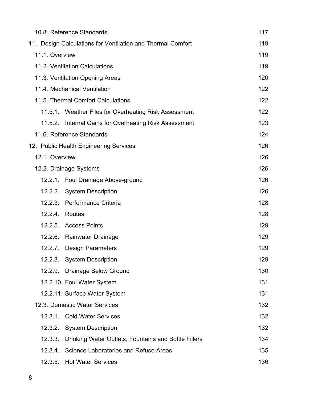| 10.8. Reference Standards                                       |     |  |
|-----------------------------------------------------------------|-----|--|
| 11. Design Calculations for Ventilation and Thermal Comfort     |     |  |
| 11.1. Overview                                                  |     |  |
| 11.2. Ventilation Calculations                                  |     |  |
| 11.3. Ventilation Opening Areas                                 | 120 |  |
| 11.4. Mechanical Ventilation                                    | 122 |  |
| 11.5. Thermal Comfort Calculations                              | 122 |  |
| Weather Files for Overheating Risk Assessment<br>11.5.1.        | 122 |  |
| 11.5.2.<br>Internal Gains for Overheating Risk Assessment       | 123 |  |
| 11.6. Reference Standards                                       | 124 |  |
| 12. Public Health Engineering Services                          | 126 |  |
| 12.1. Overview                                                  | 126 |  |
| 12.2. Drainage Systems                                          | 126 |  |
| 12.2.1. Foul Drainage Above-ground                              | 126 |  |
| 12.2.2. System Description                                      | 126 |  |
| 12.2.3. Performance Criteria                                    | 128 |  |
| 12.2.4. Routes                                                  | 128 |  |
| 12.2.5. Access Points                                           | 129 |  |
| 12.2.6. Rainwater Drainage                                      | 129 |  |
| 12.2.7.<br>Design Parameters                                    | 129 |  |
| <b>System Description</b><br>12.2.8.                            | 129 |  |
| 12.2.9.<br><b>Drainage Below Ground</b>                         | 130 |  |
| 12.2.10. Foul Water System                                      | 131 |  |
| 12.2.11. Surface Water System                                   | 131 |  |
| 12.3. Domestic Water Services                                   | 132 |  |
| <b>Cold Water Services</b><br>12.3.1.                           | 132 |  |
| 12.3.2.<br><b>System Description</b>                            | 132 |  |
| 12.3.3.<br>Drinking Water Outlets, Fountains and Bottle Fillers | 134 |  |
| 12.3.4.<br>Science Laboratories and Refuse Areas                | 135 |  |
| 12.3.5.<br><b>Hot Water Services</b>                            | 136 |  |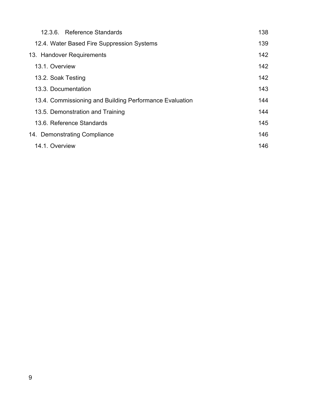| 12.3.6. Reference Standards                             | 138 |  |
|---------------------------------------------------------|-----|--|
| 12.4. Water Based Fire Suppression Systems              | 139 |  |
| 13. Handover Requirements                               |     |  |
| 13.1. Overview                                          | 142 |  |
| 13.2. Soak Testing                                      | 142 |  |
| 13.3. Documentation                                     | 143 |  |
| 13.4. Commissioning and Building Performance Evaluation | 144 |  |
| 13.5. Demonstration and Training                        | 144 |  |
| 13.6. Reference Standards                               | 145 |  |
| 14. Demonstrating Compliance                            | 146 |  |
| 14.1. Overview                                          | 146 |  |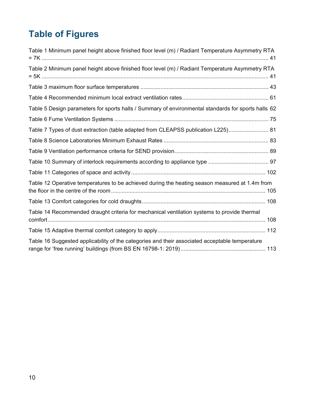# **Table of Figures**

| Table 1 Minimum panel height above finished floor level (m) / Radiant Temperature Asymmetry RTA     |  |
|-----------------------------------------------------------------------------------------------------|--|
| Table 2 Minimum panel height above finished floor level (m) / Radiant Temperature Asymmetry RTA     |  |
|                                                                                                     |  |
|                                                                                                     |  |
| Table 5 Design parameters for sports halls / Summary of environmental standards for sports halls 62 |  |
|                                                                                                     |  |
| Table 7 Types of dust extraction (table adapted from CLEAPSS publication L225) 81                   |  |
|                                                                                                     |  |
|                                                                                                     |  |
|                                                                                                     |  |
|                                                                                                     |  |
| Table 12 Operative temperatures to be achieved during the heating season measured at 1.4m from      |  |
|                                                                                                     |  |
| Table 14 Recommended draught criteria for mechanical ventilation systems to provide thermal         |  |
|                                                                                                     |  |
| Table 16 Suggested applicability of the categories and their associated acceptable temperature      |  |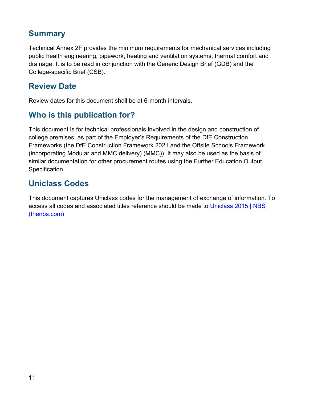## **Summary**

Technical Annex 2F provides the minimum requirements for mechanical services including public health engineering, pipework, heating and ventilation systems, thermal comfort and drainage. It is to be read in conjunction with the Generic Design Brief (GDB) and the College-specific Brief (CSB).

## **Review Date**

Review dates for this document shall be at 6-month intervals.

## **Who is this publication for?**

This document is for technical professionals involved in the design and construction of college premises, as part of the Employer's Requirements of the DfE Construction Frameworks (the DfE Construction Framework 2021 and the Offsite Schools Framework (incorporating Modular and MMC delivery) (MMC)). It may also be used as the basis of similar documentation for other procurement routes using the Further Education Output Specification.

## **Uniclass Codes**

This document captures Uniclass codes for the management of exchange of information. To access all codes and associated titles reference should be made to [Uniclass 2015 | NBS](https://www.thenbs.com/our-tools/uniclass-2015)  [\(thenbs.com\)](https://www.thenbs.com/our-tools/uniclass-2015)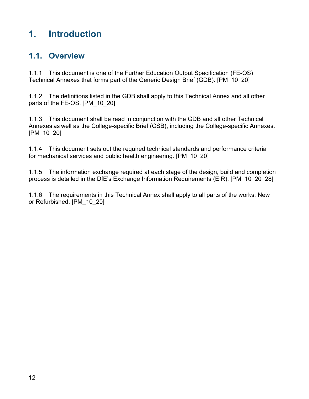# <span id="page-11-0"></span>**1. Introduction**

## <span id="page-11-1"></span>**1.1. Overview**

1.1.1 This document is one of the Further Education Output Specification (FE-OS) Technical Annexes that forms part of the Generic Design Brief (GDB). [PM\_10\_20]

1.1.2 The definitions listed in the GDB shall apply to this Technical Annex and all other parts of the FE-OS. [PM\_10\_20]

1.1.3 This document shall be read in conjunction with the GDB and all other Technical Annexes as well as the College-specific Brief (CSB), including the College-specific Annexes. [PM\_10\_20]

1.1.4 This document sets out the required technical standards and performance criteria for mechanical services and public health engineering. [PM\_10\_20]

1.1.5 The information exchange required at each stage of the design, build and completion process is detailed in the DfE's Exchange Information Requirements (EIR). [PM\_10\_20\_28]

1.1.6 The requirements in this Technical Annex shall apply to all parts of the works; New or Refurbished. [PM\_10\_20]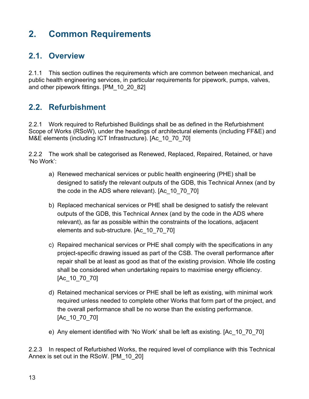# <span id="page-12-0"></span>**2. Common Requirements**

## <span id="page-12-1"></span>**2.1. Overview**

2.1.1 This section outlines the requirements which are common between mechanical, and public health engineering services, in particular requirements for pipework, pumps, valves, and other pipework fittings. [PM\_10\_20\_82]

## <span id="page-12-2"></span>**2.2. Refurbishment**

2.2.1 Work required to Refurbished Buildings shall be as defined in the Refurbishment Scope of Works (RSoW), under the headings of architectural elements (including FF&E) and M&E elements (including ICT Infrastructure). [Ac\_10\_70\_70]

2.2.2 The work shall be categorised as Renewed, Replaced, Repaired, Retained, or have 'No Work':

- a) Renewed mechanical services or public health engineering (PHE) shall be designed to satisfy the relevant outputs of the GDB, this Technical Annex (and by the code in the ADS where relevant). [Ac\_10\_70\_70]
- b) Replaced mechanical services or PHE shall be designed to satisfy the relevant outputs of the GDB, this Technical Annex (and by the code in the ADS where relevant), as far as possible within the constraints of the locations, adjacent elements and sub-structure. [Ac\_10\_70\_70]
- c) Repaired mechanical services or PHE shall comply with the specifications in any project-specific drawing issued as part of the CSB. The overall performance after repair shall be at least as good as that of the existing provision. Whole life costing shall be considered when undertaking repairs to maximise energy efficiency. [Ac\_10\_70\_70]
- d) Retained mechanical services or PHE shall be left as existing, with minimal work required unless needed to complete other Works that form part of the project, and the overall performance shall be no worse than the existing performance. [Ac\_10\_70\_70]
- e) Any element identified with 'No Work' shall be left as existing. [Ac\_10\_70\_70]

2.2.3 In respect of Refurbished Works, the required level of compliance with this Technical Annex is set out in the RSoW. [PM\_10\_20]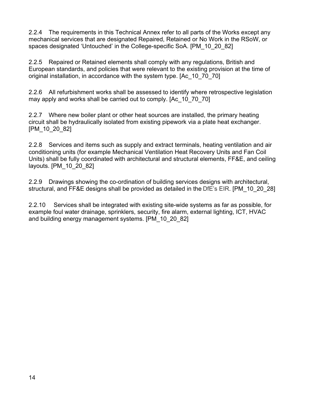2.2.4 The requirements in this Technical Annex refer to all parts of the Works except any mechanical services that are designated Repaired, Retained or No Work in the RSoW, or spaces designated 'Untouched' in the College-specific SoA. [PM\_10\_20\_82]

2.2.5 Repaired or Retained elements shall comply with any regulations, British and European standards, and policies that were relevant to the existing provision at the time of original installation, in accordance with the system type. [Ac\_10\_70\_70]

2.2.6 All refurbishment works shall be assessed to identify where retrospective legislation may apply and works shall be carried out to comply. [Ac\_10\_70\_70]

2.2.7 Where new boiler plant or other heat sources are installed, the primary heating circuit shall be hydraulically isolated from existing pipework via a plate heat exchanger. [PM\_10\_20\_82]

2.2.8 Services and items such as supply and extract terminals, heating ventilation and air conditioning units (for example Mechanical Ventilation Heat Recovery Units and Fan Coil Units) shall be fully coordinated with architectural and structural elements, FF&E, and ceiling layouts. [PM\_10\_20\_82]

2.2.9 Drawings showing the co-ordination of building services designs with architectural, structural, and FF&E designs shall be provided as detailed in the DfE's EIR. [PM\_10\_20\_28]

2.2.10 Services shall be integrated with existing site-wide systems as far as possible, for example foul water drainage, sprinklers, security, fire alarm, external lighting, ICT, HVAC and building energy management systems. [PM\_10\_20\_82]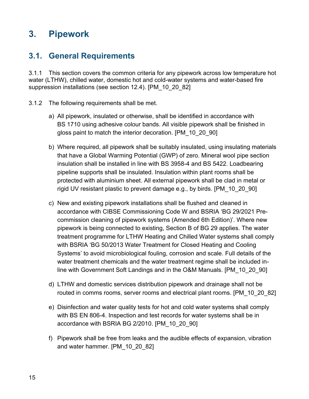# <span id="page-14-0"></span>**3. Pipework**

## <span id="page-14-1"></span>**3.1. General Requirements**

3.1.1 This section covers the common criteria for any pipework across low temperature hot water (LTHW), chilled water, domestic hot and cold-water systems and water-based fire suppression installations (see section 12.4). [PM\_10\_20\_82]

- 3.1.2 The following requirements shall be met.
	- a) All pipework, insulated or otherwise, shall be identified in accordance with BS 1710 using adhesive colour bands. All visible pipework shall be finished in gloss paint to match the interior decoration. [PM\_10\_20\_90]
	- b) Where required, all pipework shall be suitably insulated, using insulating materials that have a Global Warming Potential (GWP) of zero. Mineral wool pipe section insulation shall be installed in line with BS 3958-4 and BS 5422. Loadbearing pipeline supports shall be insulated. Insulation within plant rooms shall be protected with aluminium sheet. All external pipework shall be clad in metal or rigid UV resistant plastic to prevent damage e.g., by birds. [PM\_10\_20\_90]
	- c) New and existing pipework installations shall be flushed and cleaned in accordance with CIBSE Commissioning Code W and BSRIA 'BG 29/2021 Precommission cleaning of pipework systems (Amended 6th Edition)'. Where new pipework is being connected to existing, Section B of BG 29 applies. The water treatment programme for LTHW Heating and Chilled Water systems shall comply with BSRIA 'BG 50/2013 Water Treatment for Closed Heating and Cooling Systems' to avoid microbiological fouling, corrosion and scale. Full details of the water treatment chemicals and the water treatment regime shall be included inline with Government Soft Landings and in the O&M Manuals. [PM\_10\_20\_90]
	- d) LTHW and domestic services distribution pipework and drainage shall not be routed in comms rooms, server rooms and electrical plant rooms. [PM\_10\_20\_82]
	- e) Disinfection and water quality tests for hot and cold water systems shall comply with BS EN 806-4. Inspection and test records for water systems shall be in accordance with BSRIA BG 2/2010. [PM\_10\_20\_90]
	- f) Pipework shall be free from leaks and the audible effects of expansion, vibration and water hammer. [PM\_10\_20\_82]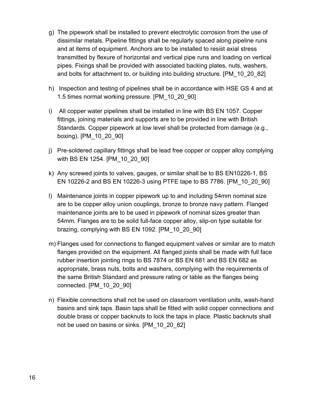- g) The pipework shall be installed to prevent electrolytic corrosion from the use of dissimilar metals. Pipeline fittings shall be regularly spaced along pipeline runs and at items of equipment. Anchors are to be installed to resist axial stress transmitted by flexure of horizontal and vertical pipe runs and loading on vertical pipes. Fixings shall be provided with associated backing plates, nuts, washers, and bolts for attachment to, or building into building structure. [PM\_10\_20\_82]
- h) Inspection and testing of pipelines shall be in accordance with HSE GS 4 and at 1.5 times normal working pressure. [PM\_10\_20\_90]
- i) All copper water pipelines shall be installed in line with BS EN 1057. Copper fittings, joining materials and supports are to be provided in line with British Standards. Copper pipework at low level shall be protected from damage (e.g., boxing). [PM\_10\_20\_90]
- j) Pre-soldered capillary fittings shall be lead free copper or copper alloy complying with BS EN 1254. [PM\_10\_20\_90]
- k) Any screwed joints to valves, gauges, or similar shall be to BS EN10226-1, BS EN 10226-2 and BS EN 10226-3 using PTFE tape to BS 7786. [PM\_10\_20\_90]
- l) Maintenance joints in copper pipework up to and including 54mm nominal size are to be copper alloy union couplings, bronze to bronze navy pattern. Flanged maintenance joints are to be used in pipework of nominal sizes greater than 54mm. Flanges are to be solid full-face copper alloy, slip-on type suitable for brazing, complying with BS EN 1092. [PM\_10\_20\_90]
- m) Flanges used for connections to flanged equipment valves or similar are to match flanges provided on the equipment. All flanged joints shall be made with full face rubber insertion jointing rings to BS 7874 or BS EN 681 and BS EN 682 as appropriate, brass nuts, bolts and washers, complying with the requirements of the same British Standard and pressure rating or table as the flanges being connected. [PM\_10\_20\_90]
- n) Flexible connections shall not be used on classroom ventilation units, wash-hand basins and sink taps. Basin taps shall be fitted with solid copper connections and double brass or copper backnuts to lock the taps in place. Plastic backnuts shall not be used on basins or sinks. [PM\_10\_20\_82]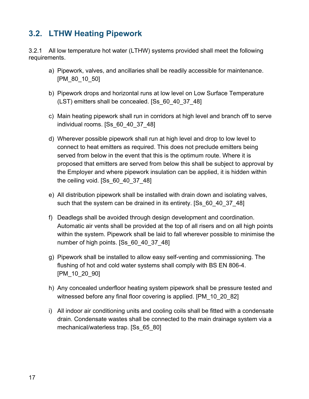## <span id="page-16-0"></span>**3.2. LTHW Heating Pipework**

3.2.1 All low temperature hot water (LTHW) systems provided shall meet the following requirements.

- a) Pipework, valves, and ancillaries shall be readily accessible for maintenance. [PM\_80\_10\_50]
- b) Pipework drops and horizontal runs at low level on Low Surface Temperature (LST) emitters shall be concealed. [Ss\_60\_40\_37\_48]
- c) Main heating pipework shall run in corridors at high level and branch off to serve individual rooms. [Ss\_60\_40\_37\_48]
- d) Wherever possible pipework shall run at high level and drop to low level to connect to heat emitters as required. This does not preclude emitters being served from below in the event that this is the optimum route. Where it is proposed that emitters are served from below this shall be subject to approval by the Employer and where pipework insulation can be applied, it is hidden within the ceiling void. [Ss 60 40 37 48]
- e) All distribution pipework shall be installed with drain down and isolating valves, such that the system can be drained in its entirety. [Ss\_60\_40\_37\_48]
- f) Deadlegs shall be avoided through design development and coordination. Automatic air vents shall be provided at the top of all risers and on all high points within the system. Pipework shall be laid to fall wherever possible to minimise the number of high points. [Ss\_60\_40\_37\_48]
- g) Pipework shall be installed to allow easy self-venting and commissioning. The flushing of hot and cold water systems shall comply with BS EN 806-4. [PM\_10\_20\_90]
- h) Any concealed underfloor heating system pipework shall be pressure tested and witnessed before any final floor covering is applied. [PM\_10\_20\_82]
- i) All indoor air conditioning units and cooling coils shall be fitted with a condensate drain. Condensate wastes shall be connected to the main drainage system via a mechanical/waterless trap. [Ss\_65\_80]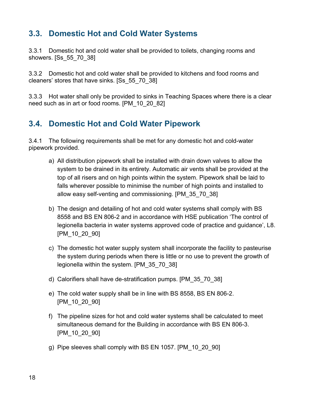## <span id="page-17-0"></span>**3.3. Domestic Hot and Cold Water Systems**

3.3.1 Domestic hot and cold water shall be provided to toilets, changing rooms and showers. [Ss\_55\_70\_38]

3.3.2 Domestic hot and cold water shall be provided to kitchens and food rooms and cleaners' stores that have sinks. [Ss\_55\_70\_38]

3.3.3 Hot water shall only be provided to sinks in Teaching Spaces where there is a clear need such as in art or food rooms. [PM\_10\_20\_82]

## <span id="page-17-1"></span>**3.4. Domestic Hot and Cold Water Pipework**

3.4.1 The following requirements shall be met for any domestic hot and cold-water pipework provided.

- a) All distribution pipework shall be installed with drain down valves to allow the system to be drained in its entirety. Automatic air vents shall be provided at the top of all risers and on high points within the system. Pipework shall be laid to falls wherever possible to minimise the number of high points and installed to allow easy self-venting and commissioning. [PM\_35\_70\_38]
- b) The design and detailing of hot and cold water systems shall comply with BS 8558 and BS EN 806-2 and in accordance with HSE publication 'The control of legionella bacteria in water systems approved code of practice and guidance', L8. [PM\_10\_20\_90]
- c) The domestic hot water supply system shall incorporate the facility to pasteurise the system during periods when there is little or no use to prevent the growth of legionella within the system. [PM\_35\_70\_38]
- d) Calorifiers shall have de-stratification pumps. [PM\_35\_70\_38]
- e) The cold water supply shall be in line with BS 8558, BS EN 806-2. [PM\_10\_20\_90]
- f) The pipeline sizes for hot and cold water systems shall be calculated to meet simultaneous demand for the Building in accordance with BS EN 806-3. [PM\_10\_20\_90]
- g) Pipe sleeves shall comply with BS EN 1057. [PM\_10\_20\_90]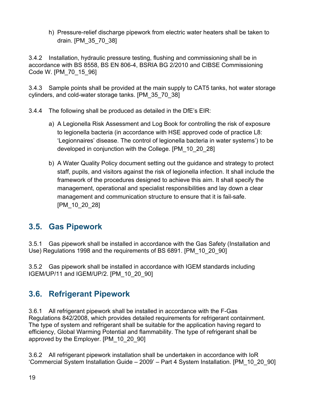h) Pressure-relief discharge pipework from electric water heaters shall be taken to drain. [PM\_35\_70\_38]

3.4.2 Installation, hydraulic pressure testing, flushing and commissioning shall be in accordance with BS 8558, BS EN 806-4, BSRIA BG 2/2010 and CIBSE Commissioning Code W. [PM\_70\_15\_96]

3.4.3 Sample points shall be provided at the main supply to CAT5 tanks, hot water storage cylinders, and cold-water storage tanks. [PM\_35\_70\_38]

- 3.4.4 The following shall be produced as detailed in the DfE's EIR:
	- a) A Legionella Risk Assessment and Log Book for controlling the risk of exposure to legionella bacteria (in accordance with HSE approved code of practice L8: 'Legionnaires' disease. The control of legionella bacteria in water systems') to be developed in conjunction with the College. [PM\_10\_20\_28]
	- b) A Water Quality Policy document setting out the guidance and strategy to protect staff, pupils, and visitors against the risk of legionella infection. It shall include the framework of the procedures designed to achieve this aim. It shall specify the management, operational and specialist responsibilities and lay down a clear management and communication structure to ensure that it is fail-safe. [PM\_10\_20\_28]

## <span id="page-18-0"></span>**3.5. Gas Pipework**

3.5.1 Gas pipework shall be installed in accordance with the Gas Safety (Installation and Use) Regulations 1998 and the requirements of BS 6891. [PM\_10\_20\_90]

3.5.2 Gas pipework shall be installed in accordance with IGEM standards including IGEM/UP/11 and IGEM/UP/2. [PM\_10\_20\_90]

## <span id="page-18-1"></span>**3.6. Refrigerant Pipework**

3.6.1 All refrigerant pipework shall be installed in accordance with the F-Gas Regulations 842/2008, which provides detailed requirements for refrigerant containment. The type of system and refrigerant shall be suitable for the application having regard to efficiency, Global Warming Potential and flammability. The type of refrigerant shall be approved by the Employer. [PM\_10\_20\_90]

3.6.2 All refrigerant pipework installation shall be undertaken in accordance with IoR 'Commercial System Installation Guide – 2009' – Part 4 System Installation. [PM\_10\_20\_90]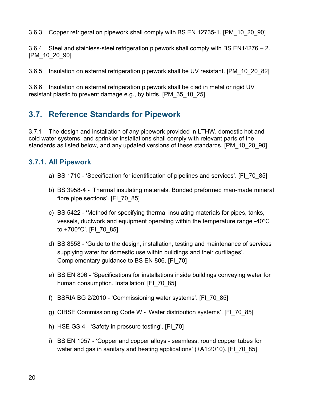3.6.3 Copper refrigeration pipework shall comply with BS EN 12735-1. [PM\_10\_20\_90]

3.6.4 Steel and stainless-steel refrigeration pipework shall comply with BS EN14276 – 2. [PM\_10\_20\_90]

3.6.5 Insulation on external refrigeration pipework shall be UV resistant. [PM\_10\_20\_82]

3.6.6 Insulation on external refrigeration pipework shall be clad in metal or rigid UV resistant plastic to prevent damage e.g., by birds. [PM\_35\_10\_25]

## <span id="page-19-0"></span>**3.7. Reference Standards for Pipework**

3.7.1 The design and installation of any pipework provided in LTHW, domestic hot and cold water systems, and sprinkler installations shall comply with relevant parts of the standards as listed below, and any updated versions of these standards. [PM\_10\_20\_90]

#### <span id="page-19-1"></span>**3.7.1. All Pipework**

- a) BS 1710 'Specification for identification of pipelines and services'. [FI\_70\_85]
- b) BS 3958-4 'Thermal insulating materials. Bonded preformed man-made mineral fibre pipe sections'. [FI\_70\_85]
- c) BS 5422 'Method for specifying thermal insulating materials for pipes, tanks, vessels, ductwork and equipment operating within the temperature range -40°C to  $+700^{\circ}$ C'. [FI\_70\_85]
- d) BS 8558 'Guide to the design, installation, testing and maintenance of services supplying water for domestic use within buildings and their curtilages'. Complementary guidance to BS EN 806. [FI\_70]
- e) BS EN 806 'Specifications for installations inside buildings conveying water for human consumption. Installation' IFI 70 851
- f) BSRIA BG 2/2010 'Commissioning water systems'. [FI\_70\_85]
- g) CIBSE Commissioning Code W 'Water distribution systems'. [FI\_70\_85]
- h) HSE GS 4 'Safety in pressure testing'. [FI\_70]
- i) BS EN 1057 'Copper and copper alloys seamless, round copper tubes for water and gas in sanitary and heating applications' (+A1:2010). [FI\_70\_85]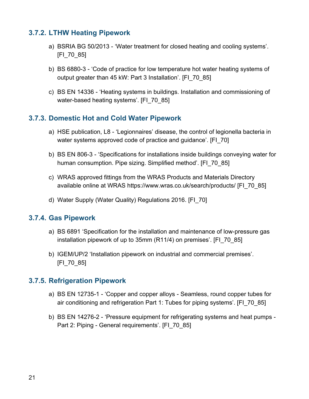#### <span id="page-20-0"></span>**3.7.2. LTHW Heating Pipework**

- a) BSRIA BG 50/2013 'Water treatment for closed heating and cooling systems'. [FI\_70\_85]
- b) BS 6880-3 'Code of practice for low temperature hot water heating systems of output greater than 45 kW: Part 3 Installation'. [FI\_70\_85]
- c) BS EN 14336 'Heating systems in buildings. Installation and commissioning of water-based heating systems'. [FI\_70\_85]

#### <span id="page-20-1"></span>**3.7.3. Domestic Hot and Cold Water Pipework**

- a) HSE publication, L8 'Legionnaires' disease, the control of legionella bacteria in water systems approved code of practice and guidance'. [FI\_70]
- b) BS EN 806-3 'Specifications for installations inside buildings conveying water for human consumption. Pipe sizing. Simplified method'. [FI\_70\_85]
- c) WRAS approved fittings from the WRAS Products and Materials Directory available online at WRAS https://www.wras.co.uk/search/products/ [FI\_70\_85]
- d) Water Supply (Water Quality) Regulations 2016. [FI\_70]

#### <span id="page-20-2"></span>**3.7.4. Gas Pipework**

- a) BS 6891 'Specification for the installation and maintenance of low-pressure gas installation pipework of up to 35mm (R11/4) on premises'. [FI\_70\_85]
- b) IGEM/UP/2 'Installation pipework on industrial and commercial premises'. [FI\_70\_85]

#### <span id="page-20-3"></span>**3.7.5. Refrigeration Pipework**

- a) BS EN 12735-1 'Copper and copper alloys Seamless, round copper tubes for air conditioning and refrigeration Part 1: Tubes for piping systems'. [FI\_70\_85]
- b) BS EN 14276-2 'Pressure equipment for refrigerating systems and heat pumps Part 2: Piping - General requirements'. [FI\_70\_85]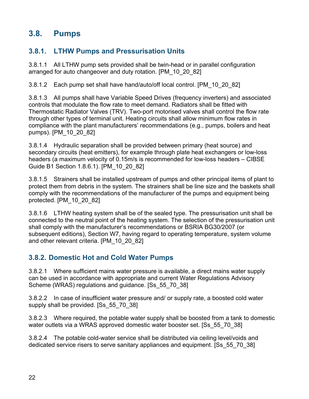## <span id="page-21-0"></span>**3.8. Pumps**

## <span id="page-21-1"></span>**3.8.1. LTHW Pumps and Pressurisation Units**

3.8.1.1 All LTHW pump sets provided shall be twin-head or in parallel configuration arranged for auto changeover and duty rotation. [PM\_10\_20\_82]

3.8.1.2 Each pump set shall have hand/auto/off local control. [PM\_10\_20\_82]

3.8.1.3 All pumps shall have Variable Speed Drives (frequency inverters) and associated controls that modulate the flow rate to meet demand. Radiators shall be fitted with Thermostatic Radiator Valves (TRV). Two-port motorised valves shall control the flow rate through other types of terminal unit. Heating circuits shall allow minimum flow rates in compliance with the plant manufacturers' recommendations (e.g., pumps, boilers and heat pumps). [PM\_10\_20\_82]

3.8.1.4 Hydraulic separation shall be provided between primary (heat source) and secondary circuits (heat emitters), for example through plate heat exchangers or low-loss headers (a maximum velocity of 0.15m/s is recommended for low-loss headers – CIBSE Guide B1 Section 1.8.6.1). [PM\_10\_20\_82]

3.8.1.5 Strainers shall be installed upstream of pumps and other principal items of plant to protect them from debris in the system. The strainers shall be line size and the baskets shall comply with the recommendations of the manufacturer of the pumps and equipment being protected. [PM\_10\_20\_82]

3.8.1.6 LTHW heating system shall be of the sealed type. The pressurisation unit shall be connected to the neutral point of the heating system. The selection of the pressurisation unit shall comply with the manufacturer's recommendations or BSRIA BG30/2007 (or subsequent editions), Section W7, having regard to operating temperature, system volume and other relevant criteria. [PM\_10\_20\_82]

#### <span id="page-21-2"></span>**3.8.2. Domestic Hot and Cold Water Pumps**

3.8.2.1 Where sufficient mains water pressure is available, a direct mains water supply can be used in accordance with appropriate and current Water Regulations Advisory Scheme (WRAS) regulations and guidance. [Ss\_55\_70\_38]

3.8.2.2 In case of insufficient water pressure and/ or supply rate, a boosted cold water supply shall be provided. [Ss 55 70 38]

3.8.2.3 Where required, the potable water supply shall be boosted from a tank to domestic water outlets via a WRAS approved domestic water booster set. [Ss 55 70 38]

3.8.2.4 The potable cold-water service shall be distributed via ceiling level/voids and dedicated service risers to serve sanitary appliances and equipment. [Ss\_55\_70\_38]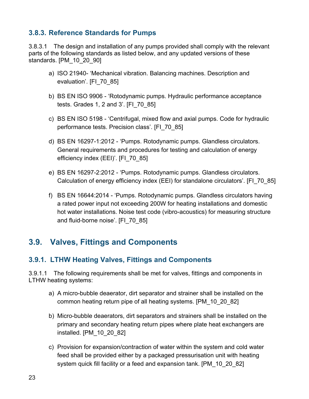#### <span id="page-22-0"></span>**3.8.3. Reference Standards for Pumps**

3.8.3.1 The design and installation of any pumps provided shall comply with the relevant parts of the following standards as listed below, and any updated versions of these standards. [PM\_10\_20\_90]

- a) ISO 21940- 'Mechanical vibration. Balancing machines. Description and evaluation'. [FI\_70\_85]
- b) BS EN ISO 9906 'Rotodynamic pumps. Hydraulic performance acceptance tests. Grades 1, 2 and 3'. [FI\_70\_85]
- c) BS EN ISO 5198 'Centrifugal, mixed flow and axial pumps. Code for hydraulic performance tests. Precision class'. [FI\_70\_85]
- d) BS EN 16297-1:2012 'Pumps. Rotodynamic pumps. Glandless circulators. General requirements and procedures for testing and calculation of energy efficiency index (EEI)'. [FI\_70\_85]
- e) BS EN 16297-2:2012 'Pumps. Rotodynamic pumps. Glandless circulators. Calculation of energy efficiency index (EEI) for standalone circulators'. [FI\_70\_85]
- f) BS EN 16644:2014 'Pumps. Rotodynamic pumps. Glandless circulators having a rated power input not exceeding 200W for heating installations and domestic hot water installations. Noise test code (vibro-acoustics) for measuring structure and fluid-borne noise'. [FI\_70\_85]

## <span id="page-22-1"></span>**3.9. Valves, Fittings and Components**

#### <span id="page-22-2"></span>**3.9.1. LTHW Heating Valves, Fittings and Components**

3.9.1.1 The following requirements shall be met for valves, fittings and components in LTHW heating systems:

- a) A micro-bubble deaerator, dirt separator and strainer shall be installed on the common heating return pipe of all heating systems. [PM\_10\_20\_82]
- b) Micro-bubble deaerators, dirt separators and strainers shall be installed on the primary and secondary heating return pipes where plate heat exchangers are installed. [PM\_10\_20\_82]
- c) Provision for expansion/contraction of water within the system and cold water feed shall be provided either by a packaged pressurisation unit with heating system quick fill facility or a feed and expansion tank. [PM\_10\_20\_82]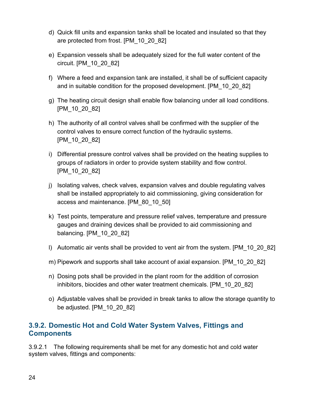- d) Quick fill units and expansion tanks shall be located and insulated so that they are protected from frost. [PM\_10\_20\_82]
- e) Expansion vessels shall be adequately sized for the full water content of the circuit. [PM\_10\_20\_82]
- f) Where a feed and expansion tank are installed, it shall be of sufficient capacity and in suitable condition for the proposed development. [PM\_10\_20\_82]
- g) The heating circuit design shall enable flow balancing under all load conditions. [PM\_10\_20\_82]
- h) The authority of all control valves shall be confirmed with the supplier of the control valves to ensure correct function of the hydraulic systems. [PM\_10\_20\_82]
- i) Differential pressure control valves shall be provided on the heating supplies to groups of radiators in order to provide system stability and flow control. [PM\_10\_20\_82]
- j) Isolating valves, check valves, expansion valves and double regulating valves shall be installed appropriately to aid commissioning, giving consideration for access and maintenance. [PM\_80\_10\_50]
- k) Test points, temperature and pressure relief valves, temperature and pressure gauges and draining devices shall be provided to aid commissioning and balancing. [PM\_10\_20\_82]
- l) Automatic air vents shall be provided to vent air from the system. [PM\_10\_20\_82]
- m) Pipework and supports shall take account of axial expansion. [PM\_10\_20\_82]
- n) Dosing pots shall be provided in the plant room for the addition of corrosion inhibitors, biocides and other water treatment chemicals. [PM\_10\_20\_82]
- o) Adjustable valves shall be provided in break tanks to allow the storage quantity to be adjusted. [PM\_10\_20\_82]

#### <span id="page-23-0"></span>**3.9.2. Domestic Hot and Cold Water System Valves, Fittings and Components**

3.9.2.1 The following requirements shall be met for any domestic hot and cold water system valves, fittings and components: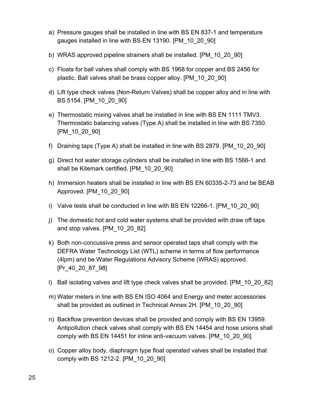- a) Pressure gauges shall be installed in line with BS EN 837-1 and temperature gauges installed in line with BS EN 13190. [PM\_10\_20\_90]
- b) WRAS approved pipeline strainers shall be installed. [PM\_10\_20\_90]
- c) Floats for ball valves shall comply with BS 1968 for copper and BS 2456 for plastic. Ball valves shall be brass copper alloy. [PM\_10\_20\_90]
- d) Lift type check valves (Non-Return Valves) shall be copper alloy and in line with BS 5154. [PM\_10\_20\_90]
- e) Thermostatic mixing valves shall be installed in line with BS EN 1111 TMV3. Thermostatic balancing valves (Type A) shall be installed in line with BS 7350. [PM\_10\_20\_90]
- f) Draining taps (Type A) shall be installed in line with BS 2879. [PM\_10\_20\_90]
- g) Direct hot water storage cylinders shall be installed in line with BS 1566-1 and shall be Kitemark certified. [PM\_10\_20\_90]
- h) Immersion heaters shall be installed in line with BS EN 60335-2-73 and be BEAB Approved. [PM\_10\_20\_90]
- i) Valve tests shall be conducted in line with BS EN 12266-1. [PM\_10\_20\_90]
- j) The domestic hot and cold water systems shall be provided with draw off taps and stop valves. [PM\_10\_20\_82]
- k) Both non-concussive press and sensor operated taps shall comply with the DEFRA Water Technology List (WTL) scheme in terms of flow performance (4lpm) and be Water Regulations Advisory Scheme (WRAS) approved. [Pr\_40\_20\_87\_98]
- l) Ball isolating valves and lift type check valves shall be provided. [PM\_10\_20\_82]
- m) Water meters in line with BS EN ISO 4064 and Energy and meter accessories shall be provided as outlined in Technical Annex 2H. [PM\_10\_20\_90]
- n) Backflow prevention devices shall be provided and comply with BS EN 13959. Antipollution check valves shall comply with BS EN 14454 and hose unions shall comply with BS EN 14451 for inline anti-vacuum valves. [PM\_10\_20\_90]
- o) Copper alloy body, diaphragm type float operated valves shall be installed that comply with BS 1212-2. [PM\_10\_20\_90]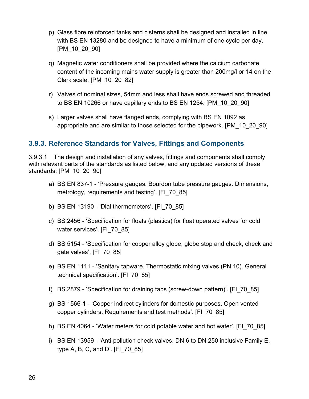- p) Glass fibre reinforced tanks and cisterns shall be designed and installed in line with BS EN 13280 and be designed to have a minimum of one cycle per day. [PM\_10\_20\_90]
- q) Magnetic water conditioners shall be provided where the calcium carbonate content of the incoming mains water supply is greater than 200mg/l or 14 on the Clark scale. [PM\_10\_20\_82]
- r) Valves of nominal sizes, 54mm and less shall have ends screwed and threaded to BS EN 10266 or have capillary ends to BS EN 1254. [PM\_10\_20\_90]
- s) Larger valves shall have flanged ends, complying with BS EN 1092 as appropriate and are similar to those selected for the pipework. [PM\_10\_20\_90]

#### <span id="page-25-0"></span>**3.9.3. Reference Standards for Valves, Fittings and Components**

3.9.3.1 The design and installation of any valves, fittings and components shall comply with relevant parts of the standards as listed below, and any updated versions of these standards: [PM\_10\_20\_90]

- a) BS EN 837-1 'Pressure gauges. Bourdon tube pressure gauges. Dimensions, metrology, requirements and testing'. [FI\_70\_85]
- b) BS EN 13190 'Dial thermometers'. [FI\_70\_85]
- c) BS 2456 'Specification for floats (plastics) for float operated valves for cold water services'. [FI\_70\_85]
- d) BS 5154 'Specification for copper alloy globe, globe stop and check, check and gate valves'. [FI\_70\_85]
- e) BS EN 1111 'Sanitary tapware. Thermostatic mixing valves (PN 10). General technical specification'. [FI\_70\_85]
- f) BS 2879 'Specification for draining taps (screw-down pattern)'. [FI\_70\_85]
- g) BS 1566-1 'Copper indirect cylinders for domestic purposes. Open vented copper cylinders. Requirements and test methods'. [FI\_70\_85]
- h) BS EN 4064 'Water meters for cold potable water and hot water'. [FI\_70\_85]
- i) BS EN 13959 'Anti-pollution check valves. DN 6 to DN 250 inclusive Family E, type A, B, C, and D'. [FI\_70\_85]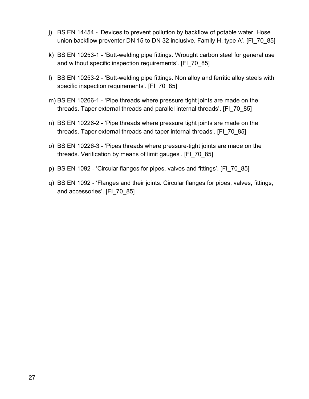- j) BS EN 14454 'Devices to prevent pollution by backflow of potable water. Hose union backflow preventer DN 15 to DN 32 inclusive. Family H, type A'. [FI\_70\_85]
- k) BS EN 10253-1 'Butt-welding pipe fittings. Wrought carbon steel for general use and without specific inspection requirements'. [FI\_70\_85]
- l) BS EN 10253-2 'Butt-welding pipe fittings. Non alloy and ferritic alloy steels with specific inspection requirements'. [FI\_70\_85]
- m) BS EN 10266-1 'Pipe threads where pressure tight joints are made on the threads. Taper external threads and parallel internal threads'. [FI\_70\_85]
- n) BS EN 10226-2 'Pipe threads where pressure tight joints are made on the threads. Taper external threads and taper internal threads'. [FI\_70\_85]
- o) BS EN 10226-3 'Pipes threads where pressure-tight joints are made on the threads. Verification by means of limit gauges'. [FI\_70\_85]
- p) BS EN 1092 'Circular flanges for pipes, valves and fittings'. [FI\_70\_85]
- q) BS EN 1092 'Flanges and their joints. Circular flanges for pipes, valves, fittings, and accessories'. [FI\_70\_85]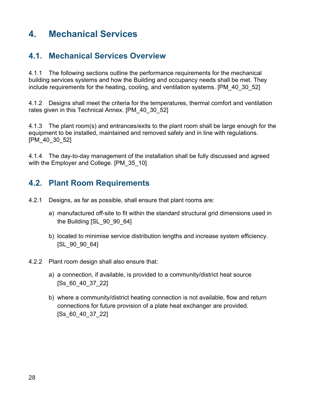# <span id="page-27-0"></span>**4. Mechanical Services**

## <span id="page-27-1"></span>**4.1. Mechanical Services Overview**

4.1.1 The following sections outline the performance requirements for the mechanical building services systems and how the Building and occupancy needs shall be met. They include requirements for the heating, cooling, and ventilation systems. [PM\_40\_30\_52]

4.1.2 Designs shall meet the criteria for the temperatures, thermal comfort and ventilation rates given in this Technical Annex. [PM\_40\_30\_52]

4.1.3 The plant room(s) and entrances/exits to the plant room shall be large enough for the equipment to be installed, maintained and removed safely and in line with regulations. [PM\_40\_30\_52]

4.1.4 The day-to-day management of the installation shall be fully discussed and agreed with the Employer and College. [PM\_35\_10]

## <span id="page-27-2"></span>**4.2. Plant Room Requirements**

- 4.2.1 Designs, as far as possible, shall ensure that plant rooms are:
	- a) manufactured off-site to fit within the standard structural grid dimensions used in the Building [SL\_90\_90\_64]
	- b) located to minimise service distribution lengths and increase system efficiency. [SL\_90\_90\_64]
- 4.2.2 Plant room design shall also ensure that:
	- a) a connection, if available, is provided to a community/district heat source [Ss\_60\_40\_37\_22]
	- b) where a community/district heating connection is not available, flow and return connections for future provision of a plate heat exchanger are provided. [Ss\_60\_40\_37\_22]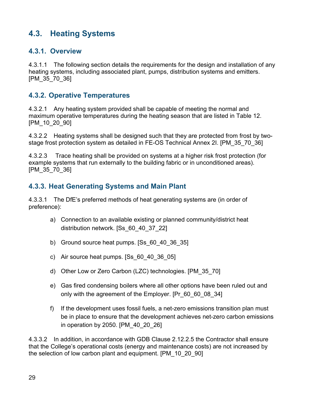## <span id="page-28-0"></span>**4.3. Heating Systems**

#### <span id="page-28-1"></span>**4.3.1. Overview**

4.3.1.1 The following section details the requirements for the design and installation of any heating systems, including associated plant, pumps, distribution systems and emitters. [PM\_35\_70\_36]

#### <span id="page-28-2"></span>**4.3.2. Operative Temperatures**

4.3.2.1 Any heating system provided shall be capable of meeting the normal and maximum operative temperatures during the heating season that are listed in Table 12. [PM\_10\_20\_90]

4.3.2.2 Heating systems shall be designed such that they are protected from frost by twostage frost protection system as detailed in FE-OS Technical Annex 2I. [PM\_35\_70\_36]

4.3.2.3 Trace heating shall be provided on systems at a higher risk frost protection (for example systems that run externally to the building fabric or in unconditioned areas). [PM\_35\_70\_36]

### <span id="page-28-3"></span>**4.3.3. Heat Generating Systems and Main Plant**

4.3.3.1 The DfE's preferred methods of heat generating systems are (in order of preference):

- a) Connection to an available existing or planned community/district heat distribution network. [Ss\_60\_40\_37\_22]
- b) Ground source heat pumps. [Ss\_60\_40\_36\_35]
- c) Air source heat pumps. [Ss\_60\_40\_36\_05]
- d) Other Low or Zero Carbon (LZC) technologies. [PM\_35\_70]
- e) Gas fired condensing boilers where all other options have been ruled out and only with the agreement of the Employer. [Pr\_60\_60\_08\_34]
- f) If the development uses fossil fuels, a net-zero emissions transition plan must be in place to ensure that the development achieves net-zero carbon emissions in operation by 2050. [PM\_40\_20\_26]

4.3.3.2 In addition, in accordance with GDB Clause 2.12.2.5 the Contractor shall ensure that the College's operational costs (energy and maintenance costs) are not increased by the selection of low carbon plant and equipment. [PM\_10\_20\_90]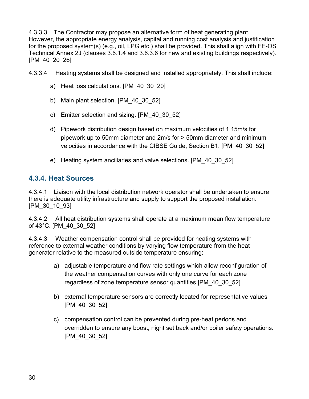4.3.3.3 The Contractor may propose an alternative form of heat generating plant. However, the appropriate energy analysis, capital and running cost analysis and justification for the proposed system(s) (e.g., oil, LPG etc.) shall be provided. This shall align with FE-OS Technical Annex 2J (clauses 3.6.1.4 and 3.6.3.6 for new and existing buildings respectively). [PM\_40\_20\_26]

4.3.3.4 Heating systems shall be designed and installed appropriately. This shall include:

- a) Heat loss calculations. [PM\_40\_30\_20]
- b) Main plant selection. [PM\_40\_30\_52]
- c) Emitter selection and sizing. [PM\_40\_30\_52]
- d) Pipework distribution design based on maximum velocities of 1.15m/s for pipework up to 50mm diameter and 2m/s for > 50mm diameter and minimum velocities in accordance with the CIBSE Guide, Section B1. [PM\_40\_30\_52]
- e) Heating system ancillaries and valve selections. [PM\_40\_30\_52]

#### <span id="page-29-0"></span>**4.3.4. Heat Sources**

4.3.4.1 Liaison with the local distribution network operator shall be undertaken to ensure there is adequate utility infrastructure and supply to support the proposed installation. [PM\_30\_10\_93]

4.3.4.2 All heat distribution systems shall operate at a maximum mean flow temperature of 43°C. [PM\_40\_30\_52]

4.3.4.3 Weather compensation control shall be provided for heating systems with reference to external weather conditions by varying flow temperature from the heat generator relative to the measured outside temperature ensuring:

- a) adjustable temperature and flow rate settings which allow reconfiguration of the weather compensation curves with only one curve for each zone regardless of zone temperature sensor quantities [PM\_40\_30\_52]
- b) external temperature sensors are correctly located for representative values [PM\_40\_30\_52]
- c) compensation control can be prevented during pre-heat periods and overridden to ensure any boost, night set back and/or boiler safety operations. [PM\_40\_30\_52]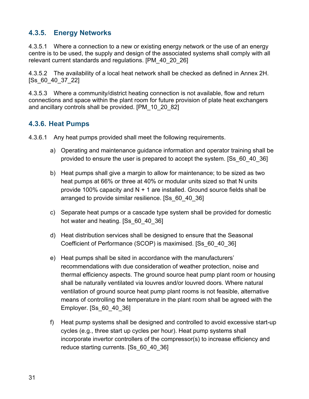#### <span id="page-30-0"></span>**4.3.5. Energy Networks**

4.3.5.1 Where a connection to a new or existing energy network or the use of an energy centre is to be used, the supply and design of the associated systems shall comply with all relevant current standards and regulations. [PM\_40\_20\_26]

4.3.5.2 The availability of a local heat network shall be checked as defined in Annex 2H. [Ss\_60\_40\_37\_22]

4.3.5.3 Where a community/district heating connection is not available, flow and return connections and space within the plant room for future provision of plate heat exchangers and ancillary controls shall be provided. [PM\_10\_20\_82]

#### <span id="page-30-1"></span>**4.3.6. Heat Pumps**

4.3.6.1 Any heat pumps provided shall meet the following requirements.

- a) Operating and maintenance guidance information and operator training shall be provided to ensure the user is prepared to accept the system. [Ss\_60\_40\_36]
- b) Heat pumps shall give a margin to allow for maintenance; to be sized as two heat pumps at 66% or three at 40% or modular units sized so that N units provide 100% capacity and  $N + 1$  are installed. Ground source fields shall be arranged to provide similar resilience. [Ss\_60\_40\_36]
- c) Separate heat pumps or a cascade type system shall be provided for domestic hot water and heating. [Ss 60 40 36]
- d) Heat distribution services shall be designed to ensure that the Seasonal Coefficient of Performance (SCOP) is maximised. [Ss\_60\_40\_36]
- e) Heat pumps shall be sited in accordance with the manufacturers' recommendations with due consideration of weather protection, noise and thermal efficiency aspects. The ground source heat pump plant room or housing shall be naturally ventilated via louvres and/or louvred doors. Where natural ventilation of ground source heat pump plant rooms is not feasible, alternative means of controlling the temperature in the plant room shall be agreed with the Employer. [Ss\_60\_40\_36]
- f) Heat pump systems shall be designed and controlled to avoid excessive start-up cycles (e.g., three start up cycles per hour). Heat pump systems shall incorporate invertor controllers of the compressor(s) to increase efficiency and reduce starting currents. [Ss\_60\_40\_36]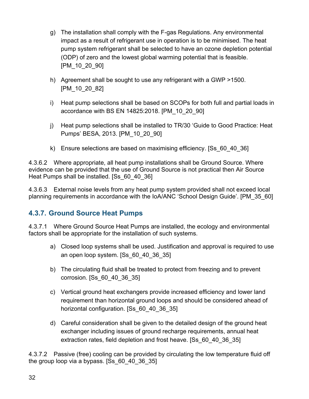- g) The installation shall comply with the F-gas Regulations. Any environmental impact as a result of refrigerant use in operation is to be minimised. The heat pump system refrigerant shall be selected to have an ozone depletion potential (ODP) of zero and the lowest global warming potential that is feasible. [PM\_10\_20\_90]
- h) Agreement shall be sought to use any refrigerant with a GWP >1500. [PM\_10\_20\_82]
- i) Heat pump selections shall be based on SCOPs for both full and partial loads in accordance with BS EN 14825:2018. [PM\_10\_20\_90]
- j) Heat pump selections shall be installed to TR/30 'Guide to Good Practice: Heat Pumps' BESA, 2013. [PM\_10\_20\_90]
- k) Ensure selections are based on maximising efficiency. [Ss\_60\_40\_36]

4.3.6.2 Where appropriate, all heat pump installations shall be Ground Source. Where evidence can be provided that the use of Ground Source is not practical then Air Source Heat Pumps shall be installed. [Ss\_60\_40\_36]

4.3.6.3 External noise levels from any heat pump system provided shall not exceed local planning requirements in accordance with the IoA/ANC 'School Design Guide'. [PM\_35\_60]

## <span id="page-31-0"></span>**4.3.7. Ground Source Heat Pumps**

4.3.7.1 Where Ground Source Heat Pumps are installed, the ecology and environmental factors shall be appropriate for the installation of such systems.

- a) Closed loop systems shall be used. Justification and approval is required to use an open loop system. [Ss\_60\_40\_36\_35]
- b) The circulating fluid shall be treated to protect from freezing and to prevent corrosion. [Ss\_60\_40\_36\_35]
- c) Vertical ground heat exchangers provide increased efficiency and lower land requirement than horizontal ground loops and should be considered ahead of horizontal configuration. [Ss\_60\_40\_36\_35]
- d) Careful consideration shall be given to the detailed design of the ground heat exchanger including issues of ground recharge requirements, annual heat extraction rates, field depletion and frost heave. [Ss\_60\_40\_36\_35]

4.3.7.2 Passive (free) cooling can be provided by circulating the low temperature fluid off the group loop via a bypass. [Ss\_60\_40\_36\_35]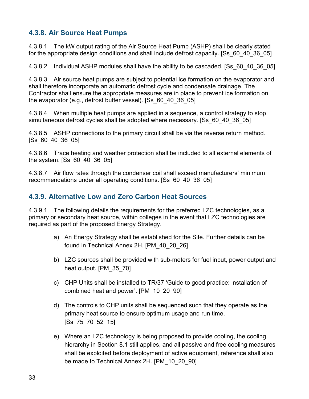#### <span id="page-32-0"></span>**4.3.8. Air Source Heat Pumps**

4.3.8.1 The kW output rating of the Air Source Heat Pump (ASHP) shall be clearly stated for the appropriate design conditions and shall include defrost capacity. [Ss 60 40 36 05]

4.3.8.2 Individual ASHP modules shall have the ability to be cascaded. [Ss\_60\_40\_36\_05]

4.3.8.3 Air source heat pumps are subject to potential ice formation on the evaporator and shall therefore incorporate an automatic defrost cycle and condensate drainage. The Contractor shall ensure the appropriate measures are in place to prevent ice formation on the evaporator (e.g., defrost buffer vessel). [Ss\_60\_40\_36\_05]

4.3.8.4 When multiple heat pumps are applied in a sequence, a control strategy to stop simultaneous defrost cycles shall be adopted where necessary. [Ss 60 40 36 05]

4.3.8.5 ASHP connections to the primary circuit shall be via the reverse return method. [Ss\_60\_40\_36\_05]

4.3.8.6 Trace heating and weather protection shall be included to all external elements of the system. [Ss\_60\_40\_36\_05]

4.3.8.7 Air flow rates through the condenser coil shall exceed manufacturers' minimum recommendations under all operating conditions. [Ss\_60\_40\_36\_05]

#### <span id="page-32-1"></span>**4.3.9. Alternative Low and Zero Carbon Heat Sources**

4.3.9.1 The following details the requirements for the preferred LZC technologies, as a primary or secondary heat source, within colleges in the event that LZC technologies are required as part of the proposed Energy Strategy.

- a) An Energy Strategy shall be established for the Site. Further details can be found in Technical Annex 2H. [PM\_40\_20\_26]
- b) LZC sources shall be provided with sub-meters for fuel input, power output and heat output. [PM\_35\_70]
- c) CHP Units shall be installed to TR/37 'Guide to good practice: installation of combined heat and power'. [PM\_10\_20\_90]
- d) The controls to CHP units shall be sequenced such that they operate as the primary heat source to ensure optimum usage and run time. [Ss\_75\_70\_52\_15]
- e) Where an LZC technology is being proposed to provide cooling, the cooling hierarchy in Section 8.1 still applies, and all passive and free cooling measures shall be exploited before deployment of active equipment, reference shall also be made to Technical Annex 2H. [PM\_10\_20\_90]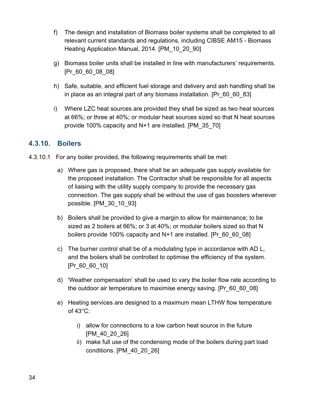- f) The design and installation of Biomass boiler systems shall be completed to all relevant current standards and regulations, including CIBSE AM15 - Biomass Heating Application Manual, 2014. [PM\_10\_20\_90]
- g) Biomass boiler units shall be installed in line with manufacturers' requirements. [Pr\_60\_60\_08\_08]
- h) Safe, suitable, and efficient fuel storage and delivery and ash handling shall be in place as an integral part of any biomass installation. [Pr\_60\_60\_83]
- i) Where LZC heat sources are provided they shall be sized as two heat sources at 66%; or three at 40%; or modular heat sources sized so that N heat sources provide 100% capacity and N+1 are installed. [PM\_35\_70]

#### <span id="page-33-0"></span>**4.3.10. Boilers**

- 4.3.10.1 For any boiler provided, the following requirements shall be met:
	- a) Where gas is proposed, there shall be an adequate gas supply available for the proposed installation. The Contractor shall be responsible for all aspects of liaising with the utility supply company to provide the necessary gas connection. The gas supply shall be without the use of gas boosters wherever possible. [PM\_30\_10\_93]
	- b) Boilers shall be provided to give a margin to allow for maintenance; to be sized as 2 boilers at 66%; or 3 at 40%; or modular boilers sized so that N boilers provide 100% capacity and N+1 are installed. [Pr\_60\_60\_08]
	- c) The burner control shall be of a modulating type in accordance with AD L, and the boilers shall be controlled to optimise the efficiency of the system. [Pr\_60\_60\_10]
	- d) 'Weather compensation' shall be used to vary the boiler flow rate according to the outdoor air temperature to maximise energy saving. [Pr\_60\_60\_08]
	- e) Heating services are designed to a maximum mean LTHW flow temperature of 43°C:
		- i) allow for connections to a low carbon heat source in the future [PM\_40\_20\_26]
		- ii) make full use of the condensing mode of the boilers during part load conditions. [PM\_40\_20\_26]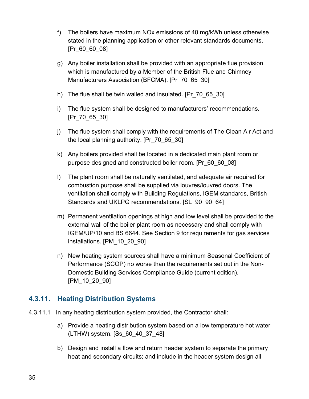- f) The boilers have maximum NOx emissions of 40 mg/kWh unless otherwise stated in the planning application or other relevant standards documents. [Pr\_60\_60\_08]
- g) Any boiler installation shall be provided with an appropriate flue provision which is manufactured by a Member of the British Flue and Chimney Manufacturers Association (BFCMA). [Pr\_70\_65\_30]
- h) The flue shall be twin walled and insulated. [Pr\_70\_65\_30]
- i) The flue system shall be designed to manufacturers' recommendations. [Pr\_70\_65\_30]
- j) The flue system shall comply with the requirements of The Clean Air Act and the local planning authority. [Pr\_70\_65\_30]
- k) Any boilers provided shall be located in a dedicated main plant room or purpose designed and constructed boiler room. [Pr\_60\_60\_08]
- l) The plant room shall be naturally ventilated, and adequate air required for combustion purpose shall be supplied via louvres/louvred doors. The ventilation shall comply with Building Regulations, IGEM standards, British Standards and UKLPG recommendations. [SL\_90\_90\_64]
- m) Permanent ventilation openings at high and low level shall be provided to the external wall of the boiler plant room as necessary and shall comply with IGEM/UP/10 and BS 6644. See Section 9 for requirements for gas services installations. [PM\_10\_20\_90]
- n) New heating system sources shall have a minimum Seasonal Coefficient of Performance (SCOP) no worse than the requirements set out in the Non-Domestic Building Services Compliance Guide (current edition). [PM\_10\_20\_90]

#### <span id="page-34-0"></span>**4.3.11. Heating Distribution Systems**

- 4.3.11.1 In any heating distribution system provided, the Contractor shall:
	- a) Provide a heating distribution system based on a low temperature hot water (LTHW) system. [Ss\_60\_40\_37\_48]
	- b) Design and install a flow and return header system to separate the primary heat and secondary circuits; and include in the header system design all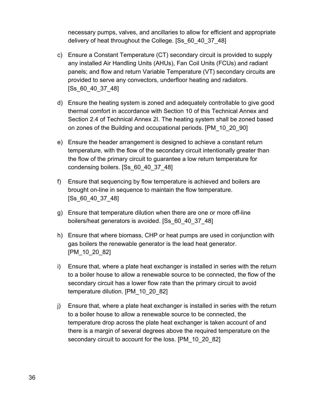necessary pumps, valves, and ancillaries to allow for efficient and appropriate delivery of heat throughout the College. [Ss\_60\_40\_37\_48]

- c) Ensure a Constant Temperature (CT) secondary circuit is provided to supply any installed Air Handling Units (AHUs), Fan Coil Units (FCUs) and radiant panels; and flow and return Variable Temperature (VT) secondary circuits are provided to serve any convectors, underfloor heating and radiators. [Ss\_60\_40\_37\_48]
- d) Ensure the heating system is zoned and adequately controllable to give good thermal comfort in accordance with Section 10 of this Technical Annex and Section 2.4 of Technical Annex 2I. The heating system shall be zoned based on zones of the Building and occupational periods. [PM\_10\_20\_90]
- e) Ensure the header arrangement is designed to achieve a constant return temperature, with the flow of the secondary circuit intentionally greater than the flow of the primary circuit to guarantee a low return temperature for condensing boilers. [Ss\_60\_40\_37\_48]
- f) Ensure that sequencing by flow temperature is achieved and boilers are brought on-line in sequence to maintain the flow temperature. [Ss\_60\_40\_37\_48]
- g) Ensure that temperature dilution when there are one or more off-line boilers/heat generators is avoided. [Ss\_60\_40\_37\_48]
- h) Ensure that where biomass, CHP or heat pumps are used in conjunction with gas boilers the renewable generator is the lead heat generator. [PM\_10\_20\_82]
- i) Ensure that, where a plate heat exchanger is installed in series with the return to a boiler house to allow a renewable source to be connected, the flow of the secondary circuit has a lower flow rate than the primary circuit to avoid temperature dilution. [PM\_10\_20\_82]
- j) Ensure that, where a plate heat exchanger is installed in series with the return to a boiler house to allow a renewable source to be connected, the temperature drop across the plate heat exchanger is taken account of and there is a margin of several degrees above the required temperature on the secondary circuit to account for the loss. [PM\_10\_20\_82]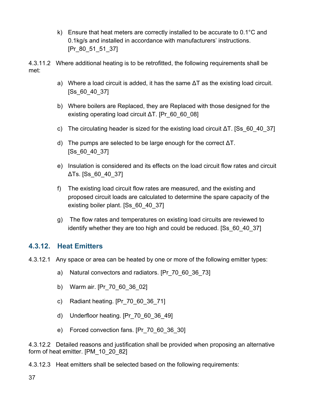k) Ensure that heat meters are correctly installed to be accurate to 0.1°C and 0.1kg/s and installed in accordance with manufacturers' instructions. [Pr 80 51 51 37]

4.3.11.2 Where additional heating is to be retrofitted, the following requirements shall be met:

- a) Where a load circuit is added, it has the same ΔT as the existing load circuit. [Ss\_60\_40\_37]
- b) Where boilers are Replaced, they are Replaced with those designed for the existing operating load circuit ΔT. [Pr\_60\_60\_08]
- c) The circulating header is sized for the existing load circuit  $\Delta T$ . [Ss 60 40 37]
- d) The pumps are selected to be large enough for the correct ΔT. [Ss\_60\_40\_37]
- e) Insulation is considered and its effects on the load circuit flow rates and circuit ΔTs. [Ss\_60\_40\_37]
- f) The existing load circuit flow rates are measured, and the existing and proposed circuit loads are calculated to determine the spare capacity of the existing boiler plant. [Ss\_60\_40\_37]
- g) The flow rates and temperatures on existing load circuits are reviewed to identify whether they are too high and could be reduced. [Ss\_60\_40\_37]

#### **4.3.12. Heat Emitters**

- 4.3.12.1 Any space or area can be heated by one or more of the following emitter types:
	- a) Natural convectors and radiators. [Pr\_70\_60\_36\_73]
	- b) Warm air. [Pr\_70\_60\_36\_02]
	- c) Radiant heating. [Pr\_70\_60\_36\_71]
	- d) Underfloor heating. [Pr\_70\_60\_36\_49]
	- e) Forced convection fans. [Pr\_70\_60\_36\_30]

4.3.12.2 Detailed reasons and justification shall be provided when proposing an alternative form of heat emitter. [PM\_10\_20\_82]

4.3.12.3 Heat emitters shall be selected based on the following requirements: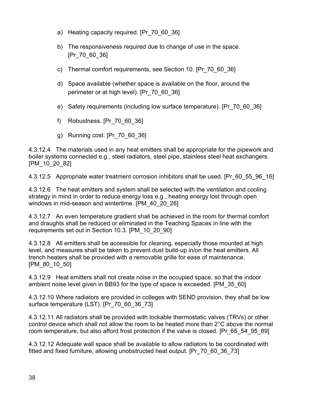- a) Heating capacity required. [Pr 70 60 36]
- b) The responsiveness required due to change of use in the space. [Pr\_70\_60\_36]
- c) Thermal comfort requirements, see Section 10. [Pr\_70\_60\_36]
- d) Space available (whether space is available on the floor, around the perimeter or at high level). [Pr\_70\_60\_36]
- e) Safety requirements (including low surface temperature). [Pr\_70\_60\_36]
- f) Robustness. [Pr\_70\_60\_36]
- g) Running cost. [Pr\_70\_60\_36]

4.3.12.4 The materials used in any heat emitters shall be appropriate for the pipework and boiler systems connected e.g., steel radiators, steel pipe, stainless steel heat exchangers. [PM\_10\_20\_82]

4.3.12.5 Appropriate water treatment corrosion inhibitors shall be used. [Pr\_60\_55\_96\_16]

4.3.12.6 The heat emitters and system shall be selected with the ventilation and cooling strategy in mind in order to reduce energy loss e.g., heating energy lost through open windows in mid-season and wintertime. [PM\_40\_20\_26]

4.3.12.7 An even temperature gradient shall be achieved in the room for thermal comfort and draughts shall be reduced or eliminated in the Teaching Spaces in line with the requirements set out in Section 10.3. [PM\_10\_20\_90]

4.3.12.8 All emitters shall be accessible for cleaning, especially those mounted at high level, and measures shall be taken to prevent dust build-up in/on the heat emitters. All trench heaters shall be provided with a removable grille for ease of maintenance. [PM\_80\_10\_50]

4.3.12.9 Heat emitters shall not create noise in the occupied space, so that the indoor ambient noise level given in BB93 for the type of space is exceeded. [PM\_35\_60]

4.3.12.10 Where radiators are provided in colleges with SEND provision, they shall be low surface temperature (LST). [Pr\_70\_60\_36\_73]

4.3.12.11 All radiators shall be provided with lockable thermostatic valves (TRVs) or other control device which shall not allow the room to be heated more than 2°C above the normal room temperature, but also afford frost protection if the valve is closed. [Pr\_65\_54\_95\_89]

4.3.12.12 Adequate wall space shall be available to allow radiators to be coordinated with fitted and fixed furniture, allowing unobstructed heat output. [Pr\_70\_60\_36\_73]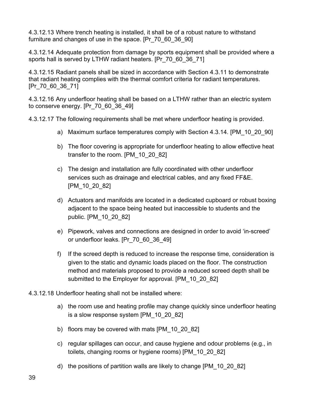4.3.12.13 Where trench heating is installed, it shall be of a robust nature to withstand furniture and changes of use in the space. [Pr\_70\_60\_36\_90]

4.3.12.14 Adequate protection from damage by sports equipment shall be provided where a sports hall is served by LTHW radiant heaters. [Pr\_70\_60\_36\_71]

4.3.12.15 Radiant panels shall be sized in accordance with Section 4.3.11 to demonstrate that radiant heating complies with the thermal comfort criteria for radiant temperatures. [Pr\_70\_60\_36\_71]

4.3.12.16 Any underfloor heating shall be based on a LTHW rather than an electric system to conserve energy. [Pr\_70\_60\_36\_49]

4.3.12.17 The following requirements shall be met where underfloor heating is provided.

- a) Maximum surface temperatures comply with Section 4.3.14. [PM\_10\_20\_90]
- b) The floor covering is appropriate for underfloor heating to allow effective heat transfer to the room. [PM\_10\_20\_82]
- c) The design and installation are fully coordinated with other underfloor services such as drainage and electrical cables, and any fixed FF&E. [PM\_10\_20\_82]
- d) Actuators and manifolds are located in a dedicated cupboard or robust boxing adjacent to the space being heated but inaccessible to students and the public. [PM\_10\_20\_82]
- e) Pipework, valves and connections are designed in order to avoid 'in-screed' or underfloor leaks. [Pr\_70\_60\_36\_49]
- f) If the screed depth is reduced to increase the response time, consideration is given to the static and dynamic loads placed on the floor. The construction method and materials proposed to provide a reduced screed depth shall be submitted to the Employer for approval. [PM\_10\_20\_82]
- 4.3.12.18 Underfloor heating shall not be installed where:
	- a) the room use and heating profile may change quickly since underfloor heating is a slow response system [PM\_10\_20\_82]
	- b) floors may be covered with mats [PM\_10\_20\_82]
	- c) regular spillages can occur, and cause hygiene and odour problems (e.g., in toilets, changing rooms or hygiene rooms) [PM\_10\_20\_82]
	- d) the positions of partition walls are likely to change [PM\_10\_20\_82]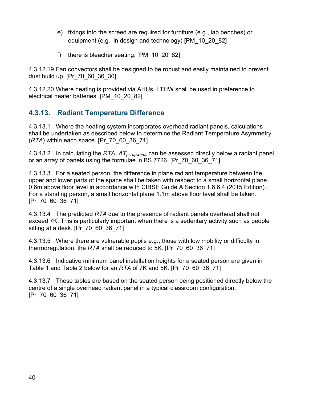- e) fixings into the screed are required for furniture (e.g., lab benches) or equipment (e.g., in design and technology) [PM\_10\_20\_82]
- f) there is bleacher seating. [PM\_10\_20\_82]

4.3.12.19 Fan convectors shall be designed to be robust and easily maintained to prevent dust build up. [Pr\_70\_60\_36\_30]

4.3.12.20 Where heating is provided via AHUs, LTHW shall be used in preference to electrical heater batteries. [PM\_10\_20\_82]

### **4.3.13. Radiant Temperature Difference**

4.3.13.1 Where the heating system incorporates overhead radiant panels, calculations shall be undertaken as described below to determine the Radiant Temperature Asymmetry (*RTA*) within each space. [Pr\_70\_60\_36\_71]

4.3.13.2 In calculating the *RTA*, *ΔTpr, upwards* can be assessed directly below a radiant panel or an array of panels using the formulae in BS 7726. [Pr\_70\_60\_36\_71]

4.3.13.3 For a seated person, the difference in plane radiant temperature between the upper and lower parts of the space shall be taken with respect to a small horizontal plane 0.6m above floor level in accordance with CIBSE Guide A Section 1.6.6.4 (2015 Edition). For a standing person, a small horizontal plane 1.1m above floor level shall be taken. [Pr\_70\_60\_36\_71]

4.3.13.4 The predicted *RTA* due to the presence of radiant panels overhead shall not exceed 7K. This is particularly important when there is a sedentary activity such as people sitting at a desk. [Pr\_70\_60\_36\_71]

4.3.13.5 Where there are vulnerable pupils e.g., those with low mobility or difficulty in thermoregulation, the *RTA* shall be reduced to 5K. [Pr\_70\_60\_36\_71]

4.3.13.6 Indicative minimum panel installation heights for a seated person are given in Table 1 and Table 2 below for an *RTA* of 7K and 5K. [Pr\_70\_60\_36\_71]

4.3.13.7 These tables are based on the seated person being positioned directly below the centre of a single overhead radiant panel in a typical classroom configuration. [Pr\_70\_60\_36\_71]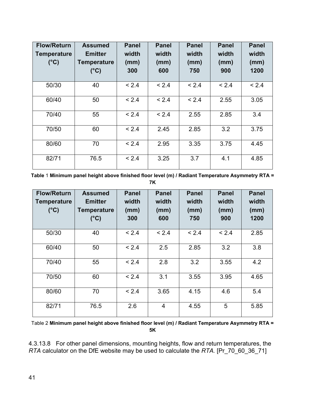| <b>Flow/Return</b><br><b>Temperature</b><br>$(^{\circ}C)$ | <b>Assumed</b><br><b>Emitter</b><br><b>Temperature</b><br>$(^{\circ}C)$ | <b>Panel</b><br>width<br>(mm)<br>300 | <b>Panel</b><br>width<br>(mm)<br>600 | <b>Panel</b><br>width<br>(mm)<br>750 | <b>Panel</b><br>width<br>(mm)<br>900 | <b>Panel</b><br>width<br>(mm)<br>1200 |
|-----------------------------------------------------------|-------------------------------------------------------------------------|--------------------------------------|--------------------------------------|--------------------------------------|--------------------------------------|---------------------------------------|
| 50/30                                                     | 40                                                                      | < 2.4                                | < 2.4                                | < 2.4                                | < 2.4                                | < 2.4                                 |
| 60/40                                                     | 50                                                                      | < 2.4                                | < 2.4                                | < 2.4                                | 2.55                                 | 3.05                                  |
| 70/40                                                     | 55                                                                      | < 2.4                                | < 2.4                                | 2.55                                 | 2.85                                 | 3.4                                   |
| 70/50                                                     | 60                                                                      | < 2.4                                | 2.45                                 | 2.85                                 | 3.2                                  | 3.75                                  |
| 80/60                                                     | 70                                                                      | < 2.4                                | 2.95                                 | 3.35                                 | 3.75                                 | 4.45                                  |
| 82/71                                                     | 76.5                                                                    | < 2.4                                | 3.25                                 | 3.7                                  | 4.1                                  | 4.85                                  |

**Table** 1 **Minimum panel height above finished floor level (m) / Radiant Temperature Asymmetry RTA = 7K**

| <b>Flow/Return</b><br><b>Temperature</b><br>$(^{\circ}C)$ | <b>Assumed</b><br><b>Emitter</b><br><b>Temperature</b><br>$(^{\circ}C)$ | <b>Panel</b><br>width<br>(mm)<br>300 | <b>Panel</b><br>width<br>(mm)<br>600 | <b>Panel</b><br>width<br>(mm)<br>750 | <b>Panel</b><br>width<br>(mm)<br>900 | <b>Panel</b><br>width<br>(mm)<br>1200 |
|-----------------------------------------------------------|-------------------------------------------------------------------------|--------------------------------------|--------------------------------------|--------------------------------------|--------------------------------------|---------------------------------------|
| 50/30                                                     | 40                                                                      | < 2.4                                | < 2.4                                | < 2.4                                | < 2.4                                | 2.85                                  |
| 60/40                                                     | 50                                                                      | < 2.4                                | 2.5                                  | 2.85                                 | 3.2                                  | 3.8                                   |
| 70/40                                                     | 55                                                                      | < 2.4                                | 2.8                                  | 3.2                                  | 3.55                                 | 4.2                                   |
| 70/50                                                     | 60                                                                      | < 2.4                                | 3.1                                  | 3.55                                 | 3.95                                 | 4.65                                  |
| 80/60                                                     | 70                                                                      | < 2.4                                | 3.65                                 | 4.15                                 | 4.6                                  | 5.4                                   |
| 82/71                                                     | 76.5                                                                    | 2.6                                  | $\overline{4}$                       | 4.55                                 | 5                                    | 5.85                                  |

Table 2 **Minimum panel height above finished floor level (m) / Radiant Temperature Asymmetry RTA = 5K**

4.3.13.8 For other panel dimensions, mounting heights, flow and return temperatures, the *RTA* calculator on the DfE website may be used to calculate the *RTA.* [Pr\_70\_60\_36\_71]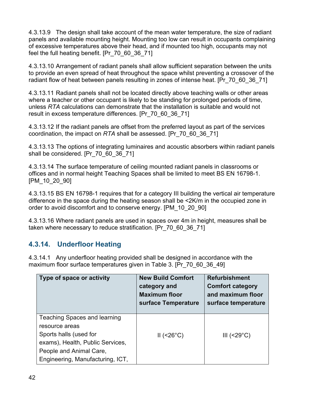4.3.13.9 The design shall take account of the mean water temperature, the size of radiant panels and available mounting height. Mounting too low can result in occupants complaining of excessive temperatures above their head, and if mounted too high, occupants may not feel the full heating benefit. [Pr\_70\_60\_36\_71]

4.3.13.10 Arrangement of radiant panels shall allow sufficient separation between the units to provide an even spread of heat throughout the space whilst preventing a crossover of the radiant flow of heat between panels resulting in zones of intense heat. [Pr\_70\_60\_36\_71]

4.3.13.11 Radiant panels shall not be located directly above teaching walls or other areas where a teacher or other occupant is likely to be standing for prolonged periods of time, unless *RTA* calculations can demonstrate that the installation is suitable and would not result in excess temperature differences. [Pr\_70\_60\_36\_71]

4.3.13.12 If the radiant panels are offset from the preferred layout as part of the services coordination, the impact on *RTA* shall be assessed. [Pr\_70\_60\_36\_71]

4.3.13.13 The options of integrating luminaires and acoustic absorbers within radiant panels shall be considered. [Pr\_70\_60\_36\_71]

4.3.13.14 The surface temperature of ceiling mounted radiant panels in classrooms or offices and in normal height Teaching Spaces shall be limited to meet BS EN 16798-1. [PM\_10\_20\_90]

4.3.13.15 BS EN 16798-1 requires that for a category III building the vertical air temperature difference in the space during the heating season shall be <2K/m in the occupied zone in order to avoid discomfort and to conserve energy. [PM\_10\_20\_90]

4.3.13.16 Where radiant panels are used in spaces over 4m in height, measures shall be taken where necessary to reduce stratification. [Pr\_70\_60\_36\_71]

### **4.3.14. Underfloor Heating**

4.3.14.1 Any underfloor heating provided shall be designed in accordance with the maximum floor surface temperatures given in Table 3. [Pr\_70\_60\_36\_49]

| Type of space or activity           | <b>New Build Comfort</b><br>category and<br><b>Maximum floor</b><br>surface Temperature | <b>Refurbishment</b><br><b>Comfort category</b><br>and maximum floor<br>surface temperature |
|-------------------------------------|-----------------------------------------------------------------------------------------|---------------------------------------------------------------------------------------------|
| <b>Teaching Spaces and learning</b> |                                                                                         |                                                                                             |
| resource areas                      |                                                                                         |                                                                                             |
| Sports halls (used for              | $II$ (<26°C)                                                                            | III $(<29^{\circ}C)$                                                                        |
| exams), Health, Public Services,    |                                                                                         |                                                                                             |
| People and Animal Care,             |                                                                                         |                                                                                             |
| Engineering, Manufacturing, ICT,    |                                                                                         |                                                                                             |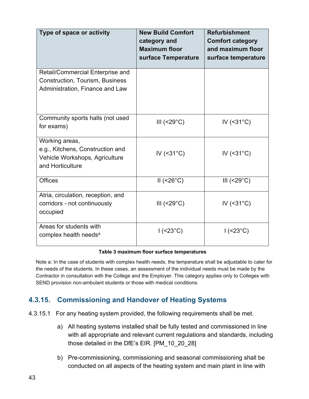| Type of space or activity                                                                                     | <b>New Build Comfort</b><br>category and<br><b>Maximum floor</b><br>surface Temperature | <b>Refurbishment</b><br><b>Comfort category</b><br>and maximum floor<br>surface temperature |
|---------------------------------------------------------------------------------------------------------------|-----------------------------------------------------------------------------------------|---------------------------------------------------------------------------------------------|
| Retail/Commercial Enterprise and<br><b>Construction, Tourism, Business</b><br>Administration, Finance and Law |                                                                                         |                                                                                             |
| Community sports halls (not used<br>for exams)                                                                | III $(<29^{\circ}C)$                                                                    | IV $(31°C)$                                                                                 |
| Working areas,<br>e.g., Kitchens, Construction and<br>Vehicle Workshops, Agriculture<br>and Horticulture      | IV $(31°C)$                                                                             | IV $(31°C)$                                                                                 |
| <b>Offices</b>                                                                                                | $II$ (<26°C)                                                                            | III $(<29^{\circ}C)$                                                                        |
| Atria, circulation, reception, and<br>corridors - not continuously<br>occupied                                | III $(<29^{\circ}C$ )                                                                   | IV $(31°C)$                                                                                 |
| Areas for students with<br>complex health needs <sup>a</sup>                                                  | $1$ (<23°C)                                                                             | $1$ (<23°C)                                                                                 |

#### **Table 3 maximum floor surface temperatures**

Note a: In the case of students with complex health needs, the temperature shall be adjustable to cater for the needs of the students. In these cases, an assessment of the individual needs must be made by the Contractor in consultation with the College and the Employer. This category applies only to Colleges with SEND provision non-ambulant students or those with medical conditions.

### **4.3.15. Commissioning and Handover of Heating Systems**

4.3.15.1 For any heating system provided, the following requirements shall be met.

- a) All heating systems installed shall be fully tested and commissioned in line with all appropriate and relevant current regulations and standards, including those detailed in the DfE's EIR. [PM\_10\_20\_28]
- b) Pre-commissioning, commissioning and seasonal commissioning shall be conducted on all aspects of the heating system and main plant in line with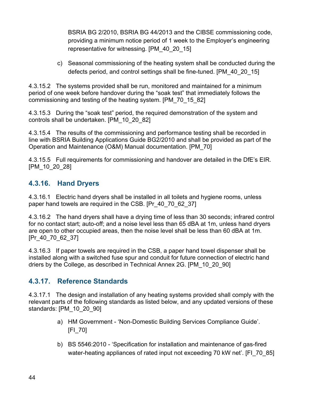BSRIA BG 2/2010, BSRIA BG 44/2013 and the CIBSE commissioning code, providing a minimum notice period of 1 week to the Employer's engineering representative for witnessing. [PM\_40\_20\_15]

c) Seasonal commissioning of the heating system shall be conducted during the defects period, and control settings shall be fine-tuned. [PM\_40\_20\_15]

4.3.15.2 The systems provided shall be run, monitored and maintained for a minimum period of one week before handover during the "soak test" that immediately follows the commissioning and testing of the heating system. [PM\_70\_15\_82]

4.3.15.3 During the "soak test" period, the required demonstration of the system and controls shall be undertaken. [PM\_10\_20\_82]

4.3.15.4 The results of the commissioning and performance testing shall be recorded in line with BSRIA Building Applications Guide BG2/2010 and shall be provided as part of the Operation and Maintenance (O&M) Manual documentation. [PM\_70]

4.3.15.5 Full requirements for commissioning and handover are detailed in the DfE's EIR. [PM\_10\_20\_28]

### **4.3.16. Hand Dryers**

4.3.16.1 Electric hand dryers shall be installed in all toilets and hygiene rooms, unless paper hand towels are required in the CSB. [Pr\_40\_70\_62\_37]

4.3.16.2 The hand dryers shall have a drying time of less than 30 seconds; infrared control for no contact start; auto-off; and a noise level less than 65 dBA at 1m, unless hand dryers are open to other occupied areas, then the noise level shall be less than 60 dBA at 1m. [Pr 40 70 62 37]

4.3.16.3 If paper towels are required in the CSB, a paper hand towel dispenser shall be installed along with a switched fuse spur and conduit for future connection of electric hand driers by the College, as described in Technical Annex 2G. [PM\_10\_20\_90]

### **4.3.17. Reference Standards**

4.3.17.1 The design and installation of any heating systems provided shall comply with the relevant parts of the following standards as listed below, and any updated versions of these standards: [PM\_10\_20\_90]

- a) HM Government 'Non-Domestic Building Services Compliance Guide'. [FI\_70]
- b) BS 5546:2010 'Specification for installation and maintenance of gas-fired water-heating appliances of rated input not exceeding 70 kW net'. [FI\_70\_85]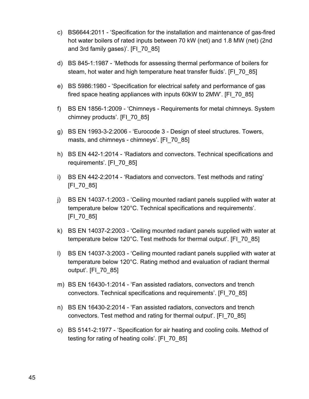- c) BS6644:2011 'Specification for the installation and maintenance of gas-fired hot water boilers of rated inputs between 70 kW (net) and 1.8 MW (net) (2nd and 3rd family gases)'. [FI\_70\_85]
- d) BS 845-1:1987 'Methods for assessing thermal performance of boilers for steam, hot water and high temperature heat transfer fluids'. [FI\_70\_85]
- e) BS 5986:1980 'Specification for electrical safety and performance of gas fired space heating appliances with inputs 60kW to 2MW'. [FI\_70\_85]
- f) BS EN 1856-1:2009 'Chimneys Requirements for metal chimneys. System chimney products'. [FI\_70\_85]
- g) BS EN 1993-3-2:2006 'Eurocode 3 Design of steel structures. Towers, masts, and chimneys - chimneys'. [FI\_70\_85]
- h) BS EN 442-1:2014 'Radiators and convectors. Technical specifications and requirements'. [FI\_70\_85]
- i) BS EN 442-2:2014 'Radiators and convectors. Test methods and rating' [FI\_70\_85]
- j) BS EN 14037-1:2003 'Ceiling mounted radiant panels supplied with water at temperature below 120°C. Technical specifications and requirements'. [FI\_70\_85]
- k) BS EN 14037-2:2003 'Ceiling mounted radiant panels supplied with water at temperature below 120°C. Test methods for thermal output'. [FI\_70\_85]
- l) BS EN 14037-3:2003 'Ceiling mounted radiant panels supplied with water at temperature below 120°C. Rating method and evaluation of radiant thermal output'. [FI\_70\_85]
- m) BS EN 16430-1:2014 'Fan assisted radiators, convectors and trench convectors. Technical specifications and requirements'. [FI\_70\_85]
- n) BS EN 16430-2:2014 'Fan assisted radiators, convectors and trench convectors. Test method and rating for thermal output'. [FI\_70\_85]
- o) BS 5141-2:1977 'Specification for air heating and cooling coils. Method of testing for rating of heating coils'. [FI\_70\_85]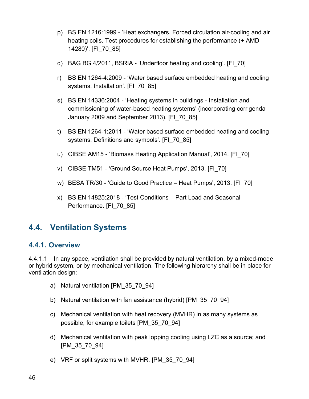- p) BS EN 1216:1999 'Heat exchangers. Forced circulation air-cooling and air heating coils. Test procedures for establishing the performance (+ AMD 14280)'. [FI\_70\_85]
- q) BAG BG 4/2011, BSRIA 'Underfloor heating and cooling'. [FI\_70]
- r) BS EN 1264-4:2009 'Water based surface embedded heating and cooling systems. Installation'. [FI\_70\_85]
- s) BS EN 14336:2004 'Heating systems in buildings Installation and commissioning of water-based heating systems' (incorporating corrigenda January 2009 and September 2013). [FI\_70\_85]
- t) BS EN 1264-1:2011 'Water based surface embedded heating and cooling systems. Definitions and symbols'. [FI\_70\_85]
- u) CIBSE AM15 'Biomass Heating Application Manual', 2014. [FI\_70]
- v) CIBSE TM51 'Ground Source Heat Pumps', 2013. [FI\_70]
- w) BESA TR/30 'Guide to Good Practice Heat Pumps', 2013. [FI] 70]
- x) BS EN 14825:2018 'Test Conditions Part Load and Seasonal Performance. [FI\_70\_85]

### **4.4. Ventilation Systems**

#### **4.4.1. Overview**

4.4.1.1 In any space, ventilation shall be provided by natural ventilation, by a mixed-mode or hybrid system, or by mechanical ventilation. The following hierarchy shall be in place for ventilation design:

- a) Natural ventilation [PM\_35\_70\_94]
- b) Natural ventilation with fan assistance (hybrid) [PM\_35\_70\_94]
- c) Mechanical ventilation with heat recovery (MVHR) in as many systems as possible, for example toilets [PM\_35\_70\_94]
- d) Mechanical ventilation with peak lopping cooling using LZC as a source; and [PM\_35\_70\_94]
- e) VRF or split systems with MVHR. [PM\_35\_70\_94]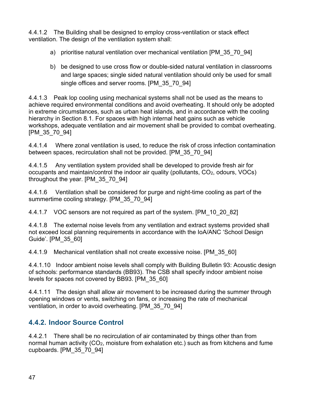4.4.1.2 The Building shall be designed to employ cross-ventilation or stack effect ventilation. The design of the ventilation system shall:

- a) prioritise natural ventilation over mechanical ventilation [PM\_35\_70\_94]
- b) be designed to use cross flow or double-sided natural ventilation in classrooms and large spaces; single sided natural ventilation should only be used for small single offices and server rooms. [PM\_35\_70\_94]

4.4.1.3 Peak lop cooling using mechanical systems shall not be used as the means to achieve required environmental conditions and avoid overheating. It should only be adopted in extreme circumstances, such as urban heat islands, and in accordance with the cooling hierarchy in Section 8.1. For spaces with high internal heat gains such as vehicle workshops, adequate ventilation and air movement shall be provided to combat overheating. [PM\_35\_70\_94]

4.4.1.4 Where zonal ventilation is used, to reduce the risk of cross infection contamination between spaces, recirculation shall not be provided. [PM\_35\_70\_94]

4.4.1.5 Any ventilation system provided shall be developed to provide fresh air for occupants and maintain/control the indoor air quality (pollutants,  $CO<sub>2</sub>$ , odours, VOCs) throughout the year. [PM\_35\_70\_94]

4.4.1.6 Ventilation shall be considered for purge and night-time cooling as part of the summertime cooling strategy. [PM\_35\_70\_94]

4.4.1.7 VOC sensors are not required as part of the system. [PM\_10\_20\_82]

4.4.1.8 The external noise levels from any ventilation and extract systems provided shall not exceed local planning requirements in accordance with the IoA/ANC 'School Design Guide'. [PM\_35\_60]

4.4.1.9 Mechanical ventilation shall not create excessive noise. [PM\_35\_60]

4.4.1.10 Indoor ambient noise levels shall comply with Building Bulletin 93: Acoustic design of schools: performance standards (BB93). The CSB shall specify indoor ambient noise levels for spaces not covered by BB93. [PM\_35\_60]

4.4.1.11 The design shall allow air movement to be increased during the summer through opening windows or vents, switching on fans, or increasing the rate of mechanical ventilation, in order to avoid overheating. [PM\_35\_70\_94]

### **4.4.2. Indoor Source Control**

4.4.2.1 There shall be no recirculation of air contaminated by things other than from normal human activity (CO<sub>2</sub>, moisture from exhalation etc.) such as from kitchens and fume cupboards. [PM\_35\_70\_94]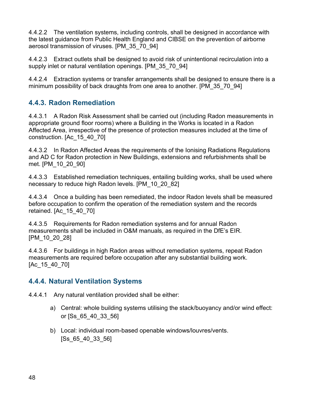4.4.2.2 The ventilation systems, including controls, shall be designed in accordance with the latest guidance from Public Health England and CIBSE on the prevention of airborne aerosol transmission of viruses. [PM\_35\_70\_94]

4.4.2.3 Extract outlets shall be designed to avoid risk of unintentional recirculation into a supply inlet or natural ventilation openings. [PM\_35\_70\_94]

4.4.2.4 Extraction systems or transfer arrangements shall be designed to ensure there is a minimum possibility of back draughts from one area to another. [PM\_35\_70\_94]

### **4.4.3. Radon Remediation**

4.4.3.1 A Radon Risk Assessment shall be carried out (including Radon measurements in appropriate ground floor rooms) where a Building in the Works is located in a Radon Affected Area, irrespective of the presence of protection measures included at the time of construction. [Ac\_15\_40\_70]

4.4.3.2 In Radon Affected Areas the requirements of the Ionising Radiations Regulations and AD C for Radon protection in New Buildings, extensions and refurbishments shall be met. [PM\_10\_20\_90]

4.4.3.3 Established remediation techniques, entailing building works, shall be used where necessary to reduce high Radon levels. [PM\_10\_20\_82]

4.4.3.4 Once a building has been remediated, the indoor Radon levels shall be measured before occupation to confirm the operation of the remediation system and the records retained. [Ac\_15\_40\_70]

4.4.3.5 Requirements for Radon remediation systems and for annual Radon measurements shall be included in O&M manuals, as required in the DfE's EIR. [PM\_10\_20\_28]

4.4.3.6 For buildings in high Radon areas without remediation systems, repeat Radon measurements are required before occupation after any substantial building work. [Ac 15 40 70]

#### **4.4.4. Natural Ventilation Systems**

4.4.4.1 Any natural ventilation provided shall be either:

- a) Central: whole building systems utilising the stack/buoyancy and/or wind effect: or [Ss\_65\_40\_33\_56]
- b) Local: individual room-based openable windows/louvres/vents. [Ss\_65\_40\_33\_56]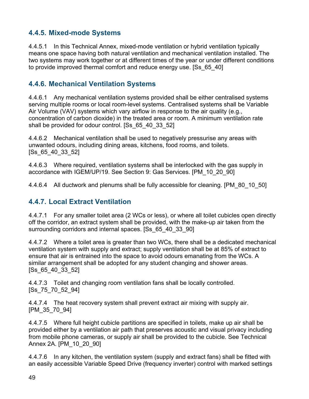### **4.4.5. Mixed-mode Systems**

4.4.5.1 In this Technical Annex, mixed-mode ventilation or hybrid ventilation typically means one space having both natural ventilation and mechanical ventilation installed. The two systems may work together or at different times of the year or under different conditions to provide improved thermal comfort and reduce energy use. [Ss\_65\_40]

#### **4.4.6. Mechanical Ventilation Systems**

4.4.6.1 Any mechanical ventilation systems provided shall be either centralised systems serving multiple rooms or local room-level systems. Centralised systems shall be Variable Air Volume (VAV) systems which vary airflow in response to the air quality (e.g., concentration of carbon dioxide) in the treated area or room. A minimum ventilation rate shall be provided for odour control. [Ss\_65\_40\_33\_52]

4.4.6.2 Mechanical ventilation shall be used to negatively pressurise any areas with unwanted odours, including dining areas, kitchens, food rooms, and toilets. [Ss\_65\_40\_33\_52]

4.4.6.3 Where required, ventilation systems shall be interlocked with the gas supply in accordance with IGEM/UP/19. See Section 9: Gas Services. [PM\_10\_20\_90]

4.4.6.4 All ductwork and plenums shall be fully accessible for cleaning. [PM\_80\_10\_50]

### **4.4.7. Local Extract Ventilation**

4.4.7.1 For any smaller toilet area (2 WCs or less), or where all toilet cubicles open directly off the corridor, an extract system shall be provided, with the make-up air taken from the surrounding corridors and internal spaces. [Ss 65 40 33 90]

4.4.7.2 Where a toilet area is greater than two WCs, there shall be a dedicated mechanical ventilation system with supply and extract; supply ventilation shall be at 85% of extract to ensure that air is entrained into the space to avoid odours emanating from the WCs. A similar arrangement shall be adopted for any student changing and shower areas. [Ss\_65\_40\_33\_52]

4.4.7.3 Toilet and changing room ventilation fans shall be locally controlled. [Ss\_75\_70\_52\_94]

4.4.7.4 The heat recovery system shall prevent extract air mixing with supply air. [PM\_35\_70\_94]

4.4.7.5 Where full height cubicle partitions are specified in toilets, make up air shall be provided either by a ventilation air path that preserves acoustic and visual privacy including from mobile phone cameras, or supply air shall be provided to the cubicle. See Technical Annex 2A. [PM\_10\_20\_90]

4.4.7.6 In any kitchen, the ventilation system (supply and extract fans) shall be fitted with an easily accessible Variable Speed Drive (frequency inverter) control with marked settings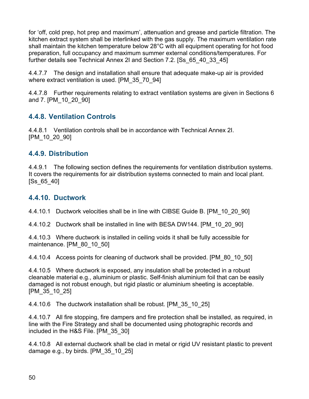for 'off, cold prep, hot prep and maximum', attenuation and grease and particle filtration. The kitchen extract system shall be interlinked with the gas supply. The maximum ventilation rate shall maintain the kitchen temperature below 28°C with all equipment operating for hot food preparation, full occupancy and maximum summer external conditions/temperatures. For further details see Technical Annex 2I and Section 7.2. [Ss\_65\_40\_33\_45]

4.4.7.7 The design and installation shall ensure that adequate make-up air is provided where extract ventilation is used. [PM\_35\_70\_94]

4.4.7.8 Further requirements relating to extract ventilation systems are given in Sections 6 and 7. [PM\_10\_20\_90]

### **4.4.8. Ventilation Controls**

4.4.8.1 Ventilation controls shall be in accordance with Technical Annex 2I. [PM\_10\_20\_90]

#### **4.4.9. Distribution**

4.4.9.1 The following section defines the requirements for ventilation distribution systems. It covers the requirements for air distribution systems connected to main and local plant. [Ss\_65\_40]

#### **4.4.10. Ductwork**

4.4.10.1 Ductwork velocities shall be in line with CIBSE Guide B. [PM\_10\_20\_90]

4.4.10.2 Ductwork shall be installed in line with BESA DW144. [PM\_10\_20\_90]

4.4.10.3 Where ductwork is installed in ceiling voids it shall be fully accessible for maintenance. [PM\_80\_10\_50]

4.4.10.4 Access points for cleaning of ductwork shall be provided. [PM\_80\_10\_50]

4.4.10.5 Where ductwork is exposed, any insulation shall be protected in a robust cleanable material e.g., aluminium or plastic. Self-finish aluminium foil that can be easily damaged is not robust enough, but rigid plastic or aluminium sheeting is acceptable. [PM\_35\_10\_25]

4.4.10.6 The ductwork installation shall be robust. [PM\_35\_10\_25]

4.4.10.7 All fire stopping, fire dampers and fire protection shall be installed, as required, in line with the Fire Strategy and shall be documented using photographic records and included in the H&S File. [PM\_35\_30]

4.4.10.8 All external ductwork shall be clad in metal or rigid UV resistant plastic to prevent damage e.g., by birds. [PM\_35\_10\_25]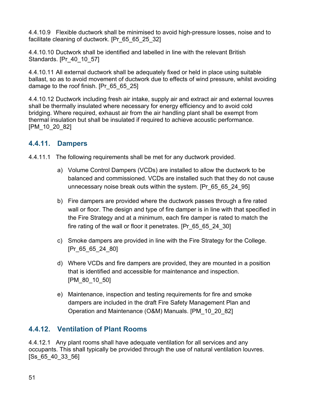4.4.10.9 Flexible ductwork shall be minimised to avoid high-pressure losses, noise and to facilitate cleaning of ductwork. [Pr\_65\_65\_25\_32]

4.4.10.10 Ductwork shall be identified and labelled in line with the relevant British Standards. [Pr\_40\_10\_57]

4.4.10.11 All external ductwork shall be adequately fixed or held in place using suitable ballast, so as to avoid movement of ductwork due to effects of wind pressure, whilst avoiding damage to the roof finish. [Pr\_65\_65\_25]

4.4.10.12 Ductwork including fresh air intake, supply air and extract air and external louvres shall be thermally insulated where necessary for energy efficiency and to avoid cold bridging. Where required, exhaust air from the air handling plant shall be exempt from thermal insulation but shall be insulated if required to achieve acoustic performance. [PM\_10\_20\_82]

### **4.4.11. Dampers**

4.4.11.1 The following requirements shall be met for any ductwork provided.

- a) Volume Control Dampers (VCDs) are installed to allow the ductwork to be balanced and commissioned. VCDs are installed such that they do not cause unnecessary noise break outs within the system. [Pr\_65\_65\_24\_95]
- b) Fire dampers are provided where the ductwork passes through a fire rated wall or floor. The design and type of fire damper is in line with that specified in the Fire Strategy and at a minimum, each fire damper is rated to match the fire rating of the wall or floor it penetrates. [Pr\_65\_65\_24\_30]
- c) Smoke dampers are provided in line with the Fire Strategy for the College. [Pr\_65\_65\_24\_80]
- d) Where VCDs and fire dampers are provided, they are mounted in a position that is identified and accessible for maintenance and inspection. [PM\_80\_10\_50]
- e) Maintenance, inspection and testing requirements for fire and smoke dampers are included in the draft Fire Safety Management Plan and Operation and Maintenance (O&M) Manuals. [PM\_10\_20\_82]

### **4.4.12. Ventilation of Plant Rooms**

4.4.12.1 Any plant rooms shall have adequate ventilation for all services and any occupants. This shall typically be provided through the use of natural ventilation louvres. [Ss\_65\_40\_33\_56]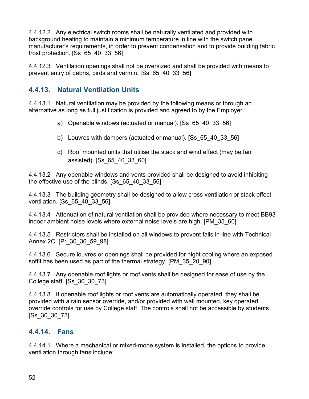4.4.12.2 Any electrical switch rooms shall be naturally ventilated and provided with background heating to maintain a minimum temperature in line with the switch panel manufacturer's requirements, in order to prevent condensation and to provide building fabric frost protection. [Ss\_65\_40\_33\_56]

4.4.12.3 Ventilation openings shall not be oversized and shall be provided with means to prevent entry of debris, birds and vermin. [Ss\_65\_40\_33\_56]

### **4.4.13. Natural Ventilation Units**

4.4.13.1 Natural ventilation may be provided by the following means or through an alternative as long as full justification is provided and agreed to by the Employer.

- a) Openable windows (actuated or manual). [Ss\_65\_40\_33\_56]
- b) Louvres with dampers (actuated or manual). [Ss\_65\_40\_33\_56]
- c) Roof mounted units that utilise the stack and wind effect (may be fan assisted). [Ss\_65\_40\_33\_60]

4.4.13.2 Any openable windows and vents provided shall be designed to avoid inhibiting the effective use of the blinds. [Ss\_65\_40\_33\_56]

4.4.13.3 The building geometry shall be designed to allow cross ventilation or stack effect ventilation. [Ss\_65\_40\_33\_56]

4.4.13.4 Attenuation of natural ventilation shall be provided where necessary to meet BB93 indoor ambient noise levels where external noise levels are high. [PM\_35\_60]

4.4.13.5 Restrictors shall be installed on all windows to prevent falls in line with Technical Annex 2C. [Pr\_30\_36\_59\_98]

4.4.13.6 Secure louvres or openings shall be provided for night cooling where an exposed soffit has been used as part of the thermal strategy. [PM\_35\_20\_90]

4.4.13.7 Any openable roof lights or roof vents shall be designed for ease of use by the College staff. [Ss\_30\_30\_73]

4.4.13.8 If openable roof lights or roof vents are automatically operated, they shall be provided with a rain sensor override, and/or provided with wall mounted, key operated override controls for use by College staff. The controls shall not be accessible by students. [Ss\_30\_30\_73]

#### **4.4.14. Fans**

4.4.14.1 Where a mechanical or mixed-mode system is installed, the options to provide ventilation through fans include: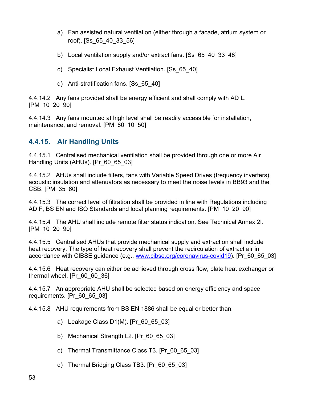- a) Fan assisted natural ventilation (either through a facade, atrium system or roof). [Ss\_65\_40\_33\_56]
- b) Local ventilation supply and/or extract fans. [Ss\_65\_40\_33\_48]
- c) Specialist Local Exhaust Ventilation. [Ss\_65\_40]
- d) Anti-stratification fans. [Ss\_65\_40]

4.4.14.2 Any fans provided shall be energy efficient and shall comply with AD L. [PM\_10\_20\_90]

4.4.14.3 Any fans mounted at high level shall be readily accessible for installation, maintenance, and removal. [PM\_80\_10\_50]

#### **4.4.15. Air Handling Units**

4.4.15.1 Centralised mechanical ventilation shall be provided through one or more Air Handling Units (AHUs). [Pr\_60\_65\_03]

4.4.15.2 AHUs shall include filters, fans with Variable Speed Drives (frequency inverters), acoustic insulation and attenuators as necessary to meet the noise levels in BB93 and the CSB. [PM\_35\_60]

4.4.15.3 The correct level of filtration shall be provided in line with Regulations including AD F, BS EN and ISO Standards and local planning requirements. [PM\_10\_20\_90]

4.4.15.4 The AHU shall include remote filter status indication. See Technical Annex 2I. [PM\_10\_20\_90]

4.4.15.5 Centralised AHUs that provide mechanical supply and extraction shall include heat recovery. The type of heat recovery shall prevent the recirculation of extract air in accordance with CIBSE guidance (e.g., [www.cibse.org/coronavirus-covid19\)](http://www.cibse.org/coronavirus-covid19). [Pr\_60\_65\_03]

4.4.15.6 Heat recovery can either be achieved through cross flow, plate heat exchanger or thermal wheel. [Pr\_60\_60\_36]

4.4.15.7 An appropriate AHU shall be selected based on energy efficiency and space requirements. [Pr\_60\_65\_03]

4.4.15.8 AHU requirements from BS EN 1886 shall be equal or better than:

- a) Leakage Class D1(M). [Pr\_60\_65\_03]
- b) Mechanical Strength L2. [Pr\_60\_65\_03]
- c) Thermal Transmittance Class T3. [Pr\_60\_65\_03]
- d) Thermal Bridging Class TB3. [Pr\_60\_65\_03]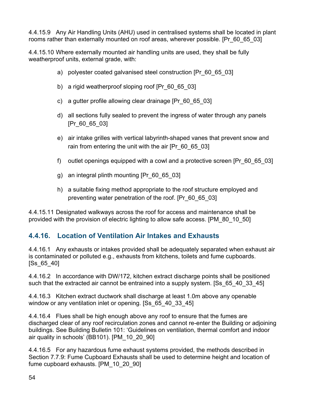4.4.15.9 Any Air Handling Units (AHU) used in centralised systems shall be located in plant rooms rather than externally mounted on roof areas, wherever possible. [Pr\_60\_65\_03]

4.4.15.10 Where externally mounted air handling units are used, they shall be fully weatherproof units, external grade, with:

- a) polyester coated galvanised steel construction [Pr\_60\_65\_03]
- b) a rigid weatherproof sloping roof [Pr\_60\_65\_03]
- c) a gutter profile allowing clear drainage [Pr\_60\_65\_03]
- d) all sections fully sealed to prevent the ingress of water through any panels [Pr\_60\_65\_03]
- e) air intake grilles with vertical labyrinth-shaped vanes that prevent snow and rain from entering the unit with the air [Pr\_60\_65\_03]
- f) outlet openings equipped with a cowl and a protective screen [Pr\_60\_65\_03]
- g) an integral plinth mounting [Pr\_60\_65\_03]
- h) a suitable fixing method appropriate to the roof structure employed and preventing water penetration of the roof. [Pr\_60\_65\_03]

4.4.15.11 Designated walkways across the roof for access and maintenance shall be provided with the provision of electric lighting to allow safe access. [PM\_80\_10\_50]

### **4.4.16. Location of Ventilation Air Intakes and Exhausts**

4.4.16.1 Any exhausts or intakes provided shall be adequately separated when exhaust air is contaminated or polluted e.g., exhausts from kitchens, toilets and fume cupboards. [Ss\_65\_40]

4.4.16.2 In accordance with DW/172, kitchen extract discharge points shall be positioned such that the extracted air cannot be entrained into a supply system. [Ss 65 40 33 45]

4.4.16.3 Kitchen extract ductwork shall discharge at least 1.0m above any openable window or any ventilation inlet or opening. [Ss 65 40 33 45]

4.4.16.4 Flues shall be high enough above any roof to ensure that the fumes are discharged clear of any roof recirculation zones and cannot re-enter the Building or adjoining buildings. See Building Bulletin 101: 'Guidelines on ventilation, thermal comfort and indoor air quality in schools' (BB101). [PM\_10\_20\_90]

4.4.16.5 For any hazardous fume exhaust systems provided, the methods described in Section 7.7.9: Fume Cupboard Exhausts shall be used to determine height and location of fume cupboard exhausts. [PM\_10\_20\_90]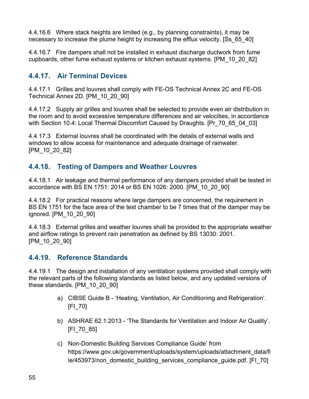4.4.16.6 Where stack heights are limited (e.g., by planning constraints), it may be necessary to increase the plume height by increasing the efflux velocity. [Ss\_65\_40]

4.4.16.7 Fire dampers shall not be installed in exhaust discharge ductwork from fume cupboards, other fume exhaust systems or kitchen exhaust systems. [PM\_10\_20\_82]

### **4.4.17. Air Terminal Devices**

4.4.17.1 Grilles and louvres shall comply with FE-OS Technical Annex 2C and FE-OS Technical Annex 2D. [PM\_10\_20\_90]

4.4.17.2 Supply air grilles and louvres shall be selected to provide even air distribution in the room and to avoid excessive temperature differences and air velocities, in accordance with Section 10.4: Local Thermal Discomfort Caused by Draughts. [Pr\_70\_65\_04\_03]

4.4.17.3 External louvres shall be coordinated with the details of external walls and windows to allow access for maintenance and adequate drainage of rainwater. [PM\_10\_20\_82]

### **4.4.18. Testing of Dampers and Weather Louvres**

4.4.18.1 Air leakage and thermal performance of any dampers provided shall be tested in accordance with BS EN 1751: 2014 or BS EN 1026: 2000. [PM\_10\_20\_90]

4.4.18.2 For practical reasons where large dampers are concerned, the requirement in BS EN 1751 for the face area of the test chamber to be 7 times that of the damper may be ignored. [PM\_10\_20\_90]

4.4.18.3 External grilles and weather louvres shall be provided to the appropriate weather and airflow ratings to prevent rain penetration as defined by BS 13030: 2001. [PM\_10\_20\_90]

### **4.4.19. Reference Standards**

4.4.19.1 The design and installation of any ventilation systems provided shall comply with the relevant parts of the following standards as listed below, and any updated versions of these standards. [PM\_10\_20\_90]

- a) CIBSE Guide B 'Heating, Ventilation, Air Conditioning and Refrigeration'. [FI\_70]
- b) ASHRAE 62.1:2013 'The Standards for Ventilation and Indoor Air Quality'. [FI\_70\_85]
- c) Non-Domestic Building Services Compliance Guide' from https://www.gov.uk/government/uploads/system/uploads/attachment\_data/fi le/453973/non\_domestic\_building\_services\_compliance\_guide.pdf. [FI\_70]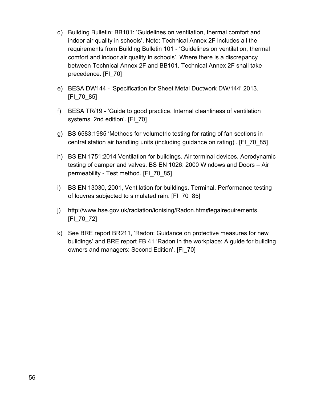- d) Building Bulletin: BB101: 'Guidelines on ventilation, thermal comfort and indoor air quality in schools'. Note: Technical Annex 2F includes all the requirements from Building Bulletin 101 - 'Guidelines on ventilation, thermal comfort and indoor air quality in schools'. Where there is a discrepancy between Technical Annex 2F and BB101, Technical Annex 2F shall take precedence. [FI\_70]
- e) BESA DW144 'Specification for Sheet Metal Ductwork DW/144' 2013. [FI\_70\_85]
- f) BESA TR/19 'Guide to good practice. Internal cleanliness of ventilation systems. 2nd edition'. [FI\_70]
- g) BS 6583:1985 'Methods for volumetric testing for rating of fan sections in central station air handling units (including guidance on rating)'. [FI\_70\_85]
- h) BS EN 1751:2014 Ventilation for buildings. Air terminal devices. Aerodynamic testing of damper and valves. BS EN 1026: 2000 Windows and Doors – Air permeability - Test method. [FI\_70\_85]
- i) BS EN 13030, 2001, Ventilation for buildings. Terminal. Performance testing of louvres subjected to simulated rain. [FI\_70\_85]
- j) [http://www.hse.gov.uk/radiation/ionising/Radon.htm#legalrequirements.](http://www.hse.gov.uk/radiation/ionising/Radon.htm#legalrequirements) [FI\_70\_72]
- k) See BRE report BR211, 'Radon: Guidance on protective measures for new buildings' and BRE report FB 41 'Radon in the workplace: A guide for building owners and managers: Second Edition'. [FI\_70]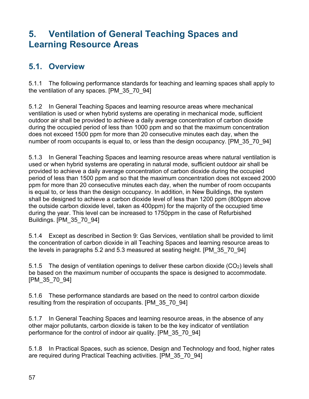# **5. Ventilation of General Teaching Spaces and Learning Resource Areas**

### **5.1. Overview**

5.1.1 The following performance standards for teaching and learning spaces shall apply to the ventilation of any spaces. [PM\_35\_70\_94]

5.1.2 In General Teaching Spaces and learning resource areas where mechanical ventilation is used or when hybrid systems are operating in mechanical mode, sufficient outdoor air shall be provided to achieve a daily average concentration of carbon dioxide during the occupied period of less than 1000 ppm and so that the maximum concentration does not exceed 1500 ppm for more than 20 consecutive minutes each day, when the number of room occupants is equal to, or less than the design occupancy. [PM\_35\_70\_94]

5.1.3 In General Teaching Spaces and learning resource areas where natural ventilation is used or when hybrid systems are operating in natural mode, sufficient outdoor air shall be provided to achieve a daily average concentration of carbon dioxide during the occupied period of less than 1500 ppm and so that the maximum concentration does not exceed 2000 ppm for more than 20 consecutive minutes each day, when the number of room occupants is equal to, or less than the design occupancy. In addition, in New Buildings, the system shall be designed to achieve a carbon dioxide level of less than 1200 ppm (800ppm above the outside carbon dioxide level, taken as 400ppm) for the majority of the occupied time during the year. This level can be increased to 1750ppm in the case of Refurbished Buildings. [PM\_35\_70\_94]

5.1.4 Except as described in Section 9: Gas Services, ventilation shall be provided to limit the concentration of carbon dioxide in all Teaching Spaces and learning resource areas to the levels in paragraphs 5.2 and 5.3 measured at seating height. [PM\_35\_70\_94]

5.1.5 The design of ventilation openings to deliver these carbon dioxide (CO2) levels shall be based on the maximum number of occupants the space is designed to accommodate. [PM\_35\_70\_94]

5.1.6 These performance standards are based on the need to control carbon dioxide resulting from the respiration of occupants. [PM\_35\_70\_94]

5.1.7 In General Teaching Spaces and learning resource areas, in the absence of any other major pollutants, carbon dioxide is taken to be the key indicator of ventilation performance for the control of indoor air quality. [PM\_35\_70\_94]

5.1.8 In Practical Spaces, such as science, Design and Technology and food, higher rates are required during Practical Teaching activities. [PM\_35\_70\_94]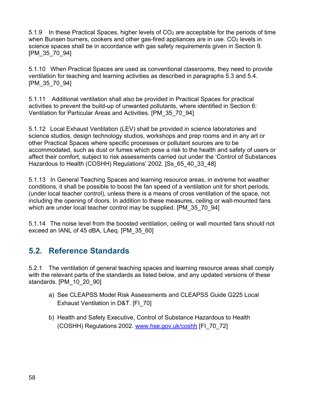5.1.9 In these Practical Spaces, higher levels of CO<sup>2</sup> are acceptable for the periods of time when Bunsen burners, cookers and other gas-fired appliances are in use.  $CO<sub>2</sub>$  levels in science spaces shall be in accordance with gas safety requirements given in Section 9. [PM\_35\_70\_94]

5.1.10 When Practical Spaces are used as conventional classrooms, they need to provide ventilation for teaching and learning activities as described in paragraphs 5.3 and 5.4. [PM\_35\_70\_94]

5.1.11 Additional ventilation shall also be provided in Practical Spaces for practical activities to prevent the build-up of unwanted pollutants, where identified in Section 6: Ventilation for Particular Areas and Activities. [PM\_35\_70\_94]

5.1.12 Local Exhaust Ventilation (LEV) shall be provided in science laboratories and science studios, design technology studios, workshops and prep rooms and in any art or other Practical Spaces where specific processes or pollutant sources are to be accommodated, such as dust or fumes which pose a risk to the health and safety of users or affect their comfort, subject to risk assessments carried out under the 'Control of Substances Hazardous to Health (COSHH) Regulations' 2002. [Ss\_65\_40\_33\_48]

5.1.13 In General Teaching Spaces and learning resource areas, in extreme hot weather conditions, it shall be possible to boost the fan speed of a ventilation unit for short periods, (under local teacher control), unless there is a means of cross ventilation of the space, not including the opening of doors. In addition to these measures, ceiling or wall-mounted fans which are under local teacher control may be supplied. [PM\_35\_70\_94]

5.1.14 The noise level from the boosted ventilation, ceiling or wall mounted fans should not exceed an IANL of 45 dBA, LAeq. [PM\_35\_60]

## **5.2. Reference Standards**

5.2.1 The ventilation of general teaching spaces and learning resource areas shall comply with the relevant parts of the standards as listed below, and any updated versions of these standards. [PM\_10\_20\_90]

- a) See CLEAPSS Model Risk Assessments and CLEAPSS Guide G225 Local Exhaust Ventilation in D&T. [FI\_70]
- b) Health and Safety Executive, Control of Substance Hazardous to Health (COSHH) Regulations 2002. [www.hse.gov.uk/coshh](http://www.hse.gov.uk/coshh) [FI\_70\_72]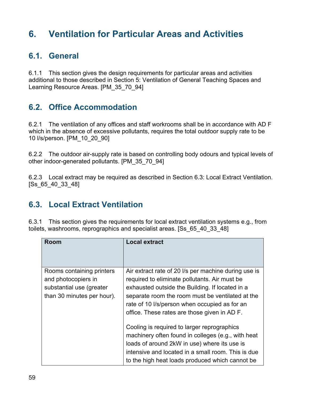# **6. Ventilation for Particular Areas and Activities**

### **6.1. General**

6.1.1 This section gives the design requirements for particular areas and activities additional to those described in Section 5: Ventilation of General Teaching Spaces and Learning Resource Areas. [PM\_35\_70\_94]

### **6.2. Office Accommodation**

6.2.1 The ventilation of any offices and staff workrooms shall be in accordance with AD F which in the absence of excessive pollutants, requires the total outdoor supply rate to be 10 l/s/person. [PM\_10\_20\_90]

6.2.2 The outdoor air-supply rate is based on controlling body odours and typical levels of other indoor-generated pollutants. [PM\_35\_70\_94]

6.2.3 Local extract may be required as described in Section 6.3: Local Extract Ventilation. [Ss\_65\_40\_33\_48]

### **6.3. Local Extract Ventilation**

6.3.1 This section gives the requirements for local extract ventilation systems e.g., from toilets, washrooms, reprographics and specialist areas. [Ss\_65\_40\_33\_48]

| <b>Room</b>                                                                                                | <b>Local extract</b>                                                                                                                                                                                                                                                                                          |
|------------------------------------------------------------------------------------------------------------|---------------------------------------------------------------------------------------------------------------------------------------------------------------------------------------------------------------------------------------------------------------------------------------------------------------|
| Rooms containing printers<br>and photocopiers in<br>substantial use (greater<br>than 30 minutes per hour). | Air extract rate of 20 I/s per machine during use is<br>required to eliminate pollutants. Air must be<br>exhausted outside the Building. If located in a<br>separate room the room must be ventilated at the<br>rate of 10 I/s/person when occupied as for an<br>office. These rates are those given in AD F. |
|                                                                                                            | Cooling is required to larger reprographics<br>machinery often found in colleges (e.g., with heat<br>loads of around 2kW in use) where its use is<br>intensive and located in a small room. This is due<br>to the high heat loads produced which cannot be                                                    |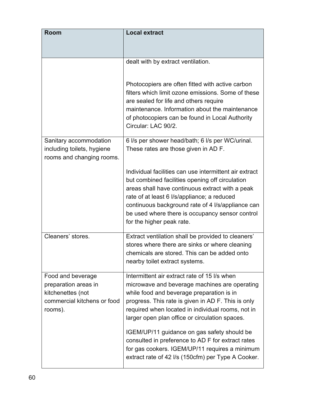| Room                                                                                                     | <b>Local extract</b>                                                                                                                                                                                                                                                                                                                                                                                        |  |  |
|----------------------------------------------------------------------------------------------------------|-------------------------------------------------------------------------------------------------------------------------------------------------------------------------------------------------------------------------------------------------------------------------------------------------------------------------------------------------------------------------------------------------------------|--|--|
|                                                                                                          |                                                                                                                                                                                                                                                                                                                                                                                                             |  |  |
|                                                                                                          | dealt with by extract ventilation.                                                                                                                                                                                                                                                                                                                                                                          |  |  |
|                                                                                                          |                                                                                                                                                                                                                                                                                                                                                                                                             |  |  |
|                                                                                                          | Photocopiers are often fitted with active carbon<br>filters which limit ozone emissions. Some of these<br>are sealed for life and others require<br>maintenance. Information about the maintenance<br>of photocopiers can be found in Local Authority<br>Circular: LAC 90/2.                                                                                                                                |  |  |
| Sanitary accommodation<br>including toilets, hygiene<br>rooms and changing rooms.                        | 6 I/s per shower head/bath; 6 I/s per WC/urinal.<br>These rates are those given in AD F.                                                                                                                                                                                                                                                                                                                    |  |  |
|                                                                                                          | Individual facilities can use intermittent air extract<br>but combined facilities opening off circulation<br>areas shall have continuous extract with a peak<br>rate of at least 6 I/s/appliance; a reduced<br>continuous background rate of 4 l/s/appliance can<br>be used where there is occupancy sensor control<br>for the higher peak rate.                                                            |  |  |
| Cleaners' stores.                                                                                        | Extract ventilation shall be provided to cleaners'<br>stores where there are sinks or where cleaning<br>chemicals are stored. This can be added onto<br>nearby toilet extract systems.                                                                                                                                                                                                                      |  |  |
| Food and beverage<br>preparation areas in<br>kitchenettes (not<br>commercial kitchens or food<br>rooms). | Intermittent air extract rate of 15 I/s when<br>microwave and beverage machines are operating<br>while food and beverage preparation is in<br>progress. This rate is given in AD F. This is only<br>required when located in individual rooms, not in<br>larger open plan office or circulation spaces.<br>IGEM/UP/11 guidance on gas safety should be<br>consulted in preference to AD F for extract rates |  |  |
|                                                                                                          | for gas cookers. IGEM/UP/11 requires a minimum<br>extract rate of 42 I/s (150cfm) per Type A Cooker.                                                                                                                                                                                                                                                                                                        |  |  |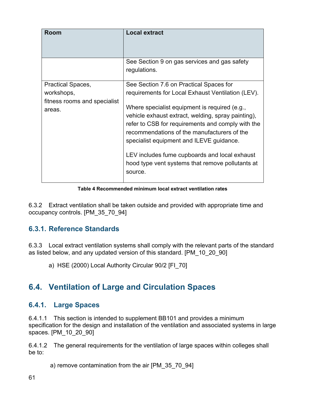| <b>Room</b>                            | <b>Local extract</b>                                                                                                                                                                                                                                                                                                                                                |
|----------------------------------------|---------------------------------------------------------------------------------------------------------------------------------------------------------------------------------------------------------------------------------------------------------------------------------------------------------------------------------------------------------------------|
|                                        | See Section 9 on gas services and gas safety<br>regulations.                                                                                                                                                                                                                                                                                                        |
| Practical Spaces,                      | See Section 7.6 on Practical Spaces for                                                                                                                                                                                                                                                                                                                             |
| workshops,                             | requirements for Local Exhaust Ventilation (LEV).                                                                                                                                                                                                                                                                                                                   |
| fitness rooms and specialist<br>areas. | Where specialist equipment is required (e.g.,<br>vehicle exhaust extract, welding, spray painting),<br>refer to CSB for requirements and comply with the<br>recommendations of the manufacturers of the<br>specialist equipment and ILEVE guidance.<br>LEV includes fume cupboards and local exhaust<br>hood type vent systems that remove pollutants at<br>source. |

**Table 4 Recommended minimum local extract ventilation rates**

6.3.2 Extract ventilation shall be taken outside and provided with appropriate time and occupancy controls. [PM\_35\_70\_94]

### **6.3.1. Reference Standards**

6.3.3 Local extract ventilation systems shall comply with the relevant parts of the standard as listed below, and any updated version of this standard. [PM\_10\_20\_90]

a) HSE (2000) Local Authority Circular 90/2 [FI\_70]

## **6.4. Ventilation of Large and Circulation Spaces**

### **6.4.1. Large Spaces**

6.4.1.1 This section is intended to supplement BB101 and provides a minimum specification for the design and installation of the ventilation and associated systems in large spaces. [PM\_10\_20\_90]

6.4.1.2 The general requirements for the ventilation of large spaces within colleges shall be to:

a) remove contamination from the air [PM\_35\_70\_94]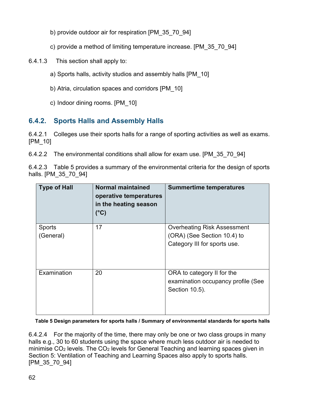- b) provide outdoor air for respiration [PM\_35\_70\_94]
- c) provide a method of limiting temperature increase. [PM\_35\_70\_94]
- 6.4.1.3 This section shall apply to:
	- a) Sports halls, activity studios and assembly halls [PM\_10]
	- b) Atria, circulation spaces and corridors [PM\_10]
	- c) Indoor dining rooms. [PM\_10]

### **6.4.2. Sports Halls and Assembly Halls**

6.4.2.1 Colleges use their sports halls for a range of sporting activities as well as exams. [PM\_10]

6.4.2.2 The environmental conditions shall allow for exam use. [PM\_35\_70\_94]

6.4.2.3 Table 5 provides a summary of the environmental criteria for the design of sports halls. [PM\_35\_70\_94]

| <b>Type of Hall</b>        | <b>Normal maintained</b><br>operative temperatures<br>in the heating season<br>$(^{\circ}C)$ | <b>Summertime temperatures</b>                                                                    |
|----------------------------|----------------------------------------------------------------------------------------------|---------------------------------------------------------------------------------------------------|
| <b>Sports</b><br>(General) | 17                                                                                           | <b>Overheating Risk Assessment</b><br>(ORA) (See Section 10.4) to<br>Category III for sports use. |
| Examination                | 20                                                                                           | ORA to category II for the<br>examination occupancy profile (See<br>Section 10.5).                |

#### **Table 5 Design parameters for sports halls / Summary of environmental standards for sports halls**

6.4.2.4 For the majority of the time, there may only be one or two class groups in many halls e.g., 30 to 60 students using the space where much less outdoor air is needed to minimise CO<sup>2</sup> levels. The CO<sup>2</sup> levels for General Teaching and learning spaces given in Section 5: Ventilation of Teaching and Learning Spaces also apply to sports halls. [PM\_35\_70\_94]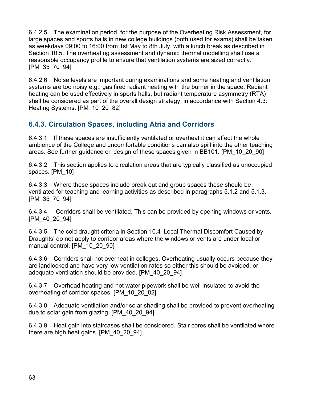6.4.2.5 The examination period, for the purpose of the Overheating Risk Assessment, for large spaces and sports halls in new college buildings (both used for exams) shall be taken as weekdays 09:00 to 16:00 from 1st May to 8th July, with a lunch break as described in Section 10.5. The overheating assessment and dynamic thermal modelling shall use a reasonable occupancy profile to ensure that ventilation systems are sized correctly. [PM\_35\_70\_94]

6.4.2.6 Noise levels are important during examinations and some heating and ventilation systems are too noisy e.g., gas fired radiant heating with the burner in the space. Radiant heating can be used effectively in sports halls, but radiant temperature asymmetry (RTA) shall be considered as part of the overall design strategy, in accordance with Section 4.3: Heating Systems. [PM 10 20 82]

### **6.4.3. Circulation Spaces, including Atria and Corridors**

6.4.3.1 If these spaces are insufficiently ventilated or overheat it can affect the whole ambience of the College and uncomfortable conditions can also spill into the other teaching areas. See further guidance on design of these spaces given in BB101. [PM\_10\_20\_90]

6.4.3.2 This section applies to circulation areas that are typically classified as unoccupied spaces. [PM\_10]

6.4.3.3 Where these spaces include break out and group spaces these should be ventilated for teaching and learning activities as described in paragraphs 5.1.2 and 5.1.3. [PM\_35\_70\_94]

6.4.3.4 Corridors shall be ventilated. This can be provided by opening windows or vents. [PM\_40\_20\_94]

6.4.3.5 The cold draught criteria in Section 10.4 'Local Thermal Discomfort Caused by Draughts' do not apply to corridor areas where the windows or vents are under local or manual control. [PM\_10\_20\_90]

6.4.3.6 Corridors shall not overheat in colleges. Overheating usually occurs because they are landlocked and have very low ventilation rates so either this should be avoided, or adequate ventilation should be provided. [PM\_40\_20\_94]

6.4.3.7 Overhead heating and hot water pipework shall be well insulated to avoid the overheating of corridor spaces. [PM\_10\_20\_82]

6.4.3.8 Adequate ventilation and/or solar shading shall be provided to prevent overheating due to solar gain from glazing. [PM\_40\_20\_94]

6.4.3.9 Heat gain into staircases shall be considered. Stair cores shall be ventilated where there are high heat gains. [PM\_40\_20\_94]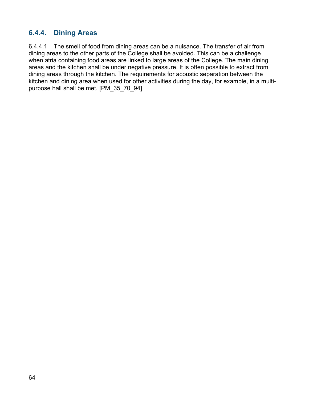#### **6.4.4. Dining Areas**

6.4.4.1 The smell of food from dining areas can be a nuisance. The transfer of air from dining areas to the other parts of the College shall be avoided. This can be a challenge when atria containing food areas are linked to large areas of the College. The main dining areas and the kitchen shall be under negative pressure. It is often possible to extract from dining areas through the kitchen. The requirements for acoustic separation between the kitchen and dining area when used for other activities during the day, for example, in a multipurpose hall shall be met. [PM\_35\_70\_94]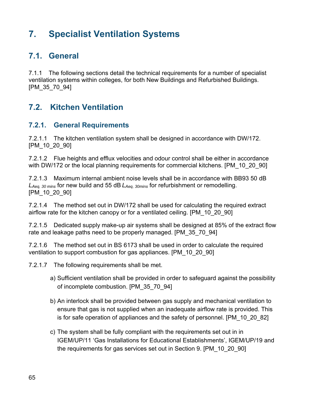# **7. Specialist Ventilation Systems**

### **7.1. General**

7.1.1 The following sections detail the technical requirements for a number of specialist ventilation systems within colleges, for both New Buildings and Refurbished Buildings. [PM\_35\_70\_94]

### **7.2. Kitchen Ventilation**

#### **7.2.1. General Requirements**

7.2.1.1 The kitchen ventilation system shall be designed in accordance with DW/172. [PM\_10\_20\_90]

7.2.1.2 Flue heights and efflux velocities and odour control shall be either in accordance with DW/172 or the local planning requirements for commercial kitchens. [PM\_10\_20\_90]

7.2.1.3 Maximum internal ambient noise levels shall be in accordance with BB93 50 dB *LAeq, 30 mins* for new build and 55 dB *LAeq, 30mins* for refurbishment or remodelling. [PM\_10\_20\_90]

7.2.1.4 The method set out in DW/172 shall be used for calculating the required extract airflow rate for the kitchen canopy or for a ventilated ceiling. [PM\_10\_20\_90]

7.2.1.5 Dedicated supply make-up air systems shall be designed at 85% of the extract flow rate and leakage paths need to be properly managed. [PM\_35\_70\_94]

7.2.1.6 The method set out in BS 6173 shall be used in order to calculate the required ventilation to support combustion for gas appliances. [PM\_10\_20\_90]

7.2.1.7 The following requirements shall be met.

- a) Sufficient ventilation shall be provided in order to safeguard against the possibility of incomplete combustion. [PM\_35\_70\_94]
- b) An interlock shall be provided between gas supply and mechanical ventilation to ensure that gas is not supplied when an inadequate airflow rate is provided. This is for safe operation of appliances and the safety of personnel. [PM\_10\_20\_82]
- c) The system shall be fully compliant with the requirements set out in in IGEM/UP/11 'Gas Installations for Educational Establishments', IGEM/UP/19 and the requirements for gas services set out in Section 9. [PM\_10\_20\_90]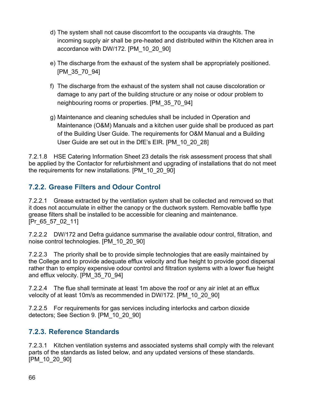- d) The system shall not cause discomfort to the occupants via draughts. The incoming supply air shall be pre-heated and distributed within the Kitchen area in accordance with DW/172. [PM\_10\_20\_90]
- e) The discharge from the exhaust of the system shall be appropriately positioned. [PM\_35\_70\_94]
- f) The discharge from the exhaust of the system shall not cause discoloration or damage to any part of the building structure or any noise or odour problem to neighbouring rooms or properties. [PM\_35\_70\_94]
- g) Maintenance and cleaning schedules shall be included in Operation and Maintenance (O&M) Manuals and a kitchen user guide shall be produced as part of the Building User Guide. The requirements for O&M Manual and a Building User Guide are set out in the DfE's EIR. [PM\_10\_20\_28]

7.2.1.8 HSE Catering Information Sheet 23 details the risk assessment process that shall be applied by the Contactor for refurbishment and upgrading of installations that do not meet the requirements for new installations. [PM\_10\_20\_90]

### **7.2.2. Grease Filters and Odour Control**

7.2.2.1 Grease extracted by the ventilation system shall be collected and removed so that it does not accumulate in either the canopy or the ductwork system. Removable baffle type grease filters shall be installed to be accessible for cleaning and maintenance. [Pr\_65\_57\_02\_11]

7.2.2.2 DW/172 and Defra guidance summarise the available odour control, filtration, and noise control technologies. [PM\_10\_20\_90]

7.2.2.3 The priority shall be to provide simple technologies that are easily maintained by the College and to provide adequate efflux velocity and flue height to provide good dispersal rather than to employ expensive odour control and filtration systems with a lower flue height and efflux velocity. [PM\_35\_70\_94]

7.2.2.4 The flue shall terminate at least 1m above the roof or any air inlet at an efflux velocity of at least 10m/s as recommended in DW/172. [PM\_10\_20\_90]

7.2.2.5 For requirements for gas services including interlocks and carbon dioxide detectors; See Section 9. [PM\_10\_20\_90]

### **7.2.3. Reference Standards**

7.2.3.1 Kitchen ventilation systems and associated systems shall comply with the relevant parts of the standards as listed below, and any updated versions of these standards. [PM\_10\_20\_90]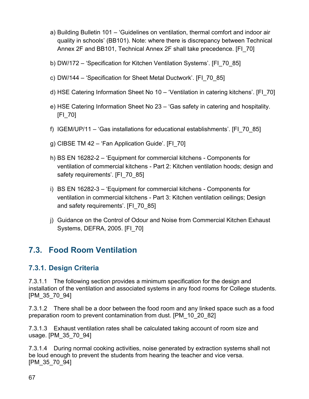- a) Building Bulletin 101 'Guidelines on ventilation, thermal comfort and indoor air quality in schools' (BB101). Note: where there is discrepancy between Technical Annex 2F and BB101, Technical Annex 2F shall take precedence. [FI\_70]
- b) DW/172 'Specification for Kitchen Ventilation Systems'. [FI\_70\_85]
- c) DW/144 'Specification for Sheet Metal Ductwork'. [FI\_70\_85]
- d) HSE Catering Information Sheet No 10 'Ventilation in catering kitchens'. [FI\_70]
- e) HSE Catering Information Sheet No 23 'Gas safety in catering and hospitality. [FI\_70]
- f) IGEM/UP/11 'Gas installations for educational establishments'. [FI\_70\_85]
- g) CIBSE TM 42 'Fan Application Guide'. [FI\_70]
- h) BS EN 16282-2 'Equipment for commercial kitchens Components for ventilation of commercial kitchens - Part 2: Kitchen ventilation hoods; design and safety requirements'. [FI\_70\_85]
- i) BS EN 16282-3 'Equipment for commercial kitchens Components for ventilation in commercial kitchens - Part 3: Kitchen ventilation ceilings; Design and safety requirements'. [FI\_70\_85]
- j) Guidance on the Control of Odour and Noise from Commercial Kitchen Exhaust Systems, DEFRA, 2005. [FI\_70]

### **7.3. Food Room Ventilation**

#### **7.3.1. Design Criteria**

7.3.1.1 The following section provides a minimum specification for the design and installation of the ventilation and associated systems in any food rooms for College students. [PM\_35\_70\_94]

7.3.1.2 There shall be a door between the food room and any linked space such as a food preparation room to prevent contamination from dust. [PM\_10\_20\_82]

7.3.1.3 Exhaust ventilation rates shall be calculated taking account of room size and usage. [PM\_35\_70\_94]

7.3.1.4 During normal cooking activities, noise generated by extraction systems shall not be loud enough to prevent the students from hearing the teacher and vice versa. [PM\_35\_70\_94]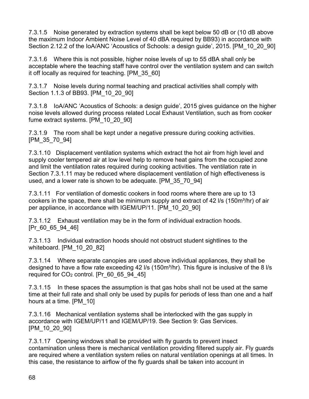7.3.1.5 Noise generated by extraction systems shall be kept below 50 dB or (10 dB above the maximum Indoor Ambient Noise Level of 40 dBA required by BB93) in accordance with Section 2.12.2 of the IoA/ANC 'Acoustics of Schools: a design guide', 2015. [PM\_10\_20\_90]

7.3.1.6 Where this is not possible, higher noise levels of up to 55 dBA shall only be acceptable where the teaching staff have control over the ventilation system and can switch it off locally as required for teaching. [PM\_35\_60]

7.3.1.7 Noise levels during normal teaching and practical activities shall comply with Section 1.1.3 of BB93. [PM\_10\_20\_90]

7.3.1.8 IoA/ANC 'Acoustics of Schools: a design guide', 2015 gives guidance on the higher noise levels allowed during process related Local Exhaust Ventilation, such as from cooker fume extract systems. [PM\_10\_20\_90]

7.3.1.9 The room shall be kept under a negative pressure during cooking activities. [PM\_35\_70\_94]

7.3.1.10 Displacement ventilation systems which extract the hot air from high level and supply cooler tempered air at low level help to remove heat gains from the occupied zone and limit the ventilation rates required during cooking activities. The ventilation rate in Section 7.3.1.11 may be reduced where displacement ventilation of high effectiveness is used, and a lower rate is shown to be adequate. [PM\_35\_70\_94]

7.3.1.11 For ventilation of domestic cookers in food rooms where there are up to 13 cookers in the space, there shall be minimum supply and extract of 42 I/s (150m<sup>3</sup>/hr) of air per appliance, in accordance with IGEM/UP/11. [PM\_10\_20\_90]

7.3.1.12 Exhaust ventilation may be in the form of individual extraction hoods. [Pr\_60\_65\_94\_46]

7.3.1.13 Individual extraction hoods should not obstruct student sightlines to the whiteboard. [PM\_10\_20\_82]

7.3.1.14 Where separate canopies are used above individual appliances, they shall be designed to have a flow rate exceeding 42  $\frac{1}{5}$  (150m<sup>3</sup>/hr). This figure is inclusive of the 8  $\frac{1}{5}$ required for  $CO<sub>2</sub>$  control. [Pr 60 65 94 45]

7.3.1.15 In these spaces the assumption is that gas hobs shall not be used at the same time at their full rate and shall only be used by pupils for periods of less than one and a half hours at a time. [PM\_10]

7.3.1.16 Mechanical ventilation systems shall be interlocked with the gas supply in accordance with IGEM/UP/11 and IGEM/UP/19. See Section 9: Gas Services. [PM\_10\_20\_90]

7.3.1.17 Opening windows shall be provided with fly guards to prevent insect contamination unless there is mechanical ventilation providing filtered supply air. Fly guards are required where a ventilation system relies on natural ventilation openings at all times. In this case, the resistance to airflow of the fly guards shall be taken into account in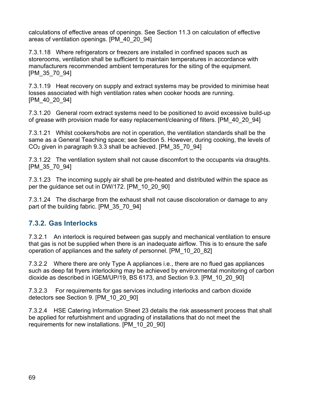calculations of effective areas of openings. See Section 11.3 on calculation of effective areas of ventilation openings. [PM\_40\_20\_94]

7.3.1.18 Where refrigerators or freezers are installed in confined spaces such as storerooms, ventilation shall be sufficient to maintain temperatures in accordance with manufacturers recommended ambient temperatures for the siting of the equipment. [PM\_35\_70\_94]

7.3.1.19 Heat recovery on supply and extract systems may be provided to minimise heat losses associated with high ventilation rates when cooker hoods are running. [PM\_40\_20\_94]

7.3.1.20 General room extract systems need to be positioned to avoid excessive build-up of grease with provision made for easy replacement/cleaning of filters. [PM\_40\_20\_94]

7.3.1.21 Whilst cookers/hobs are not in operation, the ventilation standards shall be the same as a General Teaching space; see Section 5. However, during cooking, the levels of CO<sup>2</sup> given in paragraph 9.3.3 shall be achieved. [PM\_35\_70\_94]

7.3.1.22 The ventilation system shall not cause discomfort to the occupants via draughts. [PM\_35\_70\_94]

7.3.1.23 The incoming supply air shall be pre-heated and distributed within the space as per the guidance set out in DW/172. [PM\_10\_20\_90]

7.3.1.24 The discharge from the exhaust shall not cause discoloration or damage to any part of the building fabric. [PM\_35\_70\_94]

### **7.3.2. Gas Interlocks**

7.3.2.1 An interlock is required between gas supply and mechanical ventilation to ensure that gas is not be supplied when there is an inadequate airflow. This is to ensure the safe operation of appliances and the safety of personnel. [PM\_10\_20\_82]

7.3.2.2 Where there are only Type A appliances i.e., there are no flued gas appliances such as deep fat fryers interlocking may be achieved by environmental monitoring of carbon dioxide as described in IGEM/UP/19, BS 6173, and Section 9.3. [PM\_10\_20\_90]

7.3.2.3 For requirements for gas services including interlocks and carbon dioxide detectors see Section 9. [PM\_10\_20\_90]

7.3.2.4 HSE Catering Information Sheet 23 details the risk assessment process that shall be applied for refurbishment and upgrading of installations that do not meet the requirements for new installations. [PM\_10\_20\_90]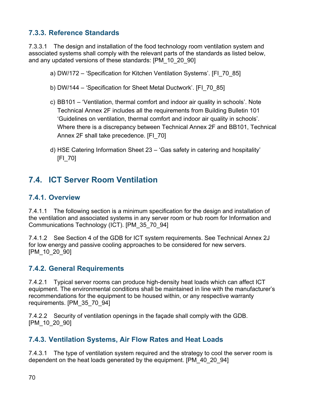### **7.3.3. Reference Standards**

7.3.3.1 The design and installation of the food technology room ventilation system and associated systems shall comply with the relevant parts of the standards as listed below, and any updated versions of these standards: [PM\_10\_20\_90]

- a) DW/172 'Specification for Kitchen Ventilation Systems'. [FI\_70\_85]
- b) DW/144 'Specification for Sheet Metal Ductwork'. [FI\_70\_85]
- c) BB101 'Ventilation, thermal comfort and indoor air quality in schools'. Note Technical Annex 2F includes all the requirements from Building Bulletin 101 'Guidelines on ventilation, thermal comfort and indoor air quality in schools'. Where there is a discrepancy between Technical Annex 2F and BB101, Technical Annex 2F shall take precedence. [FI\_70]
- d) HSE Catering Information Sheet 23 'Gas safety in catering and hospitality' [FI\_70]

### **7.4. ICT Server Room Ventilation**

#### **7.4.1. Overview**

7.4.1.1 The following section is a minimum specification for the design and installation of the ventilation and associated systems in any server room or hub room for Information and Communications Technology (ICT). [PM\_35\_70\_94]

7.4.1.2 See Section 4 of the GDB for ICT system requirements. See Technical Annex 2J for low energy and passive cooling approaches to be considered for new servers. [PM\_10\_20\_90]

#### **7.4.2. General Requirements**

7.4.2.1 Typical server rooms can produce high-density heat loads which can affect ICT equipment. The environmental conditions shall be maintained in line with the manufacturer's recommendations for the equipment to be housed within, or any respective warranty requirements. [PM\_35\_70\_94]

7.4.2.2 Security of ventilation openings in the façade shall comply with the GDB. [PM\_10\_20\_90]

#### **7.4.3. Ventilation Systems, Air Flow Rates and Heat Loads**

7.4.3.1 The type of ventilation system required and the strategy to cool the server room is dependent on the heat loads generated by the equipment. [PM\_40\_20\_94]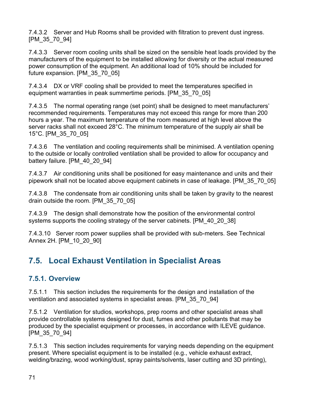7.4.3.2 Server and Hub Rooms shall be provided with filtration to prevent dust ingress. [PM\_35\_70\_94]

7.4.3.3 Server room cooling units shall be sized on the sensible heat loads provided by the manufacturers of the equipment to be installed allowing for diversity or the actual measured power consumption of the equipment. An additional load of 10% should be included for future expansion. [PM\_35\_70\_05]

7.4.3.4 DX or VRF cooling shall be provided to meet the temperatures specified in equipment warranties in peak summertime periods. [PM\_35\_70\_05]

7.4.3.5 The normal operating range (set point) shall be designed to meet manufacturers' recommended requirements. Temperatures may not exceed this range for more than 200 hours a year. The maximum temperature of the room measured at high level above the server racks shall not exceed 28°C. The minimum temperature of the supply air shall be 15°C. [PM\_35\_70\_05]

7.4.3.6 The ventilation and cooling requirements shall be minimised. A ventilation opening to the outside or locally controlled ventilation shall be provided to allow for occupancy and battery failure. [PM 40 20 94]

7.4.3.7 Air conditioning units shall be positioned for easy maintenance and units and their pipework shall not be located above equipment cabinets in case of leakage. [PM\_35\_70\_05]

7.4.3.8 The condensate from air conditioning units shall be taken by gravity to the nearest drain outside the room. [PM\_35\_70\_05]

7.4.3.9 The design shall demonstrate how the position of the environmental control systems supports the cooling strategy of the server cabinets. [PM\_40\_20\_38]

7.4.3.10 Server room power supplies shall be provided with sub-meters. See Technical Annex 2H. [PM\_10\_20\_90]

## **7.5. Local Exhaust Ventilation in Specialist Areas**

### **7.5.1. Overview**

7.5.1.1 This section includes the requirements for the design and installation of the ventilation and associated systems in specialist areas. [PM\_35\_70\_94]

7.5.1.2 Ventilation for studios, workshops, prep rooms and other specialist areas shall provide controllable systems designed for dust, fumes and other pollutants that may be produced by the specialist equipment or processes, in accordance with ILEVE guidance. [PM\_35\_70\_94]

7.5.1.3 This section includes requirements for varying needs depending on the equipment present. Where specialist equipment is to be installed (e.g., vehicle exhaust extract, welding/brazing, wood working/dust, spray paints/solvents, laser cutting and 3D printing),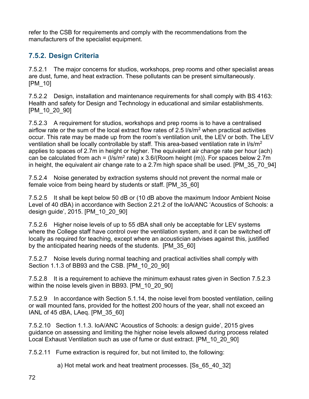refer to the CSB for requirements and comply with the recommendations from the manufacturers of the specialist equipment.

### **7.5.2. Design Criteria**

7.5.2.1 The major concerns for studios, workshops, prep rooms and other specialist areas are dust, fume, and heat extraction. These pollutants can be present simultaneously. [PM\_10]

7.5.2.2 Design, installation and maintenance requirements for shall comply with BS 4163: Health and safety for Design and Technology in educational and similar establishments. [PM\_10\_20\_90]

7.5.2.3 A requirement for studios, workshops and prep rooms is to have a centralised airflow rate or the sum of the local extract flow rates of 2.5  $\frac{1}{s}$  when practical activities occur. This rate may be made up from the room's ventilation unit, the LEV or both. The LEV ventilation shall be locally controllable by staff. This area-based ventilation rate in l/s/m<sup>2</sup> applies to spaces of 2.7m in height or higher. The equivalent air change rate per hour (ach) can be calculated from ach = (I/s/m<sup>2</sup> rate) x 3.6/(Room height (m)). For spaces below 2.7m in height, the equivalent air change rate to a 2.7m high space shall be used. [PM\_35\_70\_94]

7.5.2.4 Noise generated by extraction systems should not prevent the normal male or female voice from being heard by students or staff. [PM\_35\_60]

7.5.2.5 It shall be kept below 50 dB or (10 dB above the maximum Indoor Ambient Noise Level of 40 dBA) in accordance with Section 2.21.2 of the IoA/ANC 'Acoustics of Schools: a design guide', 2015. [PM\_10\_20\_90]

7.5.2.6 Higher noise levels of up to 55 dBA shall only be acceptable for LEV systems where the College staff have control over the ventilation system, and it can be switched off locally as required for teaching, except where an acoustician advises against this, justified by the anticipated hearing needs of the students. [PM\_35\_60]

7.5.2.7 Noise levels during normal teaching and practical activities shall comply with Section 1.1.3 of BB93 and the CSB. [PM\_10\_20\_90]

7.5.2.8 It is a requirement to achieve the minimum exhaust rates given in Section 7.5.2.3 within the noise levels given in BB93. [PM\_10\_20\_90]

7.5.2.9 In accordance with Section 5.1.14, the noise level from boosted ventilation, ceiling or wall mounted fans, provided for the hottest 200 hours of the year, shall not exceed an IANL of 45 dBA, LAeq. [PM\_35\_60]

7.5.2.10 Section 1.1.3. IoA/ANC 'Acoustics of Schools: a design guide', 2015 gives guidance on assessing and limiting the higher noise levels allowed during process related Local Exhaust Ventilation such as use of fume or dust extract. [PM\_10\_20\_90]

7.5.2.11 Fume extraction is required for, but not limited to, the following:

a) Hot metal work and heat treatment processes. [Ss\_65\_40\_32]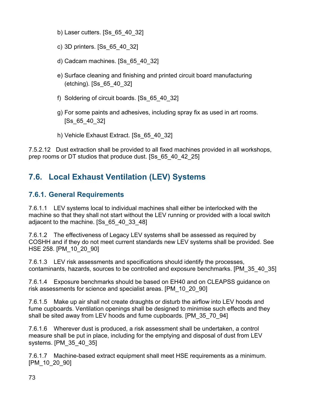- b) Laser cutters. [Ss\_65\_40\_32]
- c) 3D printers. [Ss\_65\_40\_32]
- d) Cadcam machines. [Ss\_65\_40\_32]
- e) Surface cleaning and finishing and printed circuit board manufacturing (etching). [Ss\_65\_40\_32]
- f) Soldering of circuit boards. [Ss\_65\_40\_32]
- g) For some paints and adhesives, including spray fix as used in art rooms. [Ss\_65\_40\_32]
- h) Vehicle Exhaust Extract. [Ss\_65\_40\_32]

7.5.2.12 Dust extraction shall be provided to all fixed machines provided in all workshops, prep rooms or DT studios that produce dust. [Ss\_65\_40\_42\_25]

## **7.6. Local Exhaust Ventilation (LEV) Systems**

#### **7.6.1. General Requirements**

7.6.1.1 LEV systems local to individual machines shall either be interlocked with the machine so that they shall not start without the LEV running or provided with a local switch adjacent to the machine. [Ss\_65\_40\_33\_48]

7.6.1.2 The effectiveness of Legacy LEV systems shall be assessed as required by COSHH and if they do not meet current standards new LEV systems shall be provided. See HSE 258. [PM\_10\_20\_90]

7.6.1.3 LEV risk assessments and specifications should identify the processes, contaminants, hazards, sources to be controlled and exposure benchmarks. [PM\_35\_40\_35]

7.6.1.4 Exposure benchmarks should be based on EH40 and on CLEAPSS guidance on risk assessments for science and specialist areas. [PM\_10\_20\_90]

7.6.1.5 Make up air shall not create draughts or disturb the airflow into LEV hoods and fume cupboards. Ventilation openings shall be designed to minimise such effects and they shall be sited away from LEV hoods and fume cupboards. [PM\_35\_70\_94]

7.6.1.6 Wherever dust is produced, a risk assessment shall be undertaken, a control measure shall be put in place, including for the emptying and disposal of dust from LEV systems. [PM\_35\_40\_35]

7.6.1.7 Machine-based extract equipment shall meet HSE requirements as a minimum. [PM\_10\_20\_90]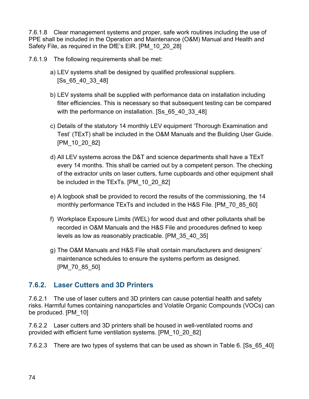7.6.1.8 Clear management systems and proper, safe work routines including the use of PPE shall be included in the Operation and Maintenance (O&M) Manual and Health and Safety File, as required in the DfE's EIR. [PM\_10\_20\_28]

7.6.1.9 The following requirements shall be met:

- a) LEV systems shall be designed by qualified professional suppliers. [Ss\_65\_40\_33\_48]
- b) LEV systems shall be supplied with performance data on installation including filter efficiencies. This is necessary so that subsequent testing can be compared with the performance on installation. [Ss 65 40 33 48]
- c) Details of the statutory 14 monthly LEV equipment 'Thorough Examination and Test' (TExT) shall be included in the O&M Manuals and the Building User Guide. [PM\_10\_20\_82]
- d) All LEV systems across the D&T and science departments shall have a TExT every 14 months. This shall be carried out by a competent person. The checking of the extractor units on laser cutters, fume cupboards and other equipment shall be included in the TExTs. [PM\_10\_20\_82]
- e) A logbook shall be provided to record the results of the commissioning, the 14 monthly performance TExTs and included in the H&S File. [PM\_70\_85\_60]
- f) Workplace Exposure Limits (WEL) for wood dust and other pollutants shall be recorded in O&M Manuals and the H&S File and procedures defined to keep levels as low as reasonably practicable. [PM\_35\_40\_35]
- g) The O&M Manuals and H&S File shall contain manufacturers and designers' maintenance schedules to ensure the systems perform as designed. [PM\_70\_85\_50]

### **7.6.2. Laser Cutters and 3D Printers**

7.6.2.1 The use of laser cutters and 3D printers can cause potential health and safety risks. Harmful fumes containing nanoparticles and Volatile Organic Compounds (VOCs) can be produced. [PM\_10]

7.6.2.2 Laser cutters and 3D printers shall be housed in well-ventilated rooms and provided with efficient fume ventilation systems. [PM\_10\_20\_82]

7.6.2.3 There are two types of systems that can be used as shown in Table 6. [Ss\_65\_40]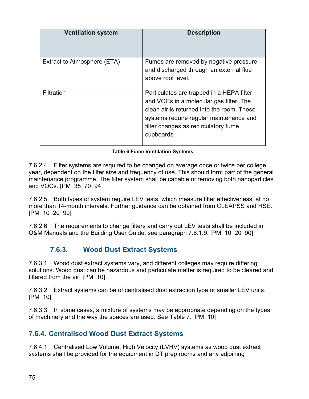| <b>Ventilation system</b>   | <b>Description</b>                                                                                                                                                                                                                  |
|-----------------------------|-------------------------------------------------------------------------------------------------------------------------------------------------------------------------------------------------------------------------------------|
| Extract to Atmosphere (ETA) | Fumes are removed by negative pressure<br>and discharged through an external flue<br>above roof level.                                                                                                                              |
| Filtration                  | Particulates are trapped in a HEPA filter<br>and VOCs in a molecular gas filter. The<br>clean air is returned into the room. These<br>systems require regular maintenance and<br>filter changes as recirculatory fume<br>cupboards. |

#### **Table 6 Fume Ventilation Systems**

7.6.2.4 Filter systems are required to be changed on average once or twice per college year, dependent on the filter size and frequency of use. This should form part of the general maintenance programme. The filter system shall be capable of removing both nanoparticles and VOCs. [PM\_35\_70\_94]

7.6.2.5 Both types of system require LEV tests, which measure filter effectiveness, at no more than 14-month intervals. Further guidance can be obtained from CLEAPSS and HSE. [PM\_10\_20\_90]

7.6.2.6 The requirements to change filters and carry out LEV tests shall be included in O&M Manuals and the Building User Guide, see paragraph 7.6.1.9. [PM\_10\_20\_90]

### **7.6.3. Wood Dust Extract Systems**

7.6.3.1 Wood dust extract systems vary, and different colleges may require differing solutions. Wood dust can be hazardous and particulate matter is required to be cleared and filtered from the air. [PM\_10]

7.6.3.2 Extract systems can be of centralised dust extraction type or smaller LEV units. [PM\_10]

7.6.3.3 In some cases, a mixture of systems may be appropriate depending on the types of machinery and the way the spaces are used. See Table 7. [PM\_10]

### **7.6.4. Centralised Wood Dust Extract Systems**

7.6.4.1 Centralised Low Volume, High Velocity (LVHV) systems as wood dust extract systems shall be provided for the equipment in DT prep rooms and any adjoining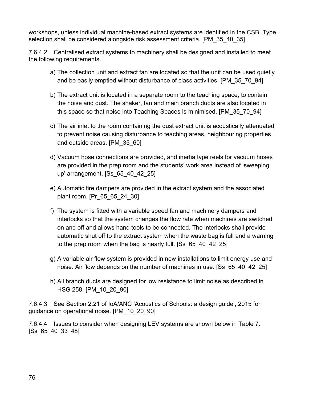workshops, unless individual machine-based extract systems are identified in the CSB. Type selection shall be considered alongside risk assessment criteria. [PM\_35\_40\_35]

7.6.4.2 Centralised extract systems to machinery shall be designed and installed to meet the following requirements.

- a) The collection unit and extract fan are located so that the unit can be used quietly and be easily emptied without disturbance of class activities. [PM\_35\_70\_94]
- b) The extract unit is located in a separate room to the teaching space, to contain the noise and dust. The shaker, fan and main branch ducts are also located in this space so that noise into Teaching Spaces is minimised. [PM\_35\_70\_94]
- c) The air inlet to the room containing the dust extract unit is acoustically attenuated to prevent noise causing disturbance to teaching areas, neighbouring properties and outside areas. [PM\_35\_60]
- d) Vacuum hose connections are provided, and inertia type reels for vacuum hoses are provided in the prep room and the students' work area instead of 'sweeping up' arrangement. [Ss\_65\_40\_42\_25]
- e) Automatic fire dampers are provided in the extract system and the associated plant room. [Pr\_65\_65\_24\_30]
- f) The system is fitted with a variable speed fan and machinery dampers and interlocks so that the system changes the flow rate when machines are switched on and off and allows hand tools to be connected. The interlocks shall provide automatic shut off to the extract system when the waste bag is full and a warning to the prep room when the bag is nearly full. [Ss\_65\_40\_42\_25]
- g) A variable air flow system is provided in new installations to limit energy use and noise. Air flow depends on the number of machines in use. [Ss\_65\_40\_42\_25]
- h) All branch ducts are designed for low resistance to limit noise as described in HSG 258. [PM\_10\_20\_90]

7.6.4.3 See Section 2.21 of IoA/ANC 'Acoustics of Schools: a design guide', 2015 for guidance on operational noise. [PM\_10\_20\_90]

7.6.4.4 Issues to consider when designing LEV systems are shown below in Table 7. [Ss\_65\_40\_33\_48]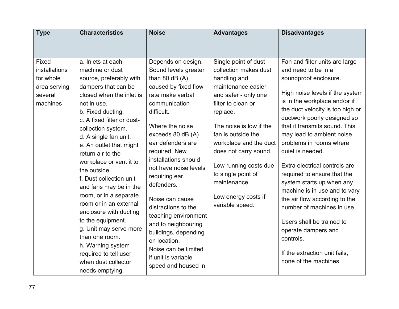| <b>Type</b>                                                                | <b>Characteristics</b>                                                                                                                                                                                                                                                                                                                                                                                                                                                                                                                                                                                                     | <b>Noise</b>                                                                                                                                                                                                                                                                                                                                                                                                                                                                                                  | <b>Advantages</b>                                                                                                                                                                                                                                                                                                                                          | <b>Disadvantages</b>                                                                                                                                                                                                                                                                                                                                                                                                                                                                                                                                                                                                                                      |
|----------------------------------------------------------------------------|----------------------------------------------------------------------------------------------------------------------------------------------------------------------------------------------------------------------------------------------------------------------------------------------------------------------------------------------------------------------------------------------------------------------------------------------------------------------------------------------------------------------------------------------------------------------------------------------------------------------------|---------------------------------------------------------------------------------------------------------------------------------------------------------------------------------------------------------------------------------------------------------------------------------------------------------------------------------------------------------------------------------------------------------------------------------------------------------------------------------------------------------------|------------------------------------------------------------------------------------------------------------------------------------------------------------------------------------------------------------------------------------------------------------------------------------------------------------------------------------------------------------|-----------------------------------------------------------------------------------------------------------------------------------------------------------------------------------------------------------------------------------------------------------------------------------------------------------------------------------------------------------------------------------------------------------------------------------------------------------------------------------------------------------------------------------------------------------------------------------------------------------------------------------------------------------|
| Fixed<br>installations<br>for whole<br>area serving<br>several<br>machines | a. Inlets at each<br>machine or dust<br>source, preferably with<br>dampers that can be<br>closed when the inlet is<br>not in use.<br>b. Fixed ducting.<br>c. A fixed filter or dust-<br>collection system.<br>d. A single fan unit.<br>e. An outlet that might<br>return air to the<br>workplace or vent it to<br>the outside.<br>f. Dust collection unit<br>and fans may be in the<br>room, or in a separate<br>room or in an external<br>enclosure with ducting<br>to the equipment.<br>g. Unit may serve more<br>than one room.<br>h. Warning system<br>required to tell user<br>when dust collector<br>needs emptying. | Depends on design.<br>Sound levels greater<br>than 80 $dB(A)$<br>caused by fixed flow<br>rate make verbal<br>communication<br>difficult.<br>Where the noise<br>exceeds 80 dB (A)<br>ear defenders are<br>required. New<br>installations should<br>not have noise levels<br>requiring ear<br>defenders.<br>Noise can cause<br>distractions to the<br>teaching environment<br>and to neighbouring<br>buildings, depending<br>on location.<br>Noise can be limited<br>if unit is variable<br>speed and housed in | Single point of dust<br>collection makes dust<br>handling and<br>maintenance easier<br>and safer - only one<br>filter to clean or<br>replace.<br>The noise is low if the<br>fan is outside the<br>workplace and the duct<br>does not carry sound.<br>Low running costs due<br>to single point of<br>maintenance.<br>Low energy costs if<br>variable speed. | Fan and filter units are large<br>and need to be in a<br>soundproof enclosure.<br>High noise levels if the system<br>is in the workplace and/or if<br>the duct velocity is too high or<br>ductwork poorly designed so<br>that it transmits sound. This<br>may lead to ambient noise<br>problems in rooms where<br>quiet is needed.<br>Extra electrical controls are<br>required to ensure that the<br>system starts up when any<br>machine is in use and to vary<br>the air flow according to the<br>number of machines in use.<br>Users shall be trained to<br>operate dampers and<br>controls.<br>If the extraction unit fails,<br>none of the machines |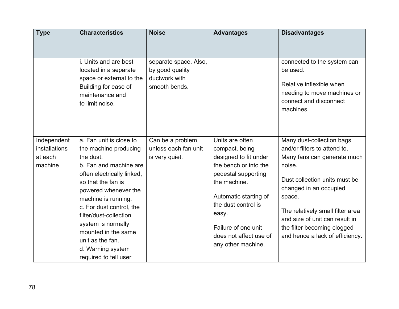| <b>Type</b>                                               | <b>Characteristics</b>                                                                                                                                                                                                                                                                                                                                          | <b>Noise</b>                                                               | <b>Advantages</b>                                                                                                                                                                                                                                          | <b>Disadvantages</b>                                                                                                                                                                                                                                                                                            |
|-----------------------------------------------------------|-----------------------------------------------------------------------------------------------------------------------------------------------------------------------------------------------------------------------------------------------------------------------------------------------------------------------------------------------------------------|----------------------------------------------------------------------------|------------------------------------------------------------------------------------------------------------------------------------------------------------------------------------------------------------------------------------------------------------|-----------------------------------------------------------------------------------------------------------------------------------------------------------------------------------------------------------------------------------------------------------------------------------------------------------------|
|                                                           |                                                                                                                                                                                                                                                                                                                                                                 |                                                                            |                                                                                                                                                                                                                                                            |                                                                                                                                                                                                                                                                                                                 |
|                                                           | i. Units and are best<br>located in a separate<br>space or external to the<br>Building for ease of<br>maintenance and<br>to limit noise.                                                                                                                                                                                                                        | separate space. Also,<br>by good quality<br>ductwork with<br>smooth bends. |                                                                                                                                                                                                                                                            | connected to the system can<br>be used.<br>Relative inflexible when<br>needing to move machines or<br>connect and disconnect<br>machines.                                                                                                                                                                       |
| Independent<br><b>installations</b><br>at each<br>machine | a. Fan unit is close to<br>the machine producing<br>the dust.<br>b. Fan and machine are<br>often electrically linked,<br>so that the fan is<br>powered whenever the<br>machine is running.<br>c. For dust control, the<br>filter/dust-collection<br>system is normally<br>mounted in the same<br>unit as the fan.<br>d. Warning system<br>required to tell user | Can be a problem<br>unless each fan unit<br>is very quiet.                 | Units are often<br>compact, being<br>designed to fit under<br>the bench or into the<br>pedestal supporting<br>the machine.<br>Automatic starting of<br>the dust control is<br>easy.<br>Failure of one unit<br>does not affect use of<br>any other machine. | Many dust-collection bags<br>and/or filters to attend to.<br>Many fans can generate much<br>noise.<br>Dust collection units must be<br>changed in an occupied<br>space.<br>The relatively small filter area<br>and size of unit can result in<br>the filter becoming clogged<br>and hence a lack of efficiency. |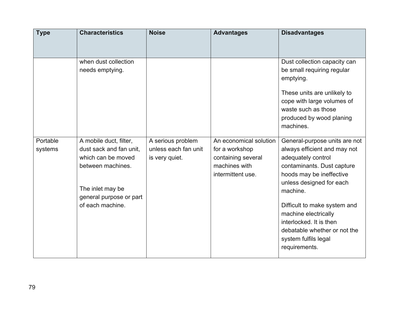| <b>Type</b>         | <b>Characteristics</b>                                                                                                                                          | <b>Noise</b>                                                | <b>Advantages</b>                                                                                    | <b>Disadvantages</b>                                                                                                                                                                                                                                                                                                                              |
|---------------------|-----------------------------------------------------------------------------------------------------------------------------------------------------------------|-------------------------------------------------------------|------------------------------------------------------------------------------------------------------|---------------------------------------------------------------------------------------------------------------------------------------------------------------------------------------------------------------------------------------------------------------------------------------------------------------------------------------------------|
|                     | when dust collection<br>needs emptying.                                                                                                                         |                                                             |                                                                                                      | Dust collection capacity can<br>be small requiring regular<br>emptying.<br>These units are unlikely to<br>cope with large volumes of<br>waste such as those<br>produced by wood planing<br>machines.                                                                                                                                              |
| Portable<br>systems | A mobile duct, filter,<br>dust sack and fan unit,<br>which can be moved<br>between machines.<br>The inlet may be<br>general purpose or part<br>of each machine. | A serious problem<br>unless each fan unit<br>is very quiet. | An economical solution<br>for a workshop<br>containing several<br>machines with<br>intermittent use. | General-purpose units are not<br>always efficient and may not<br>adequately control<br>contaminants. Dust capture<br>hoods may be ineffective<br>unless designed for each<br>machine.<br>Difficult to make system and<br>machine electrically<br>interlocked. It is then<br>debatable whether or not the<br>system fulfils legal<br>requirements. |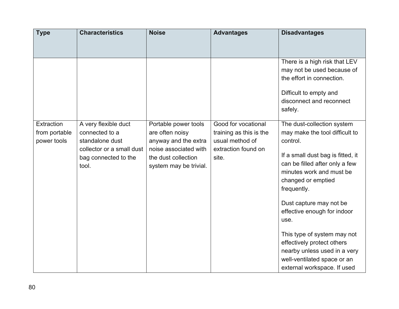| <b>Type</b>                                | <b>Characteristics</b>                                                                                                  | <b>Noise</b>                                                                                                                              | <b>Advantages</b>                                                                                 | <b>Disadvantages</b>                                                                                                                                                                                                                                                                                                                                                                                                                          |
|--------------------------------------------|-------------------------------------------------------------------------------------------------------------------------|-------------------------------------------------------------------------------------------------------------------------------------------|---------------------------------------------------------------------------------------------------|-----------------------------------------------------------------------------------------------------------------------------------------------------------------------------------------------------------------------------------------------------------------------------------------------------------------------------------------------------------------------------------------------------------------------------------------------|
|                                            |                                                                                                                         |                                                                                                                                           |                                                                                                   |                                                                                                                                                                                                                                                                                                                                                                                                                                               |
|                                            |                                                                                                                         |                                                                                                                                           |                                                                                                   | There is a high risk that LEV<br>may not be used because of<br>the effort in connection.                                                                                                                                                                                                                                                                                                                                                      |
|                                            |                                                                                                                         |                                                                                                                                           |                                                                                                   | Difficult to empty and<br>disconnect and reconnect<br>safely.                                                                                                                                                                                                                                                                                                                                                                                 |
| Extraction<br>from portable<br>power tools | A very flexible duct<br>connected to a<br>standalone dust<br>collector or a small dust<br>bag connected to the<br>tool. | Portable power tools<br>are often noisy<br>anyway and the extra<br>noise associated with<br>the dust collection<br>system may be trivial. | Good for vocational<br>training as this is the<br>usual method of<br>extraction found on<br>site. | The dust-collection system<br>may make the tool difficult to<br>control.<br>If a small dust bag is fitted, it<br>can be filled after only a few<br>minutes work and must be<br>changed or emptied<br>frequently.<br>Dust capture may not be<br>effective enough for indoor<br>use.<br>This type of system may not<br>effectively protect others<br>nearby unless used in a very<br>well-ventilated space or an<br>external workspace. If used |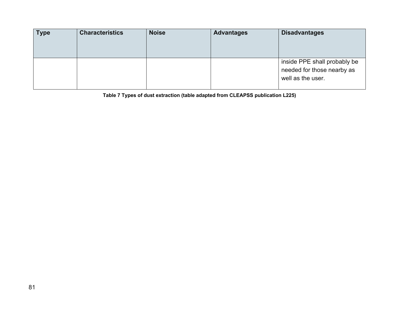| <b>Type</b> | <b>Characteristics</b> | <b>Noise</b> | <b>Advantages</b> | <b>Disadvantages</b>                                                            |
|-------------|------------------------|--------------|-------------------|---------------------------------------------------------------------------------|
|             |                        |              |                   | inside PPE shall probably be<br>needed for those nearby as<br>well as the user. |

**Table 7 Types of dust extraction (table adapted from CLEAPSS publication L225)**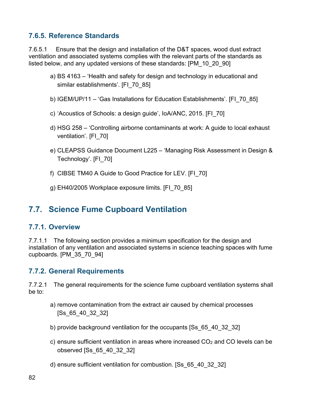### **7.6.5. Reference Standards**

7.6.5.1 Ensure that the design and installation of the D&T spaces, wood dust extract ventilation and associated systems complies with the relevant parts of the standards as listed below, and any updated versions of these standards: [PM\_10\_20\_90]

- a) BS 4163 'Health and safety for design and technology in educational and similar establishments'. [FI\_70\_85]
- b) IGEM/UP/11 'Gas Installations for Education Establishments'. [FI\_70\_85]
- c) 'Acoustics of Schools: a design guide', IoA/ANC, 2015. [FI\_70]
- d) HSG 258 'Controlling airborne contaminants at work: A guide to local exhaust ventilation'. [FI\_70]
- e) CLEAPSS Guidance Document L225 'Managing Risk Assessment in Design & Technology'. [FI\_70]
- f) CIBSE TM40 A Guide to Good Practice for LEV. [FI\_70]
- g) EH40/2005 Workplace exposure limits. [FI\_70\_85]

### **7.7. Science Fume Cupboard Ventilation**

#### **7.7.1. Overview**

7.7.1.1 The following section provides a minimum specification for the design and installation of any ventilation and associated systems in science teaching spaces with fume cupboards. [PM\_35\_70\_94]

#### **7.7.2. General Requirements**

7.7.2.1 The general requirements for the science fume cupboard ventilation systems shall be to:

- a) remove contamination from the extract air caused by chemical processes [Ss\_65\_40\_32\_32]
- b) provide background ventilation for the occupants [Ss\_65\_40\_32\_32]
- c) ensure sufficient ventilation in areas where increased  $CO<sub>2</sub>$  and CO levels can be observed [Ss\_65\_40\_32\_32]
- d) ensure sufficient ventilation for combustion. [Ss\_65\_40\_32\_32]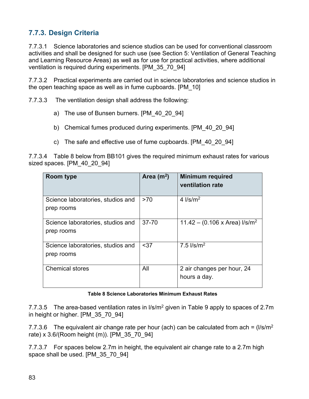### **7.7.3. Design Criteria**

7.7.3.1 Science laboratories and science studios can be used for conventional classroom activities and shall be designed for such use (see Section 5: Ventilation of General Teaching and Learning Resource Areas) as well as for use for practical activities, where additional ventilation is required during experiments. [PM\_35\_70\_94]

7.7.3.2 Practical experiments are carried out in science laboratories and science studios in the open teaching space as well as in fume cupboards. [PM\_10]

7.7.3.3 The ventilation design shall address the following:

- a) The use of Bunsen burners. [PM 40 20 94]
- b) Chemical fumes produced during experiments. [PM\_40\_20\_94]
- c) The safe and effective use of fume cupboards. [PM\_40\_20\_94]

7.7.3.4 Table 8 below from BB101 gives the required minimum exhaust rates for various sized spaces. [PM 40 20 94]

| Room type                                       | Area $(m^2)$ | <b>Minimum required</b><br>ventilation rate |
|-------------------------------------------------|--------------|---------------------------------------------|
| Science laboratories, studios and<br>prep rooms | >70          | 4 $\frac{ }{\text{S}}/m^2$                  |
|                                                 |              |                                             |
| Science laboratories, studios and               | $37 - 70$    | 11.42 – (0.106 x Area) $I/s/m2$             |
| prep rooms                                      |              |                                             |
| Science laboratories, studios and               | $37$         | $7.5$ $I/s/m2$                              |
| prep rooms                                      |              |                                             |
| <b>Chemical stores</b>                          | All          | 2 air changes per hour, 24                  |
|                                                 |              | hours a day.                                |

#### **Table 8 Science Laboratories Minimum Exhaust Rates**

7.7.3.5 The area-based ventilation rates in  $\frac{1}{s}$  m<sup>2</sup> given in Table 9 apply to spaces of 2.7m in height or higher. [PM\_35\_70\_94]

7.7.3.6 The equivalent air change rate per hour (ach) can be calculated from ach =  $\frac{1}{s/m^2}$ rate) x 3.6/(Room height (m)). [PM\_35\_70\_94]

7.7.3.7 For spaces below 2.7m in height, the equivalent air change rate to a 2.7m high space shall be used. [PM\_35\_70\_94]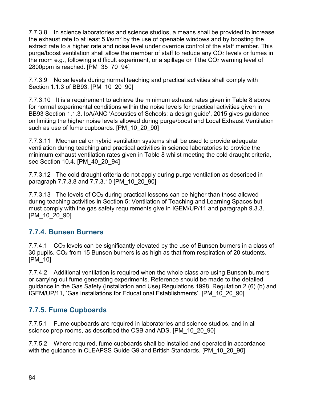7.7.3.8 In science laboratories and science studios, a means shall be provided to increase the exhaust rate to at least 5 l/s/m² by the use of openable windows and by boosting the extract rate to a higher rate and noise level under override control of the staff member. This purge/boost ventilation shall allow the member of staff to reduce any CO<sub>2</sub> levels or fumes in the room e.g., following a difficult experiment, or a spillage or if the  $CO<sub>2</sub>$  warning level of 2800ppm is reached. [PM\_35\_70\_94]

7.7.3.9 Noise levels during normal teaching and practical activities shall comply with Section 1.1.3 of BB93. [PM\_10\_20\_90]

7.7.3.10 It is a requirement to achieve the minimum exhaust rates given in Table 8 above for normal experimental conditions within the noise levels for practical activities given in BB93 Section 1.1.3. IoA/ANC 'Acoustics of Schools: a design guide', 2015 gives guidance on limiting the higher noise levels allowed during purge/boost and Local Exhaust Ventilation such as use of fume cupboards. [PM\_10\_20\_90]

7.7.3.11 Mechanical or hybrid ventilation systems shall be used to provide adequate ventilation during teaching and practical activities in science laboratories to provide the minimum exhaust ventilation rates given in Table 8 whilst meeting the cold draught criteria, see Section 10.4. [PM\_40\_20\_94]

7.7.3.12 The cold draught criteria do not apply during purge ventilation as described in paragraph 7.7.3.8 and 7.7.3.10 [PM\_10\_20\_90]

7.7.3.13 The levels of CO<sup>2</sup> during practical lessons can be higher than those allowed during teaching activities in Section 5: Ventilation of Teaching and Learning Spaces but must comply with the gas safety requirements give in IGEM/UP/11 and paragraph 9.3.3. [PM\_10\_20\_90]

### **7.7.4. Bunsen Burners**

7.7.4.1 CO<sup>2</sup> levels can be significantly elevated by the use of Bunsen burners in a class of 30 pupils. CO<sup>2</sup> from 15 Bunsen burners is as high as that from respiration of 20 students. [PM\_10]

7.7.4.2 Additional ventilation is required when the whole class are using Bunsen burners or carrying out fume generating experiments. Reference should be made to the detailed guidance in the Gas Safety (Installation and Use) Regulations 1998, Regulation 2 (6) (b) and IGEM/UP/11, 'Gas Installations for Educational Establishments'. [PM\_10\_20\_90]

### **7.7.5. Fume Cupboards**

7.7.5.1 Fume cupboards are required in laboratories and science studios, and in all science prep rooms, as described the CSB and ADS. [PM\_10\_20\_90]

7.7.5.2 Where required, fume cupboards shall be installed and operated in accordance with the guidance in CLEAPSS Guide G9 and British Standards. [PM\_10\_20\_90]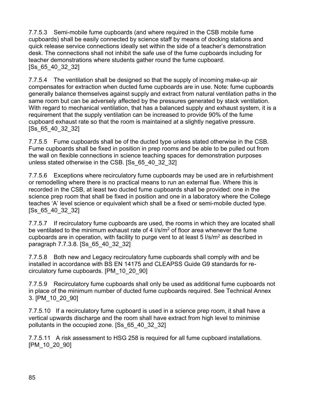7.7.5.3 Semi-mobile fume cupboards (and where required in the CSB mobile fume cupboards) shall be easily connected by science staff by means of docking stations and quick release service connections ideally set within the side of a teacher's demonstration desk. The connections shall not inhibit the safe use of the fume cupboards including for teacher demonstrations where students gather round the fume cupboard. [Ss\_65\_40\_32\_32]

7.7.5.4 The ventilation shall be designed so that the supply of incoming make-up air compensates for extraction when ducted fume cupboards are in use. Note: fume cupboards generally balance themselves against supply and extract from natural ventilation paths in the same room but can be adversely affected by the pressures generated by stack ventilation. With regard to mechanical ventilation, that has a balanced supply and exhaust system, it is a requirement that the supply ventilation can be increased to provide 90% of the fume cupboard exhaust rate so that the room is maintained at a slightly negative pressure. [Ss\_65\_40\_32\_32]

7.7.5.5 Fume cupboards shall be of the ducted type unless stated otherwise in the CSB. Fume cupboards shall be fixed in position in prep rooms and be able to be pulled out from the wall on flexible connections in science teaching spaces for demonstration purposes unless stated otherwise in the CSB. [Ss\_65\_40\_32\_32]

7.7.5.6 Exceptions where recirculatory fume cupboards may be used are in refurbishment or remodelling where there is no practical means to run an external flue. Where this is recorded in the CSB, at least two ducted fume cupboards shall be provided: one in the science prep room that shall be fixed in position and one in a laboratory where the College teaches 'A' level science or equivalent which shall be a fixed or semi-mobile ducted type. [Ss\_65\_40\_32\_32]

7.7.5.7 If recirculatory fume cupboards are used, the rooms in which they are located shall be ventilated to the minimum exhaust rate of 4 l/s/m<sup>2</sup> of floor area whenever the fume cupboards are in operation, with facility to purge vent to at least 5  $\frac{1}{s}$ /m<sup>2</sup> as described in paragraph 7.7.3.8. [Ss\_65\_40\_32\_32]

7.7.5.8 Both new and Legacy recirculatory fume cupboards shall comply with and be installed in accordance with BS EN 14175 and CLEAPSS Guide G9 standards for recirculatory fume cupboards. [PM\_10\_20\_90]

7.7.5.9 Recirculatory fume cupboards shall only be used as additional fume cupboards not in place of the minimum number of ducted fume cupboards required. See Technical Annex 3. [PM\_10\_20\_90]

7.7.5.10 If a recirculatory fume cupboard is used in a science prep room, it shall have a vertical upwards discharge and the room shall have extract from high level to minimise pollutants in the occupied zone. [Ss\_65\_40\_32\_32]

7.7.5.11 A risk assessment to HSG 258 is required for all fume cupboard installations. [PM\_10\_20\_90]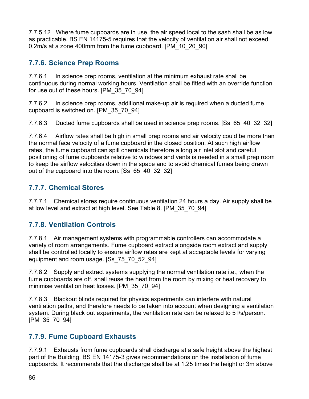7.7.5.12 Where fume cupboards are in use, the air speed local to the sash shall be as low as practicable. BS EN 14175-5 requires that the velocity of ventilation air shall not exceed 0.2m/s at a zone 400mm from the fume cupboard. [PM\_10\_20\_90]

### **7.7.6. Science Prep Rooms**

7.7.6.1 In science prep rooms, ventilation at the minimum exhaust rate shall be continuous during normal working hours. Ventilation shall be fitted with an override function for use out of these hours. [PM\_35\_70\_94]

7.7.6.2 In science prep rooms, additional make-up air is required when a ducted fume cupboard is switched on. [PM\_35\_70\_94]

7.7.6.3 Ducted fume cupboards shall be used in science prep rooms. [Ss\_65\_40\_32\_32]

7.7.6.4 Airflow rates shall be high in small prep rooms and air velocity could be more than the normal face velocity of a fume cupboard in the closed position. At such high airflow rates, the fume cupboard can spill chemicals therefore a long air inlet slot and careful positioning of fume cupboards relative to windows and vents is needed in a small prep room to keep the airflow velocities down in the space and to avoid chemical fumes being drawn out of the cupboard into the room. [Ss\_65\_40\_32\_32]

### **7.7.7. Chemical Stores**

7.7.7.1 Chemical stores require continuous ventilation 24 hours a day. Air supply shall be at low level and extract at high level. See Table 8. [PM\_35\_70\_94]

### **7.7.8. Ventilation Controls**

7.7.8.1 Air management systems with programmable controllers can accommodate a variety of room arrangements. Fume cupboard extract alongside room extract and supply shall be controlled locally to ensure airflow rates are kept at acceptable levels for varying equipment and room usage. [Ss\_75\_70\_52\_94]

7.7.8.2 Supply and extract systems supplying the normal ventilation rate i.e., when the fume cupboards are off, shall reuse the heat from the room by mixing or heat recovery to minimise ventilation heat losses. [PM\_35\_70\_94]

7.7.8.3 Blackout blinds required for physics experiments can interfere with natural ventilation paths, and therefore needs to be taken into account when designing a ventilation system. During black out experiments, the ventilation rate can be relaxed to 5 l/s/person. [PM\_35\_70\_94]

### **7.7.9. Fume Cupboard Exhausts**

7.7.9.1 Exhausts from fume cupboards shall discharge at a safe height above the highest part of the Building. BS EN 14175-3 gives recommendations on the installation of fume cupboards. It recommends that the discharge shall be at 1.25 times the height or 3m above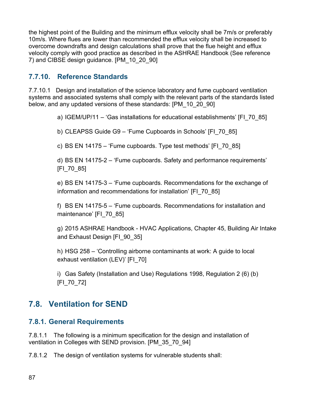the highest point of the Building and the minimum efflux velocity shall be 7m/s or preferably 10m/s. Where flues are lower than recommended the efflux velocity shall be increased to overcome downdrafts and design calculations shall prove that the flue height and efflux velocity comply with good practice as described in the ASHRAE Handbook (See reference 7) and CIBSE design guidance. [PM\_10\_20\_90]

### **7.7.10. Reference Standards**

7.7.10.1 Design and installation of the science laboratory and fume cupboard ventilation systems and associated systems shall comply with the relevant parts of the standards listed below, and any updated versions of these standards: [PM\_10\_20\_90]

a) IGEM/UP/11 – 'Gas installations for educational establishments' [FI\_70\_85]

- b) CLEAPSS Guide G9 'Fume Cupboards in Schools' [FI\_70\_85]
- c) BS EN 14175 'Fume cupboards. Type test methods' [FI\_70\_85]

d) BS EN 14175-2 – 'Fume cupboards. Safety and performance requirements' [FI\_70\_85]

e) BS EN 14175-3 – 'Fume cupboards. Recommendations for the exchange of information and recommendations for installation' [FI\_70\_85]

f) BS EN 14175-5 – 'Fume cupboards. Recommendations for installation and maintenance' [FI\_70\_85]

g) 2015 ASHRAE Handbook - HVAC Applications, Chapter 45, Building Air Intake and Exhaust Design [FI\_90\_35]

h) HSG 258 – 'Controlling airborne contaminants at work: A guide to local exhaust ventilation (LEV)' [FI\_70]

i) Gas Safety (Installation and Use) Regulations 1998, Regulation 2 (6) (b) [FI\_70\_72]

### **7.8. Ventilation for SEND**

#### **7.8.1. General Requirements**

7.8.1.1 The following is a minimum specification for the design and installation of ventilation in Colleges with SEND provision. [PM\_35\_70\_94]

7.8.1.2 The design of ventilation systems for vulnerable students shall: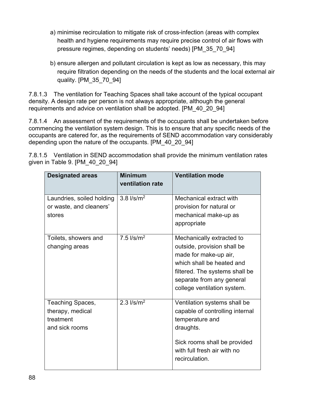- a) minimise recirculation to mitigate risk of cross-infection (areas with complex health and hygiene requirements may require precise control of air flows with pressure regimes, depending on students' needs) [PM\_35\_70\_94]
- b) ensure allergen and pollutant circulation is kept as low as necessary, this may require filtration depending on the needs of the students and the local external air quality. [PM\_35\_70\_94]

7.8.1.3 The ventilation for Teaching Spaces shall take account of the typical occupant density. A design rate per person is not always appropriate, although the general requirements and advice on ventilation shall be adopted. [PM\_40\_20\_94]

7.8.1.4 An assessment of the requirements of the occupants shall be undertaken before commencing the ventilation system design. This is to ensure that any specific needs of the occupants are catered for, as the requirements of SEND accommodation vary considerably depending upon the nature of the occupants. [PM\_40\_20\_94]

| <b>Designated areas</b>                                             | <b>Minimum</b><br>ventilation rate                | <b>Ventilation mode</b>                                                                                                                                                                                      |
|---------------------------------------------------------------------|---------------------------------------------------|--------------------------------------------------------------------------------------------------------------------------------------------------------------------------------------------------------------|
| Laundries, soiled holding<br>or waste, and cleaners'<br>stores      | $3.8$ $\frac{\text{I}}{\text{s}}$ /m <sup>2</sup> | Mechanical extract with<br>provision for natural or<br>mechanical make-up as<br>appropriate                                                                                                                  |
| Toilets, showers and<br>changing areas                              | 7.5 $I/s/m2$                                      | Mechanically extracted to<br>outside, provision shall be<br>made for make-up air,<br>which shall be heated and<br>filtered. The systems shall be<br>separate from any general<br>college ventilation system. |
| Teaching Spaces,<br>therapy, medical<br>treatment<br>and sick rooms | $2.3$ $1/s/m2$                                    | Ventilation systems shall be<br>capable of controlling internal<br>temperature and<br>draughts.<br>Sick rooms shall be provided<br>with full fresh air with no<br>recirculation.                             |

7.8.1.5 Ventilation in SEND accommodation shall provide the minimum ventilation rates given in Table 9. [PM\_40\_20\_94]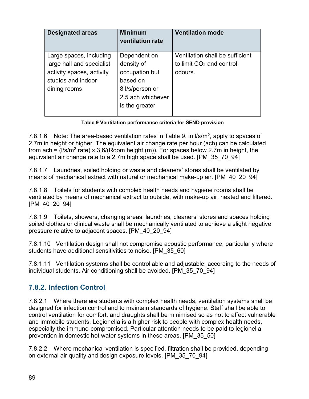| <b>Designated areas</b>   | <b>Minimum</b><br>ventilation rate | <b>Ventilation mode</b>              |
|---------------------------|------------------------------------|--------------------------------------|
| Large spaces, including   | Dependent on                       | Ventilation shall be sufficient      |
| large hall and specialist | density of                         | to limit CO <sub>2</sub> and control |
| activity spaces, activity | occupation but                     | odours.                              |
| studios and indoor        | based on                           |                                      |
| dining rooms              | 8 l/s/person or                    |                                      |
|                           | 2.5 ach whichever                  |                                      |
|                           | is the greater                     |                                      |
|                           |                                    |                                      |

#### **Table 9 Ventilation performance criteria for SEND provision**

7.8.1.6 Note: The area-based ventilation rates in Table 9, in  $I/s/m<sup>2</sup>$ , apply to spaces of 2.7m in height or higher. The equivalent air change rate per hour (ach) can be calculated from ach = (I/s/m<sup>2</sup> rate) x 3.6/(Room height (m)). For spaces below 2.7m in height, the equivalent air change rate to a 2.7m high space shall be used. [PM\_35\_70\_94]

7.8.1.7 Laundries, soiled holding or waste and cleaners' stores shall be ventilated by means of mechanical extract with natural or mechanical make-up air. [PM\_40\_20\_94]

7.8.1.8 Toilets for students with complex health needs and hygiene rooms shall be ventilated by means of mechanical extract to outside, with make-up air, heated and filtered. [PM\_40\_20\_94]

7.8.1.9 Toilets, showers, changing areas, laundries, cleaners' stores and spaces holding soiled clothes or clinical waste shall be mechanically ventilated to achieve a slight negative pressure relative to adjacent spaces. [PM\_40\_20\_94]

7.8.1.10 Ventilation design shall not compromise acoustic performance, particularly where students have additional sensitivities to noise. [PM\_35\_60]

7.8.1.11 Ventilation systems shall be controllable and adjustable, according to the needs of individual students. Air conditioning shall be avoided. [PM\_35\_70\_94]

### **7.8.2. Infection Control**

7.8.2.1 Where there are students with complex health needs, ventilation systems shall be designed for infection control and to maintain standards of hygiene. Staff shall be able to control ventilation for comfort, and draughts shall be minimised so as not to affect vulnerable and immobile students. Legionella is a higher risk to people with complex health needs, especially the immuno-compromised. Particular attention needs to be paid to legionella prevention in domestic hot water systems in these areas. [PM\_35\_50]

7.8.2.2 Where mechanical ventilation is specified, filtration shall be provided, depending on external air quality and design exposure levels. [PM\_35\_70\_94]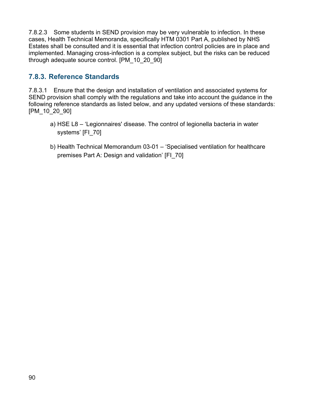7.8.2.3 Some students in SEND provision may be very vulnerable to infection. In these cases, Health Technical Memoranda, specifically HTM 0301 Part A, published by NHS Estates shall be consulted and it is essential that infection control policies are in place and implemented. Managing cross-infection is a complex subject, but the risks can be reduced through adequate source control. [PM\_10\_20\_90]

### **7.8.3. Reference Standards**

7.8.3.1 Ensure that the design and installation of ventilation and associated systems for SEND provision shall comply with the regulations and take into account the guidance in the following reference standards as listed below, and any updated versions of these standards: [PM\_10\_20\_90]

- a) HSE L8 'Legionnaires' disease. The control of legionella bacteria in water systems' [FI\_70]
- b) Health Technical Memorandum 03-01 'Specialised ventilation for healthcare premises Part A: Design and validation' [FI\_70]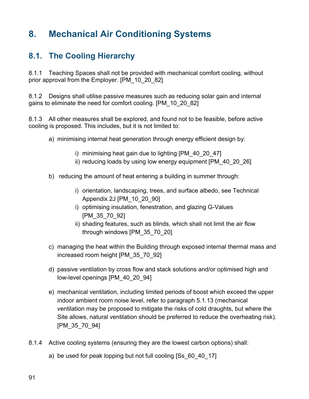# **8. Mechanical Air Conditioning Systems**

## **8.1. The Cooling Hierarchy**

8.1.1 Teaching Spaces shall not be provided with mechanical comfort cooling, without prior approval from the Employer. [PM\_10\_20\_82]

8.1.2 Designs shall utilise passive measures such as reducing solar gain and internal gains to eliminate the need for comfort cooling. [PM\_10\_20\_82]

8.1.3 All other measures shall be explored, and found not to be feasible, before active cooling is proposed. This includes, but it is not limited to:

- a) minimising internal heat generation through energy efficient design by:
	- i) minimising heat gain due to lighting [PM\_40\_20\_47]
	- ii) reducing loads by using low energy equipment [PM\_40\_20\_26]
- b) reducing the amount of heat entering a building in summer through:
	- i) orientation, landscaping, trees, and surface albedo, see Technical Appendix 2J [PM\_10\_20\_90]
	- i) optimising insulation, fenestration, and glazing G-Values [PM\_35\_70\_92]
	- ii) shading features, such as blinds, which shall not limit the air flow through windows [PM\_35\_70\_20]
- c) managing the heat within the Building through exposed internal thermal mass and increased room height [PM\_35\_70\_92]
- d) passive ventilation by cross flow and stack solutions and/or optimised high and low-level openings [PM\_40\_20\_94]
- e) mechanical ventilation, including limited periods of boost which exceed the upper indoor ambient room noise level, refer to paragraph 5.1.13 (mechanical ventilation may be proposed to mitigate the risks of cold draughts, but where the Site allows, natural ventilation should be preferred to reduce the overheating risk). [PM\_35\_70\_94]
- 8.1.4 Active cooling systems (ensuring they are the lowest carbon options) shall:
	- a) be used for peak lopping but not full cooling [Ss\_60\_40\_17]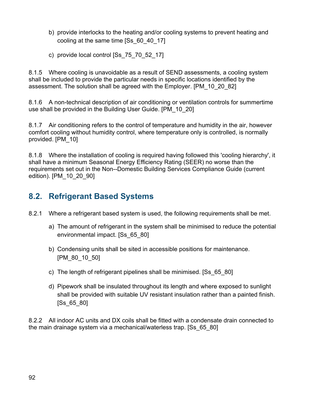- b) provide interlocks to the heating and/or cooling systems to prevent heating and cooling at the same time [Ss\_60\_40\_17]
- c) provide local control [Ss\_75\_70\_52\_17]

8.1.5 Where cooling is unavoidable as a result of SEND assessments, a cooling system shall be included to provide the particular needs in specific locations identified by the assessment. The solution shall be agreed with the Employer. [PM\_10\_20\_82]

8.1.6 A non-technical description of air conditioning or ventilation controls for summertime use shall be provided in the Building User Guide. [PM\_10\_20]

8.1.7 Air conditioning refers to the control of temperature and humidity in the air, however comfort cooling without humidity control, where temperature only is controlled, is normally provided. [PM\_10]

8.1.8 Where the installation of cooling is required having followed this 'cooling hierarchy', it shall have a minimum Seasonal Energy Efficiency Rating (SEER) no worse than the requirements set out in the Non--Domestic Building Services Compliance Guide (current edition). [PM\_10\_20\_90]

## **8.2. Refrigerant Based Systems**

- 8.2.1 Where a refrigerant based system is used, the following requirements shall be met.
	- a) The amount of refrigerant in the system shall be minimised to reduce the potential environmental impact. [Ss\_65\_80]
	- b) Condensing units shall be sited in accessible positions for maintenance. [PM\_80\_10\_50]
	- c) The length of refrigerant pipelines shall be minimised. [Ss\_65\_80]
	- d) Pipework shall be insulated throughout its length and where exposed to sunlight shall be provided with suitable UV resistant insulation rather than a painted finish. [Ss\_65\_80]

8.2.2 All indoor AC units and DX coils shall be fitted with a condensate drain connected to the main drainage system via a mechanical/waterless trap. [Ss\_65\_80]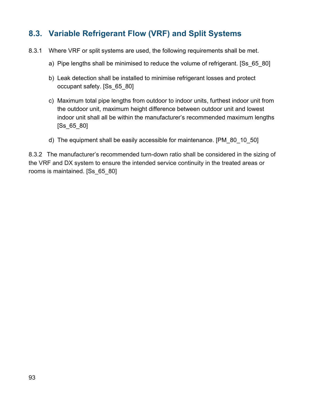## **8.3. Variable Refrigerant Flow (VRF) and Split Systems**

- 8.3.1 Where VRF or split systems are used, the following requirements shall be met.
	- a) Pipe lengths shall be minimised to reduce the volume of refrigerant. [Ss\_65\_80]
	- b) Leak detection shall be installed to minimise refrigerant losses and protect occupant safety. [Ss\_65\_80]
	- c) Maximum total pipe lengths from outdoor to indoor units, furthest indoor unit from the outdoor unit, maximum height difference between outdoor unit and lowest indoor unit shall all be within the manufacturer's recommended maximum lengths [Ss\_65\_80]
	- d) The equipment shall be easily accessible for maintenance. [PM\_80\_10\_50]

8.3.2 The manufacturer's recommended turn-down ratio shall be considered in the sizing of the VRF and DX system to ensure the intended service continuity in the treated areas or rooms is maintained. [Ss\_65\_80]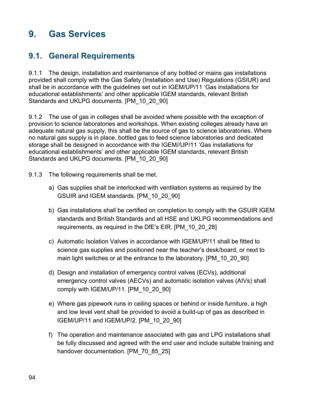# **9. Gas Services**

## **9.1. General Requirements**

9.1.1 The design, installation and maintenance of any bottled or mains gas installations provided shall comply with the Gas Safety (Installation and Use) Regulations (GSIUR) and shall be in accordance with the guidelines set out in IGEM/UP/11 'Gas installations for educational establishments' and other applicable IGEM standards, relevant British Standards and UKLPG documents. [PM\_10\_20\_90]

9.1.2 The use of gas in colleges shall be avoided where possible with the exception of provision to science laboratories and workshops. When existing colleges already have an adequate natural gas supply, this shall be the source of gas to science laboratories. Where no natural gas supply is in place, bottled gas to feed science laboratories and dedicated storage shall be designed in accordance with the IGEM//UP/11 'Gas installations for educational establishments' and other applicable IGEM standards, relevant British Standards and UKLPG documents. [PM\_10\_20\_90]

- 9.1.3 The following requirements shall be met.
	- a) Gas supplies shall be interlocked with ventilation systems as required by the GSUIR and IGEM standards. [PM\_10\_20\_90]
	- b) Gas installations shall be certified on completion to comply with the GSUIR IGEM standards and British Standards and all HSE and UKLPG recommendations and requirements, as required in the DfE's EIR. [PM\_10\_20\_28]
	- c) Automatic Isolation Valves in accordance with IGEM/UP/11 shall be fitted to science gas supplies and positioned near the teacher's desk/board, or next to main light switches or at the entrance to the laboratory. [PM\_10\_20\_90]
	- d) Design and installation of emergency control valves (ECVs), additional emergency control valves (AECVs) and automatic isolation valves (AIVs) shall comply with IGEM/UP/11. [PM\_10\_20\_90]
	- e) Where gas pipework runs in ceiling spaces or behind or inside furniture, a high and low level vent shall be provided to avoid a build-up of gas as described in IGEM/UP/11 and IGEM/UP/2. [PM\_10\_20\_90]
	- f) The operation and maintenance associated with gas and LPG installations shall be fully discussed and agreed with the end user and include suitable training and handover documentation. [PM\_70\_85\_25]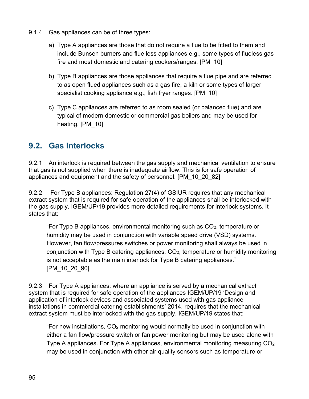- 9.1.4 Gas appliances can be of three types:
	- a) Type A appliances are those that do not require a flue to be fitted to them and include Bunsen burners and flue less appliances e.g., some types of flueless gas fire and most domestic and catering cookers/ranges. [PM\_10]
	- b) Type B appliances are those appliances that require a flue pipe and are referred to as open flued appliances such as a gas fire, a kiln or some types of larger specialist cooking appliance e.g., fish fryer ranges. [PM\_10]
	- c) Type C appliances are referred to as room sealed (or balanced flue) and are typical of modern domestic or commercial gas boilers and may be used for heating. [PM\_10]

### **9.2. Gas Interlocks**

9.2.1 An interlock is required between the gas supply and mechanical ventilation to ensure that gas is not supplied when there is inadequate airflow. This is for safe operation of appliances and equipment and the safety of personnel. [PM\_10\_20\_82]

9.2.2 For Type B appliances: Regulation 27(4) of GSIUR requires that any mechanical extract system that is required for safe operation of the appliances shall be interlocked with the gas supply. IGEM/UP/19 provides more detailed requirements for interlock systems. It states that:

"For Type B appliances, environmental monitoring such as  $CO<sub>2</sub>$ , temperature or humidity may be used in conjunction with variable speed drive (VSD) systems. However, fan flow/pressures switches or power monitoring shall always be used in conjunction with Type B catering appliances.  $CO<sub>2</sub>$ , temperature or humidity monitoring is not acceptable as the main interlock for Type B catering appliances." [PM\_10\_20\_90]

9.2.3 For Type A appliances: where an appliance is served by a mechanical extract system that is required for safe operation of the appliances IGEM/UP/19 'Design and application of interlock devices and associated systems used with gas appliance installations in commercial catering establishments' 2014, requires that the mechanical extract system must be interlocked with the gas supply. IGEM/UP/19 states that:

"For new installations, CO<sup>2</sup> monitoring would normally be used in conjunction with either a fan flow/pressure switch or fan power monitoring but may be used alone with Type A appliances. For Type A appliances, environmental monitoring measuring CO<sup>2</sup> may be used in conjunction with other air quality sensors such as temperature or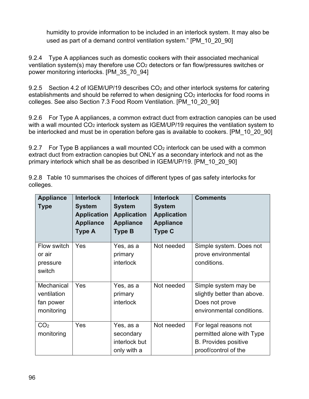humidity to provide information to be included in an interlock system. It may also be used as part of a demand control ventilation system." [PM\_10\_20\_90]

9.2.4 Type A appliances such as domestic cookers with their associated mechanical ventilation system(s) may therefore use CO<sup>2</sup> detectors or fan flow/pressures switches or power monitoring interlocks. [PM\_35\_70\_94]

9.2.5 Section 4.2 of IGEM/UP/19 describes CO<sub>2</sub> and other interlock systems for catering establishments and should be referred to when designing  $CO<sub>2</sub>$  interlocks for food rooms in colleges. See also Section 7.3 Food Room Ventilation. [PM\_10\_20\_90]

9.2.6 For Type A appliances, a common extract duct from extraction canopies can be used with a wall mounted CO<sub>2</sub> interlock system as IGEM/UP/19 requires the ventilation system to be interlocked and must be in operation before gas is available to cookers. [PM\_10\_20\_90]

9.2.7 For Type B appliances a wall mounted  $CO<sub>2</sub>$  interlock can be used with a common extract duct from extraction canopies but ONLY as a secondary interlock and not as the primary interlock which shall be as described in IGEM/UP/19. [PM\_10\_20\_90]

9.2.8 Table 10 summarises the choices of different types of gas safety interlocks for colleges.

| <b>Appliance</b><br><b>Type</b>                      | <b>Interlock</b><br><b>System</b><br><b>Application</b><br><b>Appliance</b><br>Type A | <b>Interlock</b><br><b>System</b><br><b>Application</b><br><b>Appliance</b><br><b>Type B</b> | <b>Interlock</b><br><b>System</b><br><b>Application</b><br><b>Appliance</b><br><b>Type C</b> | <b>Comments</b>                                                                                           |
|------------------------------------------------------|---------------------------------------------------------------------------------------|----------------------------------------------------------------------------------------------|----------------------------------------------------------------------------------------------|-----------------------------------------------------------------------------------------------------------|
| Flow switch<br>or air<br>pressure<br>switch          | Yes                                                                                   | Yes, as a<br>primary<br><b>interlock</b>                                                     | Not needed                                                                                   | Simple system. Does not<br>prove environmental<br>conditions.                                             |
| Mechanical<br>ventilation<br>fan power<br>monitoring | Yes                                                                                   | Yes, as a<br>primary<br><b>interlock</b>                                                     | Not needed                                                                                   | Simple system may be<br>slightly better than above.<br>Does not prove<br>environmental conditions.        |
| CO <sub>2</sub><br>monitoring                        | Yes                                                                                   | Yes, as a<br>secondary<br>interlock but<br>only with a                                       | Not needed                                                                                   | For legal reasons not<br>permitted alone with Type<br><b>B.</b> Provides positive<br>proof/control of the |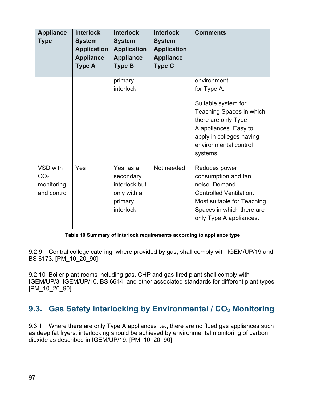| <b>Appliance</b><br><b>Type</b>                          | <b>Interlock</b><br><b>System</b><br><b>Application</b><br><b>Appliance</b><br><b>Type A</b> | <b>Interlock</b><br><b>System</b><br><b>Application</b><br><b>Appliance</b><br><b>Type B</b> | <b>Interlock</b><br><b>System</b><br><b>Application</b><br><b>Appliance</b><br><b>Type C</b> | <b>Comments</b>                                                                                                                                                                                |
|----------------------------------------------------------|----------------------------------------------------------------------------------------------|----------------------------------------------------------------------------------------------|----------------------------------------------------------------------------------------------|------------------------------------------------------------------------------------------------------------------------------------------------------------------------------------------------|
|                                                          |                                                                                              | primary<br><i>interlock</i>                                                                  |                                                                                              | environment<br>for Type A.<br>Suitable system for<br>Teaching Spaces in which<br>there are only Type<br>A appliances. Easy to<br>apply in colleges having<br>environmental control<br>systems. |
| VSD with<br>CO <sub>2</sub><br>monitoring<br>and control | Yes                                                                                          | Yes, as a<br>secondary<br>interlock but<br>only with a<br>primary<br>interlock               | Not needed                                                                                   | Reduces power<br>consumption and fan<br>noise. Demand<br><b>Controlled Ventilation.</b><br>Most suitable for Teaching<br>Spaces in which there are<br>only Type A appliances.                  |

**Table 10 Summary of interlock requirements according to appliance type**

9.2.9 Central college catering, where provided by gas, shall comply with IGEM/UP/19 and BS 6173. [PM\_10\_20\_90]

9.2.10 Boiler plant rooms including gas, CHP and gas fired plant shall comply with IGEM/UP/3, IGEM/UP/10, BS 6644, and other associated standards for different plant types. [PM\_10\_20\_90]

## **9.3. Gas Safety Interlocking by Environmental / CO<sup>2</sup> Monitoring**

9.3.1 Where there are only Type A appliances i.e., there are no flued gas appliances such as deep fat fryers, interlocking should be achieved by environmental monitoring of carbon dioxide as described in IGEM/UP/19. [PM\_10\_20\_90]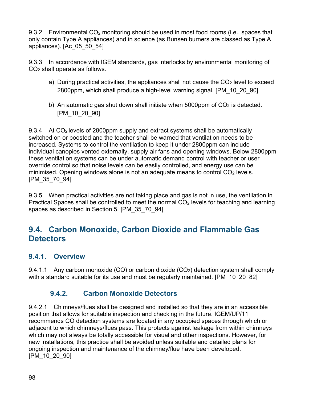9.3.2 Environmental CO<sup>2</sup> monitoring should be used in most food rooms (i.e., spaces that only contain Type A appliances) and in science (as Bunsen burners are classed as Type A appliances). [Ac\_05\_50\_54]

9.3.3 In accordance with IGEM standards, gas interlocks by environmental monitoring of CO<sup>2</sup> shall operate as follows.

- a) During practical activities, the appliances shall not cause the  $CO<sub>2</sub>$  level to exceed 2800ppm, which shall produce a high-level warning signal. [PM\_10\_20\_90]
- b) An automatic gas shut down shall initiate when  $5000$ ppm of  $CO<sub>2</sub>$  is detected. [PM\_10\_20\_90]

9.3.4 At CO<sub>2</sub> levels of 2800ppm supply and extract systems shall be automatically switched on or boosted and the teacher shall be warned that ventilation needs to be increased. Systems to control the ventilation to keep it under 2800ppm can include individual canopies vented externally, supply air fans and opening windows. Below 2800ppm these ventilation systems can be under automatic demand control with teacher or user override control so that noise levels can be easily controlled, and energy use can be minimised. Opening windows alone is not an adequate means to control  $CO<sub>2</sub>$  levels. [PM\_35\_70\_94]

9.3.5 When practical activities are not taking place and gas is not in use, the ventilation in Practical Spaces shall be controlled to meet the normal  $CO<sub>2</sub>$  levels for teaching and learning spaces as described in Section 5. [PM\_35\_70\_94]

### **9.4. Carbon Monoxide, Carbon Dioxide and Flammable Gas Detectors**

#### **9.4.1. Overview**

9.4.1.1 Any carbon monoxide (CO) or carbon dioxide (CO<sub>2</sub>) detection system shall comply with a standard suitable for its use and must be regularly maintained. [PM\_10\_20\_82]

### **9.4.2. Carbon Monoxide Detectors**

9.4.2.1 Chimneys/flues shall be designed and installed so that they are in an accessible position that allows for suitable inspection and checking in the future. IGEM/UP/11 recommends CO detection systems are located in any occupied spaces through which or adjacent to which chimneys/flues pass. This protects against leakage from within chimneys which may not always be totally accessible for visual and other inspections. However, for new installations, this practice shall be avoided unless suitable and detailed plans for ongoing inspection and maintenance of the chimney/flue have been developed. [PM\_10\_20\_90]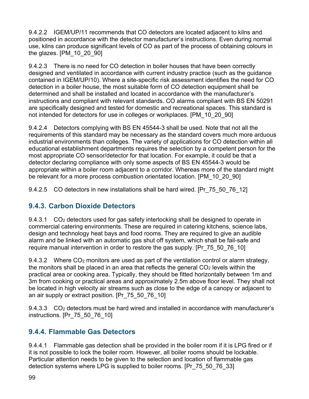9.4.2.2 IGEM/UP/11 recommends that CO detectors are located adjacent to kilns and positioned in accordance with the detector manufacturer's instructions. Even during normal use, kilns can produce significant levels of CO as part of the process of obtaining colours in the glazes. [PM\_10\_20\_90]

9.4.2.3 There is no need for CO detection in boiler houses that have been correctly designed and ventilated in accordance with current industry practice (such as the guidance contained in IGEM/UP/10). Where a site-specific risk assessment identifies the need for CO detection in a boiler house, the most suitable form of CO detection equipment shall be determined and shall be installed and located in accordance with the manufacturer's instructions and compliant with relevant standards. CO alarms compliant with BS EN 50291 are specifically designed and tested for domestic and recreational spaces. This standard is not intended for detectors for use in colleges or workplaces. [PM\_10\_20\_90]

9.4.2.4 Detectors complying with BS EN 45544-3 shall be used. Note that not all the requirements of this standard may be necessary as the standard covers much more arduous industrial environments than colleges. The variety of applications for CO detection within all educational establishment departments requires the selection by a competent person for the most appropriate CO sensor/detector for that location. For example, it could be that a detector declaring compliance with only some aspects of BS EN 45544-3 would be appropriate within a boiler room adjacent to a corridor. Whereas more of the standard might be relevant for a more process combustion orientated location. [PM\_10\_20\_90]

9.4.2.5 CO detectors in new installations shall be hard wired. [Pr\_75\_50\_76\_12]

### **9.4.3. Carbon Dioxide Detectors**

9.4.3.1 CO<sup>2</sup> detectors used for gas safety interlocking shall be designed to operate in commercial catering environments. These are required in catering kitchens, science labs, design and technology heat bays and food rooms. They are required to give an audible alarm and be linked with an automatic gas shut off system, which shall be fail-safe and require manual intervention in order to restore the gas supply. [Pr\_75\_50\_76\_10]

9.4.3.2 Where  $CO<sub>2</sub>$  monitors are used as part of the ventilation control or alarm strategy, the monitors shall be placed in an area that reflects the general  $CO<sub>2</sub>$  levels within the practical area or cooking area. Typically, they should be fitted horizontally between 1m and 3m from cooking or practical areas and approximately 2.5m above floor level. They shall not be located in high velocity air streams such as close to the edge of a canopy or adjacent to an air supply or extract position. [Pr\_75\_50\_76\_10]

9.4.3.3 CO<sub>2</sub> detectors must be hard wired and installed in accordance with manufacturer's instructions. [Pr\_75\_50\_76\_10]

### **9.4.4. Flammable Gas Detectors**

9.4.4.1 Flammable gas detection shall be provided in the boiler room if it is LPG fired or if it is not possible to lock the boiler room. However, all boiler rooms should be lockable. Particular attention needs to be given to the selection and location of flammable gas detection systems where LPG is supplied to boiler rooms. [Pr\_75\_50\_76\_33]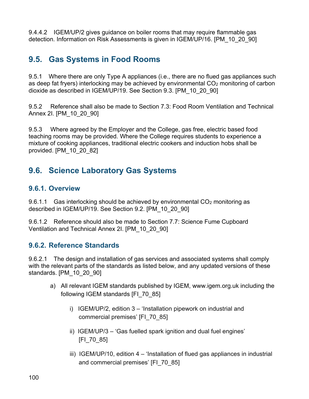9.4.4.2 IGEM/UP/2 gives guidance on boiler rooms that may require flammable gas detection. Information on Risk Assessments is given in IGEM/UP/16. [PM\_10\_20\_90]

### **9.5. Gas Systems in Food Rooms**

9.5.1 Where there are only Type A appliances (i.e., there are no flued gas appliances such as deep fat fryers) interlocking may be achieved by environmental  $CO<sub>2</sub>$  monitoring of carbon dioxide as described in IGEM/UP/19. See Section 9.3. [PM\_10\_20\_90]

9.5.2 Reference shall also be made to Section 7.3: Food Room Ventilation and Technical Annex 2I. [PM\_10\_20\_90]

9.5.3 Where agreed by the Employer and the College, gas free, electric based food teaching rooms may be provided. Where the College requires students to experience a mixture of cooking appliances, traditional electric cookers and induction hobs shall be provided. [PM\_10\_20\_82]

## **9.6. Science Laboratory Gas Systems**

#### **9.6.1. Overview**

9.6.1.1 Gas interlocking should be achieved by environmental  $CO<sub>2</sub>$  monitoring as described in IGEM/UP/19. See Section 9.2. [PM\_10\_20\_90]

9.6.1.2 Reference should also be made to Section 7.7: Science Fume Cupboard Ventilation and Technical Annex 2I. [PM\_10\_20\_90]

### **9.6.2. Reference Standards**

9.6.2.1 The design and installation of gas services and associated systems shall comply with the relevant parts of the standards as listed below, and any updated versions of these standards. [PM\_10\_20\_90]

- a) All relevant IGEM standards published by IGEM, www.igem.org.uk including the following IGEM standards [FI\_70\_85]
	- i) IGEM/UP/2, edition 3 'Installation pipework on industrial and commercial premises' [FI\_70\_85]
	- ii) IGEM/UP/3 'Gas fuelled spark ignition and dual fuel engines' [FI\_70\_85]
	- iii) IGEM/UP/10, edition 4 'Installation of flued gas appliances in industrial and commercial premises' [FI\_70\_85]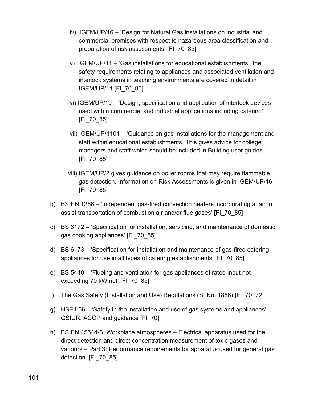- iv) IGEM/UP/16 'Design for Natural Gas installations on industrial and commercial premises with respect to hazardous area classification and preparation of risk assessments' [FI\_70\_85]
- v) IGEM/UP/11 'Gas installations for educational establishments', the safety requirements relating to appliances and associated ventilation and interlock systems in teaching environments are covered in detail in IGEM/UP/11 [FI\_70\_85]
- vi) IGEM/UP/19 'Design, specification and application of interlock devices used within commercial and industrial applications including catering' [FI\_70\_85]
- vii) IGEM/UP/1101 'Guidance on gas installations for the management and staff within educational establishments. This gives advice for college managers and staff which should be included in Building user guides. [FI\_70\_85]
- viii) IGEM/UP/2 gives guidance on boiler rooms that may require flammable gas detection. Information on Risk Assessments is given in IGEM/UP/16. [FI\_70\_85]
- b) BS EN 1266 'Independent gas-fired convection heaters incorporating a fan to assist transportation of combustion air and/or flue gases' [FI\_70\_85]
- c) BS 6172 'Specification for installation, servicing, and maintenance of domestic gas cooking appliances' [FI\_70\_85]
- d) BS 6173 'Specification for installation and maintenance of gas-fired catering appliances for use in all types of catering establishments' [FI\_70\_85]
- e) BS 5440 'Flueing and ventilation for gas appliances of rated input not exceeding 70 kW net' [FI\_70\_85]
- f) The Gas Safety (Installation and Use) Regulations (SI No. 1866) [FI\_70\_72]
- g) HSE L56 'Safety in the installation and use of gas systems and appliances' GSIUR, ACOP and guidance [FI\_70]
- h) BS EN 45544-3. Workplace atmospheres Electrical apparatus used for the direct detection and direct concentration measurement of toxic gases and vapours – Part 3: Performance requirements for apparatus used for general gas detection. [FI\_70\_85]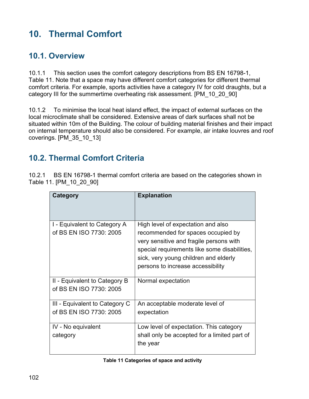# **10. Thermal Comfort**

### **10.1. Overview**

10.1.1 This section uses the comfort category descriptions from BS EN 16798-1, Table 11. Note that a space may have different comfort categories for different thermal comfort criteria. For example, sports activities have a category IV for cold draughts, but a category III for the summertime overheating risk assessment. [PM\_10\_20\_90]

10.1.2 To minimise the local heat island effect, the impact of external surfaces on the local microclimate shall be considered. Extensive areas of dark surfaces shall not be situated within 10m of the Building. The colour of building material finishes and their impact on internal temperature should also be considered. For example, air intake louvres and roof coverings. [PM\_35\_10\_13]

## **10.2. Thermal Comfort Criteria**

10.2.1 BS EN 16798-1 thermal comfort criteria are based on the categories shown in Table 11. [PM\_10\_20\_90]

| Category                                                  | <b>Explanation</b>                                                                                                                                                                                                                                |
|-----------------------------------------------------------|---------------------------------------------------------------------------------------------------------------------------------------------------------------------------------------------------------------------------------------------------|
| I - Equivalent to Category A<br>of BS EN ISO 7730: 2005   | High level of expectation and also<br>recommended for spaces occupied by<br>very sensitive and fragile persons with<br>special requirements like some disabilities,<br>sick, very young children and elderly<br>persons to increase accessibility |
| II - Equivalent to Category B<br>of BS EN ISO 7730: 2005  | Normal expectation                                                                                                                                                                                                                                |
| III - Equivalent to Category C<br>of BS EN ISO 7730: 2005 | An acceptable moderate level of<br>expectation                                                                                                                                                                                                    |
| IV - No equivalent<br>category                            | Low level of expectation. This category<br>shall only be accepted for a limited part of<br>the year                                                                                                                                               |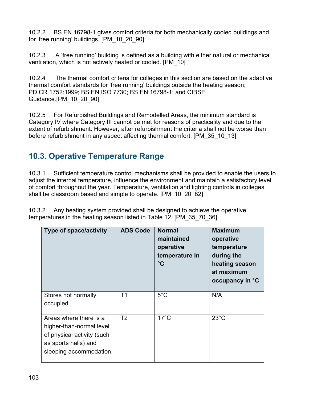10.2.2 BS EN 16798-1 gives comfort criteria for both mechanically cooled buildings and for 'free running' buildings. [PM\_10\_20\_90]

10.2.3 A 'free running' building is defined as a building with either natural or mechanical ventilation, which is not actively heated or cooled. [PM\_10]

10.2.4 The thermal comfort criteria for colleges in this section are based on the adaptive thermal comfort standards for 'free running' buildings outside the heating season; PD CR 1752:1999; BS EN ISO 7730; BS EN 16798-1; and CIBSE Guidance.[PM\_10\_20\_90]

10.2.5 For Refurbished Buildings and Remodelled Areas, the minimum standard is Category IV where Category III cannot be met for reasons of practicality and due to the extent of refurbishment. However, after refurbishment the criteria shall not be worse than before refurbishment in any aspect affecting thermal comfort. [PM\_35\_10\_13]

# **10.3. Operative Temperature Range**

10.3.1 Sufficient temperature control mechanisms shall be provided to enable the users to adjust the internal temperature, influence the environment and maintain a satisfactory level of comfort throughout the year. Temperature, ventilation and lighting controls in colleges shall be classroom based and simple to operate. [PM\_10\_20\_82]

10.3.2 Any heating system provided shall be designed to achieve the operative temperatures in the heating season listed in Table 12. [PM\_35\_70\_36]

| <b>Type of space/activity</b>                                                                                                      | <b>ADS Code</b> | <b>Normal</b><br>maintained<br>operative<br>temperature in<br>$\rm ^{\circ}C$ | <b>Maximum</b><br>operative<br>temperature<br>during the<br>heating season<br>at maximum<br>occupancy in °C |
|------------------------------------------------------------------------------------------------------------------------------------|-----------------|-------------------------------------------------------------------------------|-------------------------------------------------------------------------------------------------------------|
| Stores not normally<br>occupied                                                                                                    | T <sub>1</sub>  | $5^{\circ}$ C                                                                 | N/A                                                                                                         |
| Areas where there is a<br>higher-than-normal level<br>of physical activity (such<br>as sports halls) and<br>sleeping accommodation | T2              | $17^{\circ}$ C                                                                | $23^{\circ}$ C                                                                                              |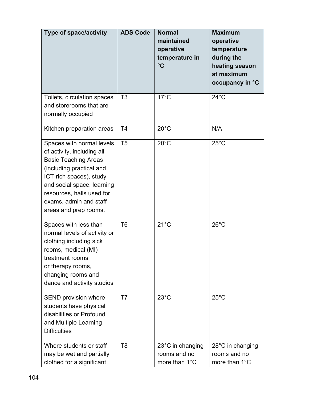| <b>Type of space/activity</b>                                                                                                                                                                                                                               | <b>ADS Code</b> | <b>Normal</b><br>maintained<br>operative<br>temperature in<br>$\rm ^{\circ}C$ | <b>Maximum</b><br>operative<br>temperature<br>during the<br>heating season<br>at maximum<br>occupancy in °C |
|-------------------------------------------------------------------------------------------------------------------------------------------------------------------------------------------------------------------------------------------------------------|-----------------|-------------------------------------------------------------------------------|-------------------------------------------------------------------------------------------------------------|
| Toilets, circulation spaces<br>and storerooms that are<br>normally occupied                                                                                                                                                                                 | T <sub>3</sub>  | $17^{\circ}$ C                                                                | $24^{\circ}$ C                                                                                              |
| Kitchen preparation areas                                                                                                                                                                                                                                   | T4              | $20^{\circ}$ C                                                                | N/A                                                                                                         |
| Spaces with normal levels<br>of activity, including all<br><b>Basic Teaching Areas</b><br>(including practical and<br>ICT-rich spaces), study<br>and social space, learning<br>resources, halls used for<br>exams, admin and staff<br>areas and prep rooms. | T <sub>5</sub>  | $20^{\circ}$ C                                                                | $25^{\circ}$ C                                                                                              |
| Spaces with less than<br>normal levels of activity or<br>clothing including sick<br>rooms, medical (MI)<br>treatment rooms<br>or therapy rooms,<br>changing rooms and<br>dance and activity studios                                                         | T <sub>6</sub>  | $21^{\circ}$ C                                                                | $26^{\circ}$ C                                                                                              |
| SEND provision where<br>students have physical<br>disabilities or Profound<br>and Multiple Learning<br><b>Difficulties</b>                                                                                                                                  | T7              | $23^{\circ}$ C                                                                | $25^{\circ}$ C                                                                                              |
| Where students or staff<br>may be wet and partially<br>clothed for a significant                                                                                                                                                                            | T <sub>8</sub>  | 23°C in changing<br>rooms and no<br>more than 1°C                             | 28°C in changing<br>rooms and no<br>more than 1°C                                                           |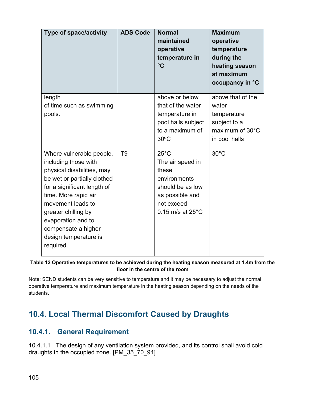| <b>Type of space/activity</b>                                                                                                                                                                                                                                                                       | <b>ADS Code</b> | <b>Normal</b><br>maintained<br>operative<br>temperature in<br>$^{\circ}$ C                                                                       | <b>Maximum</b><br>operative<br>temperature<br>during the<br>heating season<br>at maximum<br>occupancy in °C |
|-----------------------------------------------------------------------------------------------------------------------------------------------------------------------------------------------------------------------------------------------------------------------------------------------------|-----------------|--------------------------------------------------------------------------------------------------------------------------------------------------|-------------------------------------------------------------------------------------------------------------|
| length<br>of time such as swimming<br>pools.                                                                                                                                                                                                                                                        |                 | above or below<br>that of the water<br>temperature in<br>pool halls subject<br>to a maximum of<br>$30^{\circ}$ C                                 | above that of the<br>water<br>temperature<br>subject to a<br>maximum of 30°C<br>in pool halls               |
| Where vulnerable people,<br>including those with<br>physical disabilities, may<br>be wet or partially clothed<br>for a significant length of<br>time. More rapid air<br>movement leads to<br>greater chilling by<br>evaporation and to<br>compensate a higher<br>design temperature is<br>required. | T <sub>9</sub>  | $25^{\circ}$ C<br>The air speed in<br>these<br>environments<br>should be as low<br>as possible and<br>not exceed<br>$0.15$ m/s at $25^{\circ}$ C | $30^{\circ}$ C                                                                                              |

#### **Table 12 Operative temperatures to be achieved during the heating season measured at 1.4m from the floor in the centre of the room**

Note: SEND students can be very sensitive to temperature and it may be necessary to adjust the normal operative temperature and maximum temperature in the heating season depending on the needs of the students.

# **10.4. Local Thermal Discomfort Caused by Draughts**

### **10.4.1. General Requirement**

10.4.1.1 The design of any ventilation system provided, and its control shall avoid cold draughts in the occupied zone. [PM\_35\_70\_94]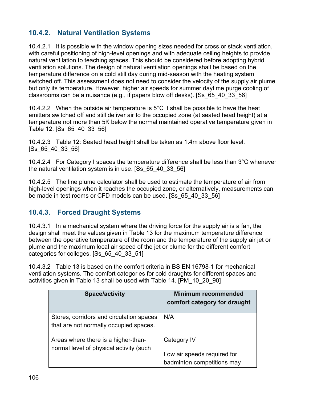### **10.4.2. Natural Ventilation Systems**

10.4.2.1 It is possible with the window opening sizes needed for cross or stack ventilation, with careful positioning of high-level openings and with adequate ceiling heights to provide natural ventilation to teaching spaces. This should be considered before adopting hybrid ventilation solutions. The design of natural ventilation openings shall be based on the temperature difference on a cold still day during mid-season with the heating system switched off. This assessment does not need to consider the velocity of the supply air plume but only its temperature. However, higher air speeds for summer daytime purge cooling of classrooms can be a nuisance (e.g., if papers blow off desks). [Ss\_65\_40\_33\_56]

10.4.2.2 When the outside air temperature is 5°C it shall be possible to have the heat emitters switched off and still deliver air to the occupied zone (at seated head height) at a temperature not more than 5K below the normal maintained operative temperature given in Table 12. [Ss\_65\_40\_33\_56]

10.4.2.3 Table 12: Seated head height shall be taken as 1.4m above floor level. [Ss\_65\_40\_33\_56]

10.4.2.4 For Category I spaces the temperature difference shall be less than 3°C whenever the natural ventilation system is in use. [Ss\_65\_40\_33\_56]

10.4.2.5 The line plume calculator shall be used to estimate the temperature of air from high-level openings when it reaches the occupied zone, or alternatively, measurements can be made in test rooms or CFD models can be used. [Ss\_65\_40\_33\_56]

#### **10.4.3. Forced Draught Systems**

10.4.3.1 In a mechanical system where the driving force for the supply air is a fan, the design shall meet the values given in Table 13 for the maximum temperature difference between the operative temperature of the room and the temperature of the supply air jet or plume and the maximum local air speed of the jet or plume for the different comfort categories for colleges. [Ss\_65\_40\_33\_51]

10.4.3.2 Table 13 is based on the comfort criteria in BS EN 16798-1 for mechanical ventilation systems. The comfort categories for cold draughts for different spaces and activities given in Table 13 shall be used with Table 14. [PM\_10\_20\_90]

| <b>Space/activity</b>                    | <b>Minimum recommended</b><br>comfort category for draught |
|------------------------------------------|------------------------------------------------------------|
| Stores, corridors and circulation spaces | N/A                                                        |
| that are not normally occupied spaces.   |                                                            |
| Areas where there is a higher-than-      | Category IV                                                |
| normal level of physical activity (such  |                                                            |
|                                          | Low air speeds required for                                |
|                                          | badminton competitions may                                 |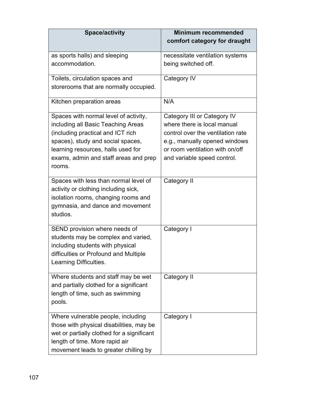| <b>Space/activity</b>                                                         | <b>Minimum recommended</b><br>comfort category for draught |
|-------------------------------------------------------------------------------|------------------------------------------------------------|
| as sports halls) and sleeping                                                 | necessitate ventilation systems                            |
| accommodation.                                                                | being switched off.                                        |
| Toilets, circulation spaces and                                               | Category IV                                                |
| storerooms that are normally occupied.                                        |                                                            |
| Kitchen preparation areas                                                     | N/A                                                        |
| Spaces with normal level of activity,                                         | Category III or Category IV                                |
| including all Basic Teaching Areas                                            | where there is local manual                                |
| (including practical and ICT rich                                             | control over the ventilation rate                          |
| spaces), study and social spaces,                                             | e.g., manually opened windows                              |
| learning resources, halls used for                                            | or room ventilation with on/off                            |
| exams, admin and staff areas and prep<br>rooms.                               | and variable speed control.                                |
| Spaces with less than normal level of<br>activity or clothing including sick, | Category II                                                |
| isolation rooms, changing rooms and                                           |                                                            |
| gymnasia, and dance and movement<br>studios.                                  |                                                            |
| SEND provision where needs of                                                 | Category I                                                 |
| students may be complex and varied,                                           |                                                            |
| including students with physical                                              |                                                            |
| difficulties or Profound and Multiple                                         |                                                            |
| Learning Difficulties.                                                        |                                                            |
| Where students and staff may be wet                                           | Category II                                                |
| and partially clothed for a significant                                       |                                                            |
| length of time, such as swimming                                              |                                                            |
| pools.                                                                        |                                                            |
| Where vulnerable people, including                                            | Category I                                                 |
| those with physical disabilities, may be                                      |                                                            |
| wet or partially clothed for a significant                                    |                                                            |
| length of time. More rapid air                                                |                                                            |
| movement leads to greater chilling by                                         |                                                            |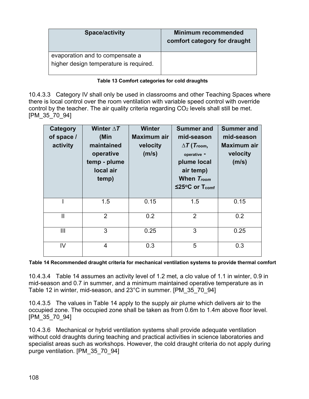| <b>Space/activity</b>                  | <b>Minimum recommended</b><br>comfort category for draught |
|----------------------------------------|------------------------------------------------------------|
| evaporation and to compensate a        |                                                            |
| higher design temperature is required. |                                                            |

#### **Table 13 Comfort categories for cold draughts**

10.4.3.3 Category IV shall only be used in classrooms and other Teaching Spaces where there is local control over the room ventilation with variable speed control with override control by the teacher. The air quality criteria regarding  $CO<sub>2</sub>$  levels shall still be met. [PM\_35\_70\_94]

| Category<br>of space /<br>activity | Winter $\Delta T$<br>(Min<br>maintained<br>operative<br>temp - plume<br>local air<br>temp) | <b>Winter</b><br>Maximum air<br>velocity<br>(m/s) | <b>Summer and</b><br>mid-season<br>$\Delta T$ (Troom,<br>operative -<br>plume local<br>air temp)<br>When T <sub>room</sub><br>$≤25°C$ or T <sub>comf</sub> | <b>Summer and</b><br>mid-season<br><b>Maximum air</b><br>velocity<br>(m/s) |
|------------------------------------|--------------------------------------------------------------------------------------------|---------------------------------------------------|------------------------------------------------------------------------------------------------------------------------------------------------------------|----------------------------------------------------------------------------|
|                                    | 1.5                                                                                        | 0.15                                              | 1.5                                                                                                                                                        | 0.15                                                                       |
| $\mathbf{I}$                       | $\overline{2}$                                                                             | 0.2                                               | $\overline{2}$                                                                                                                                             | 0.2                                                                        |
| $\mathbf{III}$                     | 3                                                                                          | 0.25                                              | 3                                                                                                                                                          | 0.25                                                                       |
| IV                                 | 4                                                                                          | 0.3                                               | 5                                                                                                                                                          | 0.3                                                                        |

**Table 14 Recommended draught criteria for mechanical ventilation systems to provide thermal comfort**

10.4.3.4 Table 14 assumes an activity level of 1.2 met, a clo value of 1.1 in winter, 0.9 in mid-season and 0.7 in summer, and a minimum maintained operative temperature as in Table 12 in winter, mid-season, and 23°C in summer. [PM\_35\_70\_94]

10.4.3.5 The values in Table 14 apply to the supply air plume which delivers air to the occupied zone. The occupied zone shall be taken as from 0.6m to 1.4m above floor level. [PM\_35\_70\_94]

10.4.3.6 Mechanical or hybrid ventilation systems shall provide adequate ventilation without cold draughts during teaching and practical activities in science laboratories and specialist areas such as workshops. However, the cold draught criteria do not apply during purge ventilation. [PM\_35\_70\_94]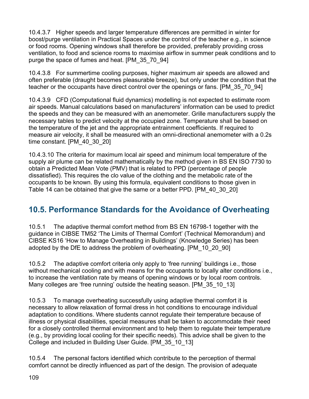10.4.3.7 Higher speeds and larger temperature differences are permitted in winter for boost/purge ventilation in Practical Spaces under the control of the teacher e.g., in science or food rooms. Opening windows shall therefore be provided, preferably providing cross ventilation, to food and science rooms to maximise airflow in summer peak conditions and to purge the space of fumes and heat. [PM\_35\_70\_94]

10.4.3.8 For summertime cooling purposes, higher maximum air speeds are allowed and often preferable (draught becomes pleasurable breeze), but only under the condition that the teacher or the occupants have direct control over the openings or fans. [PM\_35\_70\_94]

10.4.3.9 CFD (Computational fluid dynamics) modelling is not expected to estimate room air speeds. Manual calculations based on manufacturers' information can be used to predict the speeds and they can be measured with an anemometer. Grille manufacturers supply the necessary tables to predict velocity at the occupied zone. Temperature shall be based on the temperature of the jet and the appropriate entrainment coefficients. If required to measure air velocity, it shall be measured with an omni-directional anemometer with a 0.2s time constant. [PM\_40\_30\_20]

10.4.3.10 The criteria for maximum local air speed and minimum local temperature of the supply air plume can be related mathematically by the method given in BS EN ISO 7730 to obtain a Predicted Mean Vote (PMV) that is related to PPD (percentage of people dissatisfied). This requires the clo value of the clothing and the metabolic rate of the occupants to be known. By using this formula, equivalent conditions to those given in Table 14 can be obtained that give the same or a better PPD. [PM\_40\_30\_20]

# **10.5. Performance Standards for the Avoidance of Overheating**

10.5.1 The adaptive thermal comfort method from BS EN 16798-1 together with the guidance in CIBSE TM52 'The Limits of Thermal Comfort' (Technical Memorandum) and CIBSE KS16 'How to Manage Overheating in Buildings' (Knowledge Series) has been adopted by the DfE to address the problem of overheating. [PM\_10\_20\_90]

10.5.2 The adaptive comfort criteria only apply to 'free running' buildings i.e., those without mechanical cooling and with means for the occupants to locally alter conditions i.e., to increase the ventilation rate by means of opening windows or by local room controls. Many colleges are 'free running' outside the heating season. [PM\_35\_10\_13]

10.5.3 To manage overheating successfully using adaptive thermal comfort it is necessary to allow relaxation of formal dress in hot conditions to encourage individual adaptation to conditions. Where students cannot regulate their temperature because of illness or physical disabilities, special measures shall be taken to accommodate their need for a closely controlled thermal environment and to help them to regulate their temperature (e.g., by providing local cooling for their specific needs). This advice shall be given to the College and included in Building User Guide. [PM\_35\_10\_13]

10.5.4 The personal factors identified which contribute to the perception of thermal comfort cannot be directly influenced as part of the design. The provision of adequate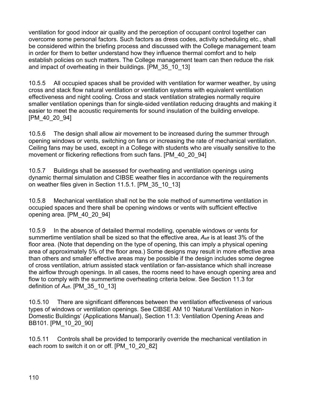ventilation for good indoor air quality and the perception of occupant control together can overcome some personal factors. Such factors as dress codes, activity scheduling etc., shall be considered within the briefing process and discussed with the College management team in order for them to better understand how they influence thermal comfort and to help establish policies on such matters. The College management team can then reduce the risk and impact of overheating in their buildings. [PM\_35\_10\_13]

10.5.5 All occupied spaces shall be provided with ventilation for warmer weather, by using cross and stack flow natural ventilation or ventilation systems with equivalent ventilation effectiveness and night cooling. Cross and stack ventilation strategies normally require smaller ventilation openings than for single-sided ventilation reducing draughts and making it easier to meet the acoustic requirements for sound insulation of the building envelope. [PM\_40\_20\_94]

10.5.6 The design shall allow air movement to be increased during the summer through opening windows or vents, switching on fans or increasing the rate of mechanical ventilation. Ceiling fans may be used, except in a College with students who are visually sensitive to the movement or flickering reflections from such fans. [PM\_40\_20\_94]

10.5.7 Buildings shall be assessed for overheating and ventilation openings using dynamic thermal simulation and CIBSE weather files in accordance with the requirements on weather files given in Section 11.5.1. [PM\_35\_10\_13]

10.5.8 Mechanical ventilation shall not be the sole method of summertime ventilation in occupied spaces and there shall be opening windows or vents with sufficient effective opening area. [PM\_40\_20\_94]

10.5.9 In the absence of detailed thermal modelling, openable windows or vents for summertime ventilation shall be sized so that the effective area,  $A_{\text{eff}}$  is at least 3% of the floor area. (Note that depending on the type of opening, this can imply a physical opening area of approximately 5% of the floor area.) Some designs may result in more effective area than others and smaller effective areas may be possible if the design includes some degree of cross ventilation, atrium assisted stack ventilation or fan-assistance which shall increase the airflow through openings. In all cases, the rooms need to have enough opening area and flow to comply with the summertime overheating criteria below. See Section 11.3 for definition of *A*eff. [PM\_35\_10\_13]

10.5.10 There are significant differences between the ventilation effectiveness of various types of windows or ventilation openings. See CIBSE AM 10 'Natural Ventilation in Non-Domestic Buildings' (Applications Manual), Section 11.3: Ventilation Opening Areas and BB101. [PM\_10\_20\_90]

10.5.11 Controls shall be provided to temporarily override the mechanical ventilation in each room to switch it on or off. [PM\_10\_20\_82]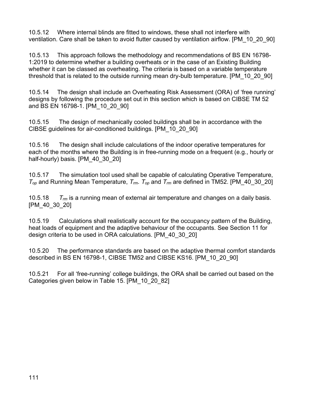10.5.12 Where internal blinds are fitted to windows, these shall not interfere with ventilation. Care shall be taken to avoid flutter caused by ventilation airflow. [PM\_10\_20\_90]

10.5.13 This approach follows the methodology and recommendations of BS EN 16798- 1:2019 to determine whether a building overheats or in the case of an Existing Building whether it can be classed as overheating. The criteria is based on a variable temperature threshold that is related to the outside running mean dry-bulb temperature. [PM\_10\_20\_90]

10.5.14 The design shall include an Overheating Risk Assessment (ORA) of 'free running' designs by following the procedure set out in this section which is based on CIBSE TM 52 and BS EN 16798-1. [PM\_10\_20\_90]

10.5.15 The design of mechanically cooled buildings shall be in accordance with the CIBSE guidelines for air-conditioned buildings. [PM\_10\_20\_90]

10.5.16 The design shall include calculations of the indoor operative temperatures for each of the months where the Building is in free-running mode on a frequent (e.g., hourly or half-hourly) basis. [PM 40 30 20]

10.5.17 The simulation tool used shall be capable of calculating Operative Temperature, *Top* and Running Mean Temperature, *Trm. Top* and *Trm* are defined in TM52. [PM\_40\_30\_20]

10.5.18 *Trm* is a running mean of external air temperature and changes on a daily basis. [PM\_40\_30\_20]

10.5.19 Calculations shall realistically account for the occupancy pattern of the Building, heat loads of equipment and the adaptive behaviour of the occupants. See Section 11 for design criteria to be used in ORA calculations. [PM\_40\_30\_20]

10.5.20 The performance standards are based on the adaptive thermal comfort standards described in BS EN 16798-1, CIBSE TM52 and CIBSE KS16. [PM\_10\_20\_90]

10.5.21 For all 'free-running' college buildings, the ORA shall be carried out based on the Categories given below in Table 15. [PM\_10\_20\_82]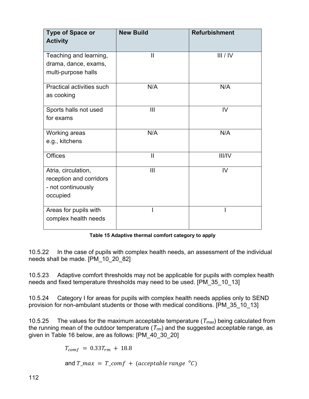| <b>Type of Space or</b><br><b>Activity</b>                                       | <b>New Build</b> | <b>Refurbishment</b> |
|----------------------------------------------------------------------------------|------------------|----------------------|
| Teaching and learning,<br>drama, dance, exams,<br>multi-purpose halls            | $\mathbf{I}$     | III / IV             |
| Practical activities such<br>as cooking                                          | N/A              | N/A                  |
| Sports halls not used<br>for exams                                               | III              | IV                   |
| Working areas<br>e.g., kitchens                                                  | N/A              | N/A                  |
| <b>Offices</b>                                                                   | Ш                | III/IV               |
| Atria, circulation,<br>reception and corridors<br>- not continuously<br>occupied | III              | IV                   |
| Areas for pupils with<br>complex health needs                                    |                  |                      |

**Table 15 Adaptive thermal comfort category to apply**

10.5.22 In the case of pupils with complex health needs, an assessment of the individual needs shall be made. [PM\_10\_20\_82]

10.5.23 Adaptive comfort thresholds may not be applicable for pupils with complex health needs and fixed temperature thresholds may need to be used. [PM\_35\_10\_13]

10.5.24 Category I for areas for pupils with complex health needs applies only to SEND provision for non-ambulant students or those with medical conditions. [PM\_35\_10\_13]

10.5.25 The values for the maximum acceptable temperature (*Tmax*) being calculated from the running mean of the outdoor temperature (*Trm*) and the suggested acceptable range, as given in Table 16 below, are as follows: [PM\_40\_30\_20]

 $T_{comf} = 0.33 T_{rm} + 18.8$ 

and  $T_{max} = T_{comf} + (acceptable range \ ^oC)$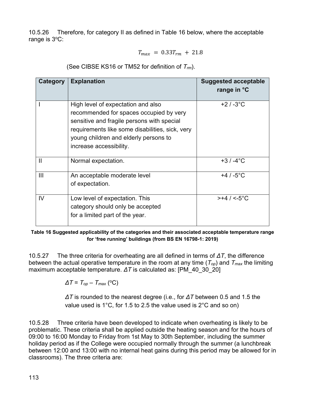10.5.26 Therefore, for category II as defined in Table 16 below, where the acceptable range is 3°C:

$$
T_{max} = 0.33 T_{rm} + 21.8
$$

(See CIBSE KS16 or TM52 for definition of *Trm*).

| Category       | <b>Explanation</b>                                                                                                                                                                                                                                 | <b>Suggested acceptable</b><br>range in °C |
|----------------|----------------------------------------------------------------------------------------------------------------------------------------------------------------------------------------------------------------------------------------------------|--------------------------------------------|
|                | High level of expectation and also<br>recommended for spaces occupied by very<br>sensitive and fragile persons with special<br>requirements like some disabilities, sick, very<br>young children and elderly persons to<br>increase accessibility. | $+2/3$ °C                                  |
| $\mathbf{I}$   | Normal expectation.                                                                                                                                                                                                                                | $+3/ -4$ °C                                |
| $\mathbf{III}$ | An acceptable moderate level<br>of expectation.                                                                                                                                                                                                    | $+4/ -5$ °C                                |
| IV             | Low level of expectation. This<br>category should only be accepted<br>for a limited part of the year.                                                                                                                                              | $>+4$ / <-5°C                              |

**Table 16 Suggested applicability of the categories and their associated acceptable temperature range for 'free running' buildings (from BS EN 16798-1: 2019)**

10.5.27 The three criteria for overheating are all defined in terms of *ΔT*, the difference between the actual operative temperature in the room at any time (*Top*) and *Tmax* the limiting maximum acceptable temperature. *ΔT* is calculated as: [PM\_40\_30\_20]

 $\Delta T = T_{op} - T_{max}$  (°C)

*ΔT* is rounded to the nearest degree (i.e., for *ΔT* between 0.5 and 1.5 the value used is 1°C, for 1.5 to 2.5 the value used is 2°C and so on)

10.5.28 Three criteria have been developed to indicate when overheating is likely to be problematic. These criteria shall be applied outside the heating season and for the hours of 09:00 to 16:00 Monday to Friday from 1st May to 30th September, including the summer holiday period as if the College were occupied normally through the summer (a lunchbreak between 12:00 and 13:00 with no internal heat gains during this period may be allowed for in classrooms). The three criteria are: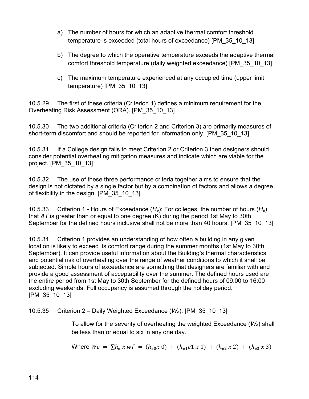- a) The number of hours for which an adaptive thermal comfort threshold temperature is exceeded (total hours of exceedance) [PM\_35\_10\_13]
- b) The degree to which the operative temperature exceeds the adaptive thermal comfort threshold temperature (daily weighted exceedance) [PM\_35\_10\_13]
- c) The maximum temperature experienced at any occupied time (upper limit temperature) [PM\_35\_10\_13]

10.5.29 The first of these criteria (Criterion 1) defines a minimum requirement for the Overheating Risk Assessment (ORA). [PM\_35\_10\_13]

10.5.30 The two additional criteria (Criterion 2 and Criterion 3) are primarily measures of short-term discomfort and should be reported for information only. [PM\_35\_10\_13]

10.5.31 If a College design fails to meet Criterion 2 or Criterion 3 then designers should consider potential overheating mitigation measures and indicate which are viable for the project. [PM\_35\_10\_13]

10.5.32 The use of these three performance criteria together aims to ensure that the design is not dictated by a single factor but by a combination of factors and allows a degree of flexibility in the design. [PM\_35\_10\_13]

10.5.33 Criterion 1 - Hours of Exceedance (*He*): For colleges, the number of hours (*He*) that *ΔT* is greater than or equal to one degree (K) during the period 1st May to 30th September for the defined hours inclusive shall not be more than 40 hours. [PM\_35\_10\_13]

10.5.34 Criterion 1 provides an understanding of how often a building in any given location is likely to exceed its comfort range during the summer months (1st May to 30th September). It can provide useful information about the Building's thermal characteristics and potential risk of overheating over the range of weather conditions to which it shall be subjected. Simple hours of exceedance are something that designers are familiar with and provide a good assessment of acceptability over the summer. The defined hours used are the entire period from 1st May to 30th September for the defined hours of 09:00 to 16:00 excluding weekends. Full occupancy is assumed through the holiday period. [PM\_35\_10\_13]

10.5.35 Criterion 2 – Daily Weighted Exceedance (*We*): [PM\_35\_10\_13]

To allow for the severity of overheating the weighted Exceedance (*We*) shall be less than or equal to six in any one day.

Where 
$$
We = \sum h_e x w f = (h_{e0} x 0) + (h_{e1} e 1 x 1) + (h_{e2} x 2) + (h_{e3} x 3)
$$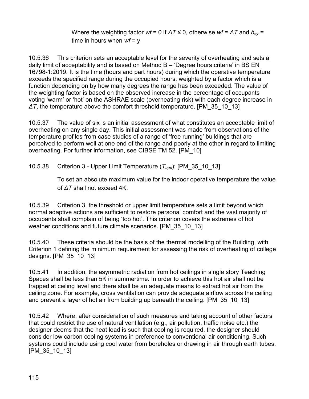Where the weighting factor *wf* = 0 if *ΔT* ≤ 0, otherwise *wf* = *ΔT* and *hey* = time in hours when *wf* = y

10.5.36 This criterion sets an acceptable level for the severity of overheating and sets a daily limit of acceptability and is based on Method B – 'Degree hours criteria' in BS EN 16798-1:2019. It is the time (hours and part hours) during which the operative temperature exceeds the specified range during the occupied hours, weighted by a factor which is a function depending on by how many degrees the range has been exceeded. The value of the weighting factor is based on the observed increase in the percentage of occupants voting 'warm' or 'hot' on the ASHRAE scale (overheating risk) with each degree increase in *ΔT*, the temperature above the comfort threshold temperature. [PM\_35\_10\_13]

10.5.37 The value of six is an initial assessment of what constitutes an acceptable limit of overheating on any single day. This initial assessment was made from observations of the temperature profiles from case studies of a range of 'free running' buildings that are perceived to perform well at one end of the range and poorly at the other in regard to limiting overheating. For further information, see CIBSE TM 52. [PM\_10]

10.5.38 Criterion 3 - Upper Limit Temperature (*Tupp*): [PM\_35\_10\_13]

To set an absolute maximum value for the indoor operative temperature the value of *ΔT* shall not exceed 4K.

10.5.39 Criterion 3, the threshold or upper limit temperature sets a limit beyond which normal adaptive actions are sufficient to restore personal comfort and the vast majority of occupants shall complain of being 'too hot'. This criterion covers the extremes of hot weather conditions and future climate scenarios. [PM\_35\_10\_13]

10.5.40 These criteria should be the basis of the thermal modelling of the Building, with Criterion 1 defining the minimum requirement for assessing the risk of overheating of college designs. [PM\_35\_10\_13]

10.5.41 In addition, the asymmetric radiation from hot ceilings in single story Teaching Spaces shall be less than 5K in summertime. In order to achieve this hot air shall not be trapped at ceiling level and there shall be an adequate means to extract hot air from the ceiling zone. For example, cross ventilation can provide adequate airflow across the ceiling and prevent a layer of hot air from building up beneath the ceiling. [PM\_35\_10\_13]

10.5.42 Where, after consideration of such measures and taking account of other factors that could restrict the use of natural ventilation (e.g., air pollution, traffic noise etc.) the designer deems that the heat load is such that cooling is required, the designer should consider low carbon cooling systems in preference to conventional air conditioning. Such systems could include using cool water from boreholes or drawing in air through earth tubes. [PM\_35\_10\_13]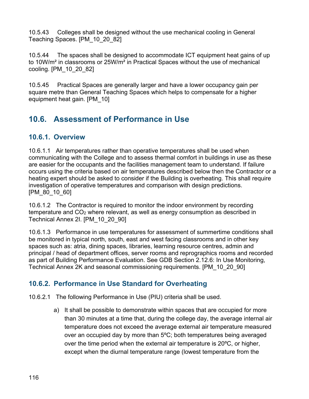10.5.43 Colleges shall be designed without the use mechanical cooling in General Teaching Spaces. [PM\_10\_20\_82]

10.5.44 The spaces shall be designed to accommodate ICT equipment heat gains of up to 10W/m² in classrooms or 25W/m² in Practical Spaces without the use of mechanical cooling. [PM\_10\_20\_82]

10.5.45 Practical Spaces are generally larger and have a lower occupancy gain per square metre than General Teaching Spaces which helps to compensate for a higher equipment heat gain. [PM\_10]

# **10.6. Assessment of Performance in Use**

#### **10.6.1. Overview**

10.6.1.1 Air temperatures rather than operative temperatures shall be used when communicating with the College and to assess thermal comfort in buildings in use as these are easier for the occupants and the facilities management team to understand. If failure occurs using the criteria based on air temperatures described below then the Contractor or a heating expert should be asked to consider if the Building is overheating. This shall require investigation of operative temperatures and comparison with design predictions. [PM\_80\_10\_60]

10.6.1.2 The Contractor is required to monitor the indoor environment by recording temperature and CO<sub>2</sub> where relevant, as well as energy consumption as described in Technical Annex 2I. [PM\_10\_20\_90]

10.6.1.3 Performance in use temperatures for assessment of summertime conditions shall be monitored in typical north, south, east and west facing classrooms and in other key spaces such as: atria, dining spaces, libraries, learning resource centres, admin and principal / head of department offices, server rooms and reprographics rooms and recorded as part of Building Performance Evaluation. See GDB Section 2.12.6: In Use Monitoring, Technical Annex 2K and seasonal commissioning requirements. [PM\_10\_20\_90]

## **10.6.2. Performance in Use Standard for Overheating**

10.6.2.1 The following Performance in Use (PIU) criteria shall be used.

a) It shall be possible to demonstrate within spaces that are occupied for more than 30 minutes at a time that, during the college day, the average internal air temperature does not exceed the average external air temperature measured over an occupied day by more than 5ºC; both temperatures being averaged over the time period when the external air temperature is 20ºC, or higher, except when the diurnal temperature range (lowest temperature from the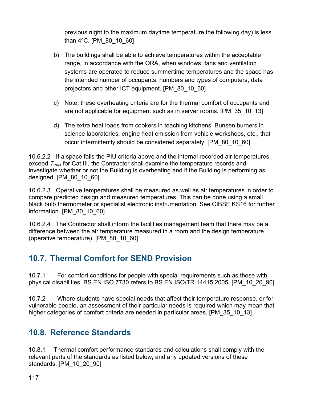previous night to the maximum daytime temperature the following day) is less than 4ºC. [PM\_80\_10\_60]

- b) The buildings shall be able to achieve temperatures within the acceptable range, in accordance with the ORA, when windows, fans and ventilation systems are operated to reduce summertime temperatures and the space has the intended number of occupants, numbers and types of computers, data projectors and other ICT equipment. [PM\_80\_10\_60]
- c) Note: these overheating criteria are for the thermal comfort of occupants and are not applicable for equipment such as in server rooms. [PM\_35\_10\_13]
- d) The extra heat loads from cookers in teaching kitchens, Bunsen burners in science laboratories, engine heat emission from vehicle workshops, etc., that occur intermittently should be considered separately. [PM\_80\_10\_60]

10.6.2.2 If a space fails the PIU criteria above and the internal recorded air temperatures exceed *Tmax* for Cat III, the Contractor shall examine the temperature records and investigate whether or not the Building is overheating and if the Building is performing as designed. [PM\_80\_10\_60]

10.6.2.3 Operative temperatures shall be measured as well as air temperatures in order to compare predicted design and measured temperatures. This can be done using a small black bulb thermometer or specialist electronic instrumentation. See CIBSE KS16 for further information. [PM\_80\_10\_60]

10.6.2.4 The Contractor shall inform the facilities management team that there may be a difference between the air temperature measured in a room and the design temperature (operative temperature). [PM\_80\_10\_60]

# **10.7. Thermal Comfort for SEND Provision**

10.7.1 For comfort conditions for people with special requirements such as those with physical disabilities, BS EN ISO 7730 refers to BS EN ISO/TR 14415:2005. [PM\_10\_20\_90]

10.7.2 Where students have special needs that affect their temperature response, or for vulnerable people, an assessment of their particular needs is required which may mean that higher categories of comfort criteria are needed in particular areas. [PM 35 10 13]

# **10.8. Reference Standards**

10.8.1 Thermal comfort performance standards and calculations shall comply with the relevant parts of the standards as listed below, and any updated versions of these standards. [PM\_10\_20\_90]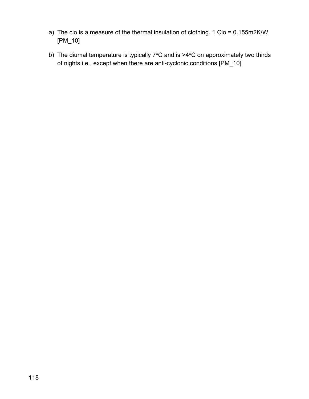- a) The clo is a measure of the thermal insulation of clothing. 1 Clo = 0.155m2K/W [PM\_10]
- b) The diumal temperature is typically  $7^{\circ}$ C and is  $>4^{\circ}$ C on approximately two thirds of nights i.e., except when there are anti-cyclonic conditions [PM\_10]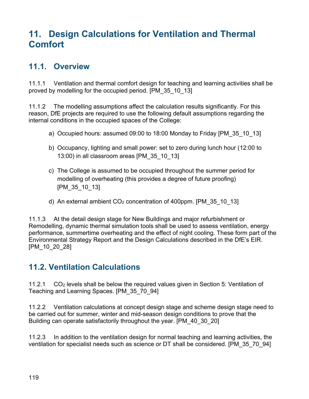# **11. Design Calculations for Ventilation and Thermal Comfort**

## **11.1. Overview**

11.1.1 Ventilation and thermal comfort design for teaching and learning activities shall be proved by modelling for the occupied period. [PM\_35\_10\_13]

11.1.2 The modelling assumptions affect the calculation results significantly. For this reason, DfE projects are required to use the following default assumptions regarding the internal conditions in the occupied spaces of the College:

- a) Occupied hours: assumed 09:00 to 18:00 Monday to Friday [PM\_35\_10\_13]
- b) Occupancy, lighting and small power: set to zero during lunch hour (12:00 to 13:00) in all classroom areas [PM\_35\_10\_13]
- c) The College is assumed to be occupied throughout the summer period for modelling of overheating (this provides a degree of future proofing) [PM\_35\_10\_13]
- d) An external ambient  $CO<sub>2</sub>$  concentration of 400ppm. [PM 35 10 13]

11.1.3 At the detail design stage for New Buildings and major refurbishment or Remodelling, dynamic thermal simulation tools shall be used to assess ventilation, energy performance, summertime overheating and the effect of night cooling. These form part of the Environmental Strategy Report and the Design Calculations described in the DfE's EIR. [PM 10\_20\_28]

# **11.2. Ventilation Calculations**

11.2.1  $CO<sub>2</sub>$  levels shall be below the required values given in Section 5: Ventilation of Teaching and Learning Spaces. [PM\_35\_70\_94]

11.2.2 Ventilation calculations at concept design stage and scheme design stage need to be carried out for summer, winter and mid-season design conditions to prove that the Building can operate satisfactorily throughout the year. [PM\_40\_30\_20]

11.2.3 In addition to the ventilation design for normal teaching and learning activities, the ventilation for specialist needs such as science or DT shall be considered. [PM\_35\_70\_94]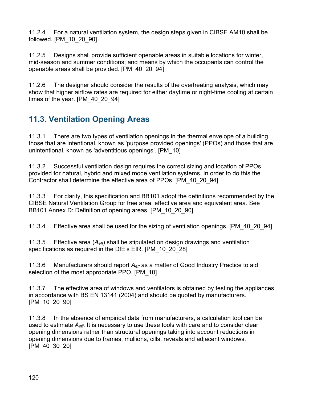11.2.4 For a natural ventilation system, the design steps given in CIBSE AM10 shall be followed. [PM\_10\_20\_90]

11.2.5 Designs shall provide sufficient openable areas in suitable locations for winter, mid-season and summer conditions; and means by which the occupants can control the openable areas shall be provided. [PM\_40\_20\_94]

11.2.6 The designer should consider the results of the overheating analysis, which may show that higher airflow rates are required for either daytime or night-time cooling at certain times of the year. [PM\_40\_20\_94]

# **11.3. Ventilation Opening Areas**

11.3.1 There are two types of ventilation openings in the thermal envelope of a building, those that are intentional, known as 'purpose provided openings' (PPOs) and those that are unintentional, known as 'adventitious openings'. [PM\_10]

11.3.2 Successful ventilation design requires the correct sizing and location of PPOs provided for natural, hybrid and mixed mode ventilation systems. In order to do this the Contractor shall determine the effective area of PPOs. [PM\_40\_20\_94]

11.3.3 For clarity, this specification and BB101 adopt the definitions recommended by the CIBSE Natural Ventilation Group for free area, effective area and equivalent area. See BB101 Annex D: Definition of opening areas. [PM\_10\_20\_90]

11.3.4 Effective area shall be used for the sizing of ventilation openings. [PM\_40\_20\_94]

11.3.5 Effective area (*Aeff*) shall be stipulated on design drawings and ventilation specifications as required in the DfE's EIR. [PM\_10\_20\_28]

11.3.6 Manufacturers should report *Aeff* as a matter of Good Industry Practice to aid selection of the most appropriate PPO. [PM\_10]

11.3.7 The effective area of windows and ventilators is obtained by testing the appliances in accordance with BS EN 13141 (2004) and should be quoted by manufacturers. [PM\_10\_20\_90]

11.3.8 In the absence of empirical data from manufacturers, a calculation tool can be used to estimate *Aeff*. It is necessary to use these tools with care and to consider clear opening dimensions rather than structural openings taking into account reductions in opening dimensions due to frames, mullions, cills, reveals and adjacent windows. [PM\_40\_30\_20]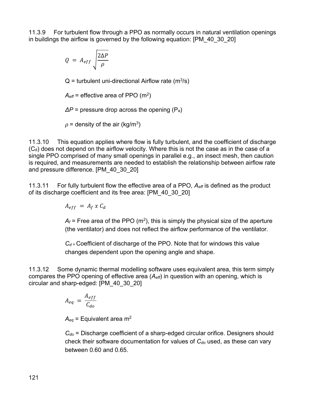11.3.9 For turbulent flow through a PPO as normally occurs in natural ventilation openings in buildings the airflow is governed by the following equation: [PM\_40\_30\_20]

$$
Q = A_{eff} \sqrt{\frac{2\Delta P}{\rho}}
$$

 $Q =$  turbulent uni-directional Airflow rate (m<sup>3</sup>/s)

 $A_{\text{eff}}$  = effective area of PPO (m<sup>2</sup>)

*ΔP* = pressure drop across the opening (Pa)

 $\rho$  = density of the air (kg/m $^3)$ 

11.3.10 This equation applies where flow is fully turbulent, and the coefficient of discharge  $(C_d)$  does not depend on the airflow velocity. Where this is not the case as in the case of a single PPO comprised of many small openings in parallel e.g., an insect mesh, then caution is required, and measurements are needed to establish the relationship between airflow rate and pressure difference. [PM\_40\_30\_20]

11.3.11 For fully turbulent flow the effective area of a PPO, *Aeff* is defined as the product of its discharge coefficient and its free area: [PM\_40\_30\_20]

 $A_{eff} = A_f \times C_d$ 

 $A_f$  = Free area of the PPO (m<sup>2</sup>), this is simply the physical size of the aperture (the ventilator) and does not reflect the airflow performance of the ventilator.

 $C_d$  = Coefficient of discharge of the PPO. Note that for windows this value changes dependent upon the opening angle and shape.

11.3.12 Some dynamic thermal modelling software uses equivalent area, this term simply compares the PPO opening of effective area (*Aeff*) in question with an opening, which is circular and sharp-edged: [PM\_40\_30\_20]

$$
A_{eq} = \frac{A_{eff}}{C_{do}}
$$

 $A_{eq}$  = Equivalent area m<sup>2</sup>

*Cdo* = Discharge coefficient of a sharp-edged circular orifice. Designers should check their software documentation for values of *Cdo* used, as these can vary between 0.60 and 0.65.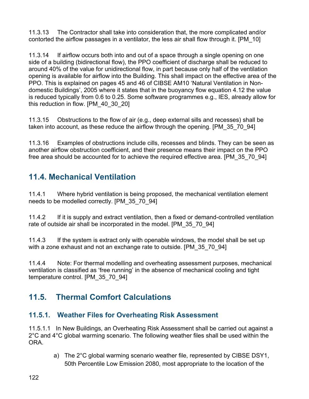11.3.13 The Contractor shall take into consideration that, the more complicated and/or contorted the airflow passages in a ventilator, the less air shall flow through it. [PM\_10]

11.3.14 If airflow occurs both into and out of a space through a single opening on one side of a building (bidirectional flow), the PPO coefficient of discharge shall be reduced to around 40% of the value for unidirectional flow, in part because only half of the ventilation opening is available for airflow into the Building. This shall impact on the effective area of the PPO. This is explained on pages 45 and 46 of CIBSE AM10 'Natural Ventilation in Nondomestic Buildings', 2005 where it states that in the buoyancy flow equation 4.12 the value is reduced typically from 0.6 to 0.25. Some software programmes e.g., IES, already allow for this reduction in flow. [PM\_40\_30\_20]

11.3.15 Obstructions to the flow of air (e.g., deep external sills and recesses) shall be taken into account, as these reduce the airflow through the opening. [PM\_35\_70\_94]

11.3.16 Examples of obstructions include cills, recesses and blinds. They can be seen as another airflow obstruction coefficient, and their presence means their impact on the PPO free area should be accounted for to achieve the required effective area. [PM\_35\_70\_94]

# **11.4. Mechanical Ventilation**

11.4.1 Where hybrid ventilation is being proposed, the mechanical ventilation element needs to be modelled correctly. [PM\_35\_70\_94]

11.4.2 If it is supply and extract ventilation, then a fixed or demand-controlled ventilation rate of outside air shall be incorporated in the model. [PM\_35\_70\_94]

11.4.3 If the system is extract only with openable windows, the model shall be set up with a zone exhaust and not an exchange rate to outside. [PM\_35\_70\_94]

11.4.4 Note: For thermal modelling and overheating assessment purposes, mechanical ventilation is classified as 'free running' in the absence of mechanical cooling and tight temperature control. [PM\_35\_70\_94]

# **11.5. Thermal Comfort Calculations**

## **11.5.1. Weather Files for Overheating Risk Assessment**

11.5.1.1 In New Buildings, an Overheating Risk Assessment shall be carried out against a 2°C and 4°C global warming scenario. The following weather files shall be used within the ORA.

> a) The 2°C global warming scenario weather file, represented by CIBSE DSY1, 50th Percentile Low Emission 2080, most appropriate to the location of the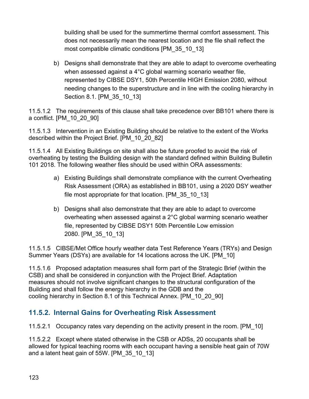building shall be used for the summertime thermal comfort assessment. This does not necessarily mean the nearest location and the file shall reflect the most compatible climatic conditions [PM\_35\_10\_13]

b) Designs shall demonstrate that they are able to adapt to overcome overheating when assessed against a 4°C global warming scenario weather file, represented by CIBSE DSY1, 50th Percentile HIGH Emission 2080, without needing changes to the superstructure and in line with the cooling hierarchy in Section 8.1. [PM 35 10 13]

11.5.1.2 The requirements of this clause shall take precedence over BB101 where there is a conflict. [PM\_10\_20\_90]

11.5.1.3 Intervention in an Existing Building should be relative to the extent of the Works described within the Project Brief. [PM\_10\_20\_82]

11.5.1.4 All Existing Buildings on site shall also be future proofed to avoid the risk of overheating by testing the Building design with the standard defined within Building Bulletin 101 2018. The following weather files should be used within ORA assessments:

- a) Existing Buildings shall demonstrate compliance with the current Overheating Risk Assessment (ORA) as established in BB101, using a 2020 DSY weather file most appropriate for that location. [PM\_35\_10\_13]
- b) Designs shall also demonstrate that they are able to adapt to overcome overheating when assessed against a 2°C global warming scenario weather file, represented by CIBSE DSY1 50th Percentile Low emission 2080. [PM\_35\_10\_13]

11.5.1.5 CIBSE/Met Office hourly weather data Test Reference Years (TRYs) and Design Summer Years (DSYs) are available for 14 locations across the UK. [PM\_10]

11.5.1.6 Proposed adaptation measures shall form part of the Strategic Brief (within the CSB) and shall be considered in conjunction with the Project Brief. Adaptation measures should not involve significant changes to the structural configuration of the Building and shall follow the energy hierarchy in the GDB and the cooling hierarchy in Section 8.1 of this Technical Annex. [PM\_10\_20\_90]

## **11.5.2. Internal Gains for Overheating Risk Assessment**

11.5.2.1 Occupancy rates vary depending on the activity present in the room. [PM\_10]

11.5.2.2 Except where stated otherwise in the CSB or ADSs, 20 occupants shall be allowed for typical teaching rooms with each occupant having a sensible heat gain of 70W and a latent heat gain of 55W. [PM\_35\_10\_13]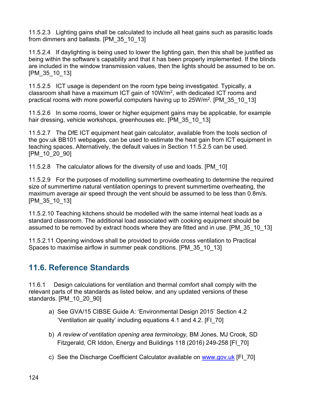11.5.2.3 Lighting gains shall be calculated to include all heat gains such as parasitic loads from dimmers and ballasts. [PM\_35\_10\_13]

11.5.2.4 If daylighting is being used to lower the lighting gain, then this shall be justified as being within the software's capability and that it has been properly implemented. If the blinds are included in the window transmission values, then the lights should be assumed to be on. [PM\_35\_10\_13]

11.5.2.5 ICT usage is dependent on the room type being investigated. Typically, a classroom shall have a maximum ICT gain of  $10W/m^2$ , with dedicated ICT rooms and practical rooms with more powerful computers having up to 25W/m<sup>2</sup>. [PM\_35\_10\_13]

11.5.2.6 In some rooms, lower or higher equipment gains may be applicable, for example hair dressing, vehicle workshops, greenhouses etc. [PM\_35\_10\_13]

11.5.2.7 The DfE ICT equipment heat gain calculator, available from the tools section of the gov.uk BB101 webpages, can be used to estimate the heat gain from ICT equipment in teaching spaces. Alternatively, the default values in Section 11.5.2.5 can be used. [PM\_10\_20\_90]

11.5.2.8 The calculator allows for the diversity of use and loads. [PM\_10]

11.5.2.9 For the purposes of modelling summertime overheating to determine the required size of summertime natural ventilation openings to prevent summertime overheating, the maximum average air speed through the vent should be assumed to be less than 0.8m/s. [PM\_35\_10\_13]

11.5.2.10 Teaching kitchens should be modelled with the same internal heat loads as a standard classroom. The additional load associated with cooking equipment should be assumed to be removed by extract hoods where they are fitted and in use. [PM\_35\_10\_13]

11.5.2.11 Opening windows shall be provided to provide cross ventilation to Practical Spaces to maximise airflow in summer peak conditions. [PM\_35\_10\_13]

# **11.6. Reference Standards**

11.6.1 Design calculations for ventilation and thermal comfort shall comply with the relevant parts of the standards as listed below, and any updated versions of these standards. [PM\_10\_20\_90]

- a) See GVA/15 CIBSE Guide A: 'Environmental Design 2015' Section 4.2 'Ventilation air quality' including equations 4.1 and 4.2. [FI\_70]
- b) *A review of ventilation opening area terminology,* BM Jones, MJ Crook, SD Fitzgerald, CR Iddon, Energy and Buildings 118 (2016) 249-258 [FI\_70]
- c) See the Discharge Coefficient Calculator available on [www.gov.uk](http://www.gov.uk/) [FI\_70]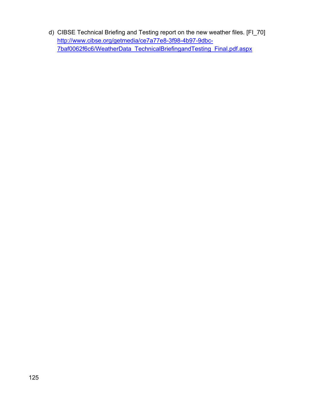d) CIBSE Technical Briefing and Testing report on the new weather files. [FI\_70] [http://www.cibse.org/getmedia/ce7a77e8-3f98-4b97-9dbc-](https://www.facebook.com/educationgovuk)[7baf0062f6c6/WeatherData\\_TechnicalBriefingandTesting\\_Final.pdf.aspx](https://www.facebook.com/educationgovuk)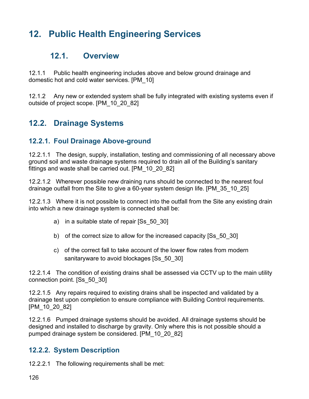# **12. Public Health Engineering Services**

## **12.1. Overview**

12.1.1 Public health engineering includes above and below ground drainage and domestic hot and cold water services. [PM\_10]

12.1.2 Any new or extended system shall be fully integrated with existing systems even if outside of project scope. [PM\_10\_20\_82]

## **12.2. Drainage Systems**

#### **12.2.1. Foul Drainage Above-ground**

12.2.1.1 The design, supply, installation, testing and commissioning of all necessary above ground soil and waste drainage systems required to drain all of the Building's sanitary fittings and waste shall be carried out. [PM\_10\_20\_82]

12.2.1.2 Wherever possible new draining runs should be connected to the nearest foul drainage outfall from the Site to give a 60-year system design life. [PM\_35\_10\_25]

12.2.1.3 Where it is not possible to connect into the outfall from the Site any existing drain into which a new drainage system is connected shall be:

- a) in a suitable state of repair [Ss\_50\_30]
- b) of the correct size to allow for the increased capacity [Ss\_50\_30]
- c) of the correct fall to take account of the lower flow rates from modern sanitaryware to avoid blockages [Ss\_50\_30]

12.2.1.4 The condition of existing drains shall be assessed via CCTV up to the main utility connection point. [Ss\_50\_30]

12.2.1.5 Any repairs required to existing drains shall be inspected and validated by a drainage test upon completion to ensure compliance with Building Control requirements. [PM\_10\_20\_82]

12.2.1.6 Pumped drainage systems should be avoided. All drainage systems should be designed and installed to discharge by gravity. Only where this is not possible should a pumped drainage system be considered. [PM\_10\_20\_82]

#### **12.2.2. System Description**

12.2.2.1 The following requirements shall be met: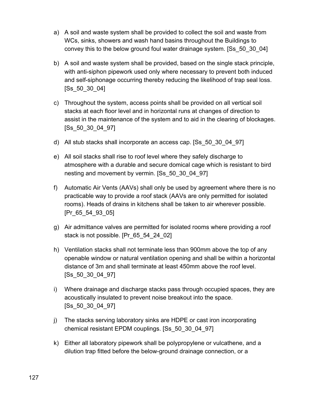- a) A soil and waste system shall be provided to collect the soil and waste from WCs, sinks, showers and wash hand basins throughout the Buildings to convey this to the below ground foul water drainage system. [Ss\_50\_30\_04]
- b) A soil and waste system shall be provided, based on the single stack principle, with anti-siphon pipework used only where necessary to prevent both induced and self-siphonage occurring thereby reducing the likelihood of trap seal loss. [Ss\_50\_30\_04]
- c) Throughout the system, access points shall be provided on all vertical soil stacks at each floor level and in horizontal runs at changes of direction to assist in the maintenance of the system and to aid in the clearing of blockages. [Ss\_50\_30\_04\_97]
- d) All stub stacks shall incorporate an access cap. [Ss\_50\_30\_04\_97]
- e) All soil stacks shall rise to roof level where they safely discharge to atmosphere with a durable and secure domical cage which is resistant to bird nesting and movement by vermin. [Ss\_50\_30\_04\_97]
- f) Automatic Air Vents (AAVs) shall only be used by agreement where there is no practicable way to provide a roof stack (AAVs are only permitted for isolated rooms). Heads of drains in kitchens shall be taken to air wherever possible. [Pr\_65\_54\_93\_05]
- g) Air admittance valves are permitted for isolated rooms where providing a roof stack is not possible. [Pr\_65\_54\_24\_02]
- h) Ventilation stacks shall not terminate less than 900mm above the top of any openable window or natural ventilation opening and shall be within a horizontal distance of 3m and shall terminate at least 450mm above the roof level. [Ss\_50\_30\_04\_97]
- i) Where drainage and discharge stacks pass through occupied spaces, they are acoustically insulated to prevent noise breakout into the space. [Ss\_50\_30\_04\_97]
- j) The stacks serving laboratory sinks are HDPE or cast iron incorporating chemical resistant EPDM couplings. [Ss\_50\_30\_04\_97]
- k) Either all laboratory pipework shall be polypropylene or vulcathene, and a dilution trap fitted before the below-ground drainage connection, or a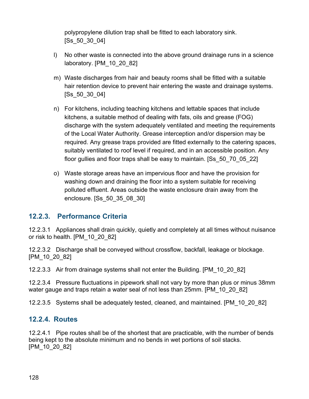polypropylene dilution trap shall be fitted to each laboratory sink. [Ss\_50\_30\_04]

- l) No other waste is connected into the above ground drainage runs in a science laboratory. [PM\_10\_20\_82]
- m) Waste discharges from hair and beauty rooms shall be fitted with a suitable hair retention device to prevent hair entering the waste and drainage systems. [Ss\_50\_30\_04]
- n) For kitchens, including teaching kitchens and lettable spaces that include kitchens, a suitable method of dealing with fats, oils and grease (FOG) discharge with the system adequately ventilated and meeting the requirements of the Local Water Authority. Grease interception and/or dispersion may be required. Any grease traps provided are fitted externally to the catering spaces, suitably ventilated to roof level if required, and in an accessible position. Any floor gullies and floor traps shall be easy to maintain. [Ss\_50\_70\_05\_22]
- o) Waste storage areas have an impervious floor and have the provision for washing down and draining the floor into a system suitable for receiving polluted effluent. Areas outside the waste enclosure drain away from the enclosure. [Ss\_50\_35\_08\_30]

#### **12.2.3. Performance Criteria**

12.2.3.1 Appliances shall drain quickly, quietly and completely at all times without nuisance or risk to health. [PM\_10\_20\_82]

12.2.3.2 Discharge shall be conveyed without crossflow, backfall, leakage or blockage. [PM\_10\_20\_82]

12.2.3.3 Air from drainage systems shall not enter the Building. [PM\_10\_20\_82]

12.2.3.4 Pressure fluctuations in pipework shall not vary by more than plus or minus 38mm water gauge and traps retain a water seal of not less than 25mm. [PM\_10\_20\_82]

12.2.3.5 Systems shall be adequately tested, cleaned, and maintained. [PM\_10\_20\_82]

#### **12.2.4. Routes**

12.2.4.1 Pipe routes shall be of the shortest that are practicable, with the number of bends being kept to the absolute minimum and no bends in wet portions of soil stacks. [PM\_10\_20\_82]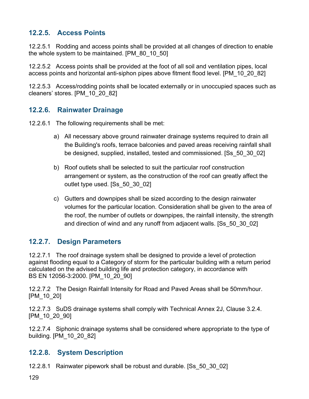#### **12.2.5. Access Points**

12.2.5.1 Rodding and access points shall be provided at all changes of direction to enable the whole system to be maintained. [PM\_80\_10\_50]

12.2.5.2 Access points shall be provided at the foot of all soil and ventilation pipes, local access points and horizontal anti-siphon pipes above fitment flood level. [PM\_10\_20\_82]

12.2.5.3 Access/rodding points shall be located externally or in unoccupied spaces such as cleaners' stores. [PM\_10\_20\_82]

#### **12.2.6. Rainwater Drainage**

12.2.6.1 The following requirements shall be met:

- a) All necessary above ground rainwater drainage systems required to drain all the Building's roofs, terrace balconies and paved areas receiving rainfall shall be designed, supplied, installed, tested and commissioned. [Ss\_50\_30\_02]
- b) Roof outlets shall be selected to suit the particular roof construction arrangement or system, as the construction of the roof can greatly affect the outlet type used. [Ss\_50\_30\_02]
- c) Gutters and downpipes shall be sized according to the design rainwater volumes for the particular location. Consideration shall be given to the area of the roof, the number of outlets or downpipes, the rainfall intensity, the strength and direction of wind and any runoff from adjacent walls. [Ss\_50\_30\_02]

## **12.2.7. Design Parameters**

12.2.7.1 The roof drainage system shall be designed to provide a level of protection against flooding equal to a Category of storm for the particular building with a return period calculated on the advised building life and protection category, in accordance with BS EN 12056-3:2000. [PM\_10\_20\_90]

12.2.7.2 The Design Rainfall Intensity for Road and Paved Areas shall be 50mm/hour. [PM\_10\_20]

12.2.7.3 SuDS drainage systems shall comply with Technical Annex 2J, Clause 3.2.4. [PM\_10\_20\_90]

12.2.7.4 Siphonic drainage systems shall be considered where appropriate to the type of building. [PM\_10\_20\_82]

## **12.2.8. System Description**

12.2.8.1 Rainwater pipework shall be robust and durable. [Ss\_50\_30\_02]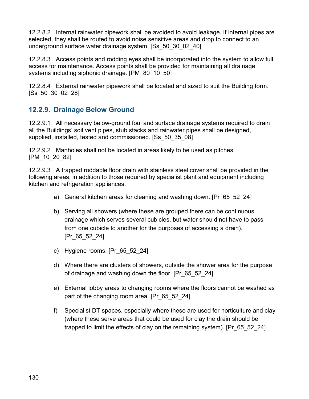12.2.8.2 Internal rainwater pipework shall be avoided to avoid leakage. If internal pipes are selected, they shall be routed to avoid noise sensitive areas and drop to connect to an underground surface water drainage system. [Ss\_50\_30\_02\_40]

12.2.8.3 Access points and rodding eyes shall be incorporated into the system to allow full access for maintenance. Access points shall be provided for maintaining all drainage systems including siphonic drainage. [PM\_80\_10\_50]

12.2.8.4 External rainwater pipework shall be located and sized to suit the Building form. [Ss\_50\_30\_02\_28]

## **12.2.9. Drainage Below Ground**

12.2.9.1 All necessary below-ground foul and surface drainage systems required to drain all the Buildings' soil vent pipes, stub stacks and rainwater pipes shall be designed, supplied, installed, tested and commissioned. [Ss\_50\_35\_08]

12.2.9.2 Manholes shall not be located in areas likely to be used as pitches. [PM\_10\_20\_82]

12.2.9.3 A trapped roddable floor drain with stainless steel cover shall be provided in the following areas, in addition to those required by specialist plant and equipment including kitchen and refrigeration appliances.

- a) General kitchen areas for cleaning and washing down. [Pr\_65\_52\_24]
- b) Serving all showers (where these are grouped there can be continuous drainage which serves several cubicles, but water should not have to pass from one cubicle to another for the purposes of accessing a drain). [Pr\_65\_52\_24]
- c) Hygiene rooms. [Pr\_65\_52\_24]
- d) Where there are clusters of showers, outside the shower area for the purpose of drainage and washing down the floor. [Pr\_65\_52\_24]
- e) External lobby areas to changing rooms where the floors cannot be washed as part of the changing room area. [Pr\_65\_52\_24]
- f) Specialist DT spaces, especially where these are used for horticulture and clay (where these serve areas that could be used for clay the drain should be trapped to limit the effects of clay on the remaining system). [Pr\_65\_52\_24]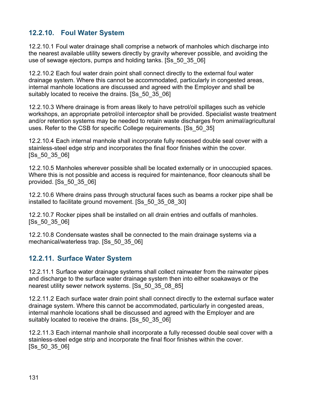## **12.2.10. Foul Water System**

12.2.10.1 Foul water drainage shall comprise a network of manholes which discharge into the nearest available utility sewers directly by gravity wherever possible, and avoiding the use of sewage ejectors, pumps and holding tanks. [Ss\_50\_35\_06]

12.2.10.2 Each foul water drain point shall connect directly to the external foul water drainage system. Where this cannot be accommodated, particularly in congested areas, internal manhole locations are discussed and agreed with the Employer and shall be suitably located to receive the drains. [Ss\_50\_35\_06]

12.2.10.3 Where drainage is from areas likely to have petrol/oil spillages such as vehicle workshops, an appropriate petrol/oil interceptor shall be provided. Specialist waste treatment and/or retention systems may be needed to retain waste discharges from animal/agricultural uses. Refer to the CSB for specific College requirements. [Ss\_50\_35]

12.2.10.4 Each internal manhole shall incorporate fully recessed double seal cover with a stainless-steel edge strip and incorporates the final floor finishes within the cover. [Ss\_50\_35\_06]

12.2.10.5 Manholes wherever possible shall be located externally or in unoccupied spaces. Where this is not possible and access is required for maintenance, floor cleanouts shall be provided. [Ss\_50\_35\_06]

12.2.10.6 Where drains pass through structural faces such as beams a rocker pipe shall be installed to facilitate ground movement. [Ss\_50\_35\_08\_30]

12.2.10.7 Rocker pipes shall be installed on all drain entries and outfalls of manholes. [Ss\_50\_35\_06]

12.2.10.8 Condensate wastes shall be connected to the main drainage systems via a mechanical/waterless trap. [Ss\_50\_35\_06]

## **12.2.11. Surface Water System**

12.2.11.1 Surface water drainage systems shall collect rainwater from the rainwater pipes and discharge to the surface water drainage system then into either soakaways or the nearest utility sewer network systems. [Ss\_50\_35\_08\_85]

12.2.11.2 Each surface water drain point shall connect directly to the external surface water drainage system. Where this cannot be accommodated, particularly in congested areas, internal manhole locations shall be discussed and agreed with the Employer and are suitably located to receive the drains. [Ss\_50\_35\_06]

12.2.11.3 Each internal manhole shall incorporate a fully recessed double seal cover with a stainless-steel edge strip and incorporate the final floor finishes within the cover. [Ss\_50\_35\_06]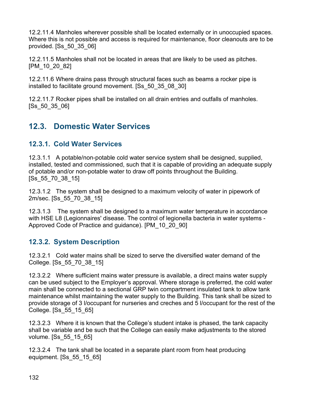12.2.11.4 Manholes wherever possible shall be located externally or in unoccupied spaces. Where this is not possible and access is required for maintenance, floor cleanouts are to be provided. [Ss\_50\_35\_06]

12.2.11.5 Manholes shall not be located in areas that are likely to be used as pitches. [PM\_10\_20\_82]

12.2.11.6 Where drains pass through structural faces such as beams a rocker pipe is installed to facilitate ground movement. [Ss\_50\_35\_08\_30]

12.2.11.7 Rocker pipes shall be installed on all drain entries and outfalls of manholes. [Ss\_50\_35\_06]

# **12.3. Domestic Water Services**

## **12.3.1. Cold Water Services**

12.3.1.1 A potable/non-potable cold water service system shall be designed, supplied, installed, tested and commissioned, such that it is capable of providing an adequate supply of potable and/or non-potable water to draw off points throughout the Building. [Ss\_55\_70\_38\_15]

12.3.1.2 The system shall be designed to a maximum velocity of water in pipework of 2m/sec. [Ss\_55\_70\_38\_15]

12.3.1.3 The system shall be designed to a maximum water temperature in accordance with HSE L8 (Legionnaires' disease. The control of legionella bacteria in water systems - Approved Code of Practice and guidance). [PM\_10\_20\_90]

## **12.3.2. System Description**

12.3.2.1 Cold water mains shall be sized to serve the diversified water demand of the College. [Ss\_55\_70\_38\_15]

12.3.2.2 Where sufficient mains water pressure is available, a direct mains water supply can be used subject to the Employer's approval. Where storage is preferred, the cold water main shall be connected to a sectional GRP twin compartment insulated tank to allow tank maintenance whilst maintaining the water supply to the Building. This tank shall be sized to provide storage of 3 l/occupant for nurseries and creches and 5 l/occupant for the rest of the College. [Ss\_55\_15\_65]

12.3.2.3 Where it is known that the College's student intake is phased, the tank capacity shall be variable and be such that the College can easily make adjustments to the stored volume. [Ss\_55\_15\_65]

12.3.2.4 The tank shall be located in a separate plant room from heat producing equipment. [Ss\_55\_15\_65]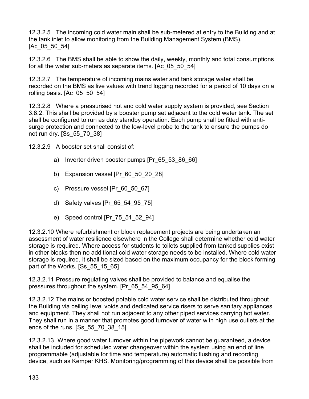12.3.2.5 The incoming cold water main shall be sub-metered at entry to the Building and at the tank inlet to allow monitoring from the Building Management System (BMS). [Ac\_05\_50\_54]

12.3.2.6 The BMS shall be able to show the daily, weekly, monthly and total consumptions for all the water sub-meters as separate items. [Ac\_05\_50\_54]

12.3.2.7 The temperature of incoming mains water and tank storage water shall be recorded on the BMS as live values with trend logging recorded for a period of 10 days on a rolling basis. [Ac\_05\_50\_54]

12.3.2.8 Where a pressurised hot and cold water supply system is provided, see Section 3.8.2. This shall be provided by a booster pump set adjacent to the cold water tank. The set shall be configured to run as duty standby operation. Each pump shall be fitted with antisurge protection and connected to the low-level probe to the tank to ensure the pumps do not run dry. [Ss\_55\_70\_38]

12.3.2.9 A booster set shall consist of:

- a) Inverter driven booster pumps [Pr\_65\_53\_86\_66]
- b) Expansion vessel [Pr\_60\_50\_20\_28]
- c) Pressure vessel [Pr\_60\_50\_67]
- d) Safety valves [Pr\_65\_54\_95\_75]
- e) Speed control [Pr\_75\_51\_52\_94]

12.3.2.10 Where refurbishment or block replacement projects are being undertaken an assessment of water resilience elsewhere in the College shall determine whether cold water storage is required. Where access for students to toilets supplied from tanked supplies exist in other blocks then no additional cold water storage needs to be installed. Where cold water storage is required, it shall be sized based on the maximum occupancy for the block forming part of the Works. [Ss\_55\_15\_65]

12.3.2.11 Pressure regulating valves shall be provided to balance and equalise the pressures throughout the system. [Pr\_65\_54\_95\_64]

12.3.2.12 The mains or boosted potable cold water service shall be distributed throughout the Building via ceiling level voids and dedicated service risers to serve sanitary appliances and equipment. They shall not run adjacent to any other piped services carrying hot water. They shall run in a manner that promotes good turnover of water with high use outlets at the ends of the runs. [Ss\_55\_70\_38\_15]

12.3.2.13 Where good water turnover within the pipework cannot be guaranteed, a device shall be included for scheduled water changeover within the system using an end of line programmable (adjustable for time and temperature) automatic flushing and recording device, such as Kemper KHS. Monitoring/programming of this device shall be possible from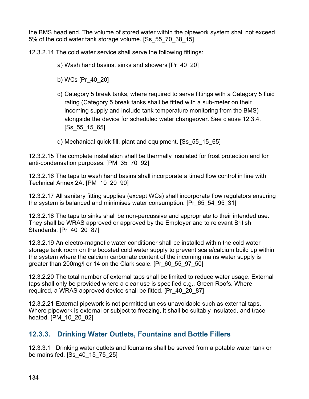the BMS head end. The volume of stored water within the pipework system shall not exceed 5% of the cold water tank storage volume. [Ss\_55\_70\_38\_15]

12.3.2.14 The cold water service shall serve the following fittings:

- a) Wash hand basins, sinks and showers [Pr\_40\_20]
- b) WCs [Pr\_40\_20]
- c) Category 5 break tanks, where required to serve fittings with a Category 5 fluid rating (Category 5 break tanks shall be fitted with a sub-meter on their incoming supply and include tank temperature monitoring from the BMS) alongside the device for scheduled water changeover. See clause 12.3.4. [Ss\_55\_15\_65]
- d) Mechanical quick fill, plant and equipment. [Ss\_55\_15\_65]

12.3.2.15 The complete installation shall be thermally insulated for frost protection and for anti-condensation purposes. [PM\_35\_70\_92]

12.3.2.16 The taps to wash hand basins shall incorporate a timed flow control in line with Technical Annex 2A. [PM\_10\_20\_90]

12.3.2.17 All sanitary fitting supplies (except WCs) shall incorporate flow regulators ensuring the system is balanced and minimises water consumption. [Pr\_65\_54\_95\_31]

12.3.2.18 The taps to sinks shall be non-percussive and appropriate to their intended use. They shall be WRAS approved or approved by the Employer and to relevant British Standards. [Pr\_40\_20\_87]

12.3.2.19 An electro-magnetic water conditioner shall be installed within the cold water storage tank room on the boosted cold water supply to prevent scale/calcium build up within the system where the calcium carbonate content of the incoming mains water supply is greater than 200mg/l or 14 on the Clark scale. [Pr\_60\_55\_97\_50]

12.3.2.20 The total number of external taps shall be limited to reduce water usage. External taps shall only be provided where a clear use is specified e.g., Green Roofs. Where required, a WRAS approved device shall be fitted. [Pr\_40\_20\_87]

12.3.2.21 External pipework is not permitted unless unavoidable such as external taps. Where pipework is external or subject to freezing, it shall be suitably insulated, and trace heated. [PM\_10\_20\_82]

## **12.3.3. Drinking Water Outlets, Fountains and Bottle Fillers**

12.3.3.1 Drinking water outlets and fountains shall be served from a potable water tank or be mains fed. [Ss\_40\_15\_75\_25]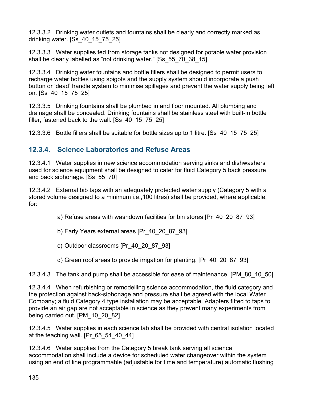12.3.3.2 Drinking water outlets and fountains shall be clearly and correctly marked as drinking water. [Ss\_40\_15\_75\_25]

12.3.3.3 Water supplies fed from storage tanks not designed for potable water provision shall be clearly labelled as "not drinking water." [Ss\_55\_70\_38\_15]

12.3.3.4 Drinking water fountains and bottle fillers shall be designed to permit users to recharge water bottles using spigots and the supply system should incorporate a push button or 'dead' handle system to minimise spillages and prevent the water supply being left on. [Ss\_40\_15\_75\_25]

12.3.3.5 Drinking fountains shall be plumbed in and floor mounted. All plumbing and drainage shall be concealed. Drinking fountains shall be stainless steel with built-in bottle filler, fastened back to the wall. [Ss\_40\_15\_75\_25]

12.3.3.6 Bottle fillers shall be suitable for bottle sizes up to 1 litre. [Ss\_40\_15\_75\_25]

## **12.3.4. Science Laboratories and Refuse Areas**

12.3.4.1 Water supplies in new science accommodation serving sinks and dishwashers used for science equipment shall be designed to cater for fluid Category 5 back pressure and back siphonage. [Ss\_55\_70]

12.3.4.2 External bib taps with an adequately protected water supply (Category 5 with a stored volume designed to a minimum i.e.,100 litres) shall be provided, where applicable, for:

a) Refuse areas with washdown facilities for bin stores [Pr\_40\_20\_87\_93]

- b) Early Years external areas [Pr\_40\_20\_87\_93]
- c) Outdoor classrooms [Pr\_40\_20\_87\_93]
- d) Green roof areas to provide irrigation for planting. [Pr\_40\_20\_87\_93]

12.3.4.3 The tank and pump shall be accessible for ease of maintenance. [PM\_80\_10\_50]

12.3.4.4 When refurbishing or remodelling science accommodation, the fluid category and the protection against back-siphonage and pressure shall be agreed with the local Water Company; a fluid Category 4 type installation may be acceptable. Adapters fitted to taps to provide an air gap are not acceptable in science as they prevent many experiments from being carried out. [PM\_10\_20\_82]

12.3.4.5 Water supplies in each science lab shall be provided with central isolation located at the teaching wall. [Pr 65 54 40 44]

12.3.4.6 Water supplies from the Category 5 break tank serving all science accommodation shall include a device for scheduled water changeover within the system using an end of line programmable (adjustable for time and temperature) automatic flushing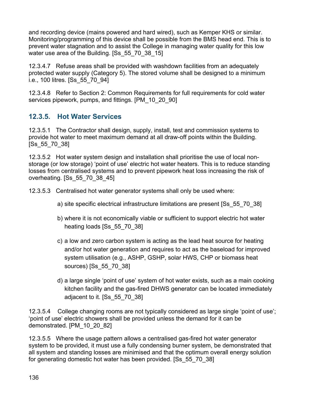and recording device (mains powered and hard wired), such as Kemper KHS or similar. Monitoring/programming of this device shall be possible from the BMS head end. This is to prevent water stagnation and to assist the College in managing water quality for this low water use area of the Building. [Ss 55 70 38 15]

12.3.4.7 Refuse areas shall be provided with washdown facilities from an adequately protected water supply (Category 5). The stored volume shall be designed to a minimum i.e., 100 litres. [Ss\_55\_70\_94]

12.3.4.8 Refer to Section 2: Common Requirements for full requirements for cold water services pipework, pumps, and fittings. [PM\_10\_20\_90]

## **12.3.5. Hot Water Services**

12.3.5.1 The Contractor shall design, supply, install, test and commission systems to provide hot water to meet maximum demand at all draw-off points within the Building. [Ss\_55\_70\_38]

12.3.5.2 Hot water system design and installation shall prioritise the use of local nonstorage (or low storage) 'point of use' electric hot water heaters. This is to reduce standing losses from centralised systems and to prevent pipework heat loss increasing the risk of overheating. [Ss\_55\_70\_38\_45]

12.3.5.3 Centralised hot water generator systems shall only be used where:

- a) site specific electrical infrastructure limitations are present [Ss\_55\_70\_38]
- b) where it is not economically viable or sufficient to support electric hot water heating loads [Ss 55 70 38]
- c) a low and zero carbon system is acting as the lead heat source for heating and/or hot water generation and requires to act as the baseload for improved system utilisation (e.g., ASHP, GSHP, solar HWS, CHP or biomass heat sources) [Ss\_55\_70\_38]
- d) a large single 'point of use' system of hot water exists, such as a main cooking kitchen facility and the gas-fired DHWS generator can be located immediately adjacent to it. [Ss\_55\_70\_38]

12.3.5.4 College changing rooms are not typically considered as large single 'point of use'; 'point of use' electric showers shall be provided unless the demand for it can be demonstrated. [PM\_10\_20\_82]

12.3.5.5 Where the usage pattern allows a centralised gas-fired hot water generator system to be provided, it must use a fully condensing burner system, be demonstrated that all system and standing losses are minimised and that the optimum overall energy solution for generating domestic hot water has been provided. [Ss\_55\_70\_38]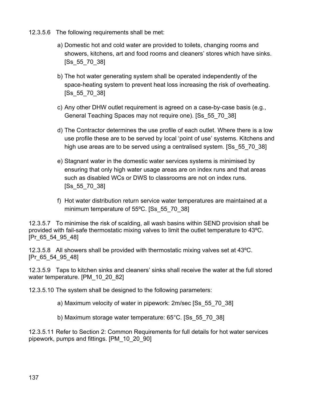- 12.3.5.6 The following requirements shall be met:
	- a) Domestic hot and cold water are provided to toilets, changing rooms and showers, kitchens, art and food rooms and cleaners' stores which have sinks. [Ss\_55\_70\_38]
	- b) The hot water generating system shall be operated independently of the space-heating system to prevent heat loss increasing the risk of overheating. [Ss\_55\_70\_38]
	- c) Any other DHW outlet requirement is agreed on a case-by-case basis (e.g., General Teaching Spaces may not require one). [Ss\_55\_70\_38]
	- d) The Contractor determines the use profile of each outlet. Where there is a low use profile these are to be served by local 'point of use' systems. Kitchens and high use areas are to be served using a centralised system. [Ss 55 70 38]
	- e) Stagnant water in the domestic water services systems is minimised by ensuring that only high water usage areas are on index runs and that areas such as disabled WCs or DWS to classrooms are not on index runs. [Ss\_55\_70\_38]
	- f) Hot water distribution return service water temperatures are maintained at a minimum temperature of 55ºC. [Ss\_55\_70\_38]

12.3.5.7 To minimise the risk of scalding, all wash basins within SEND provision shall be provided with fail-safe thermostatic mixing valves to limit the outlet temperature to 43ºC. [Pr\_65\_54\_95\_48]

12.3.5.8 All showers shall be provided with thermostatic mixing valves set at 43ºC. [Pr 65 54 95\_48]

12.3.5.9 Taps to kitchen sinks and cleaners' sinks shall receive the water at the full stored water temperature. [PM\_10\_20\_82]

12.3.5.10 The system shall be designed to the following parameters:

a) Maximum velocity of water in pipework: 2m/sec [Ss\_55\_70\_38]

b) Maximum storage water temperature: 65°C. [Ss\_55\_70\_38]

12.3.5.11 Refer to Section 2: Common Requirements for full details for hot water services pipework, pumps and fittings. [PM\_10\_20\_90]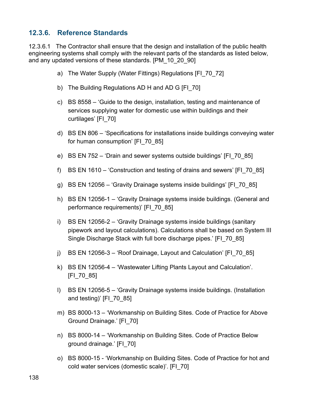#### **12.3.6. Reference Standards**

12.3.6.1 The Contractor shall ensure that the design and installation of the public health engineering systems shall comply with the relevant parts of the standards as listed below, and any updated versions of these standards. [PM\_10\_20\_90]

- a) The Water Supply (Water Fittings) Regulations [FI\_70\_72]
- b) The Building Regulations AD H and AD G [FI\_70]
- c) BS 8558 'Guide to the design, installation, testing and maintenance of services supplying water for domestic use within buildings and their curtilages' [FI\_70]
- d) BS EN 806 'Specifications for installations inside buildings conveying water for human consumption' [FI\_70\_85]
- e) BS EN 752 'Drain and sewer systems outside buildings' [FI\_70\_85]
- f) BS EN 1610 'Construction and testing of drains and sewers' [FI\_70\_85]
- g) BS EN 12056 'Gravity Drainage systems inside buildings' [FI\_70\_85]
- h) BS EN 12056-1 'Gravity Drainage systems inside buildings. (General and performance requirements)' [FI\_70\_85]
- i) BS EN 12056-2 'Gravity Drainage systems inside buildings (sanitary pipework and layout calculations). Calculations shall be based on System III Single Discharge Stack with full bore discharge pipes.' [FI\_70\_85]
- j) BS EN 12056-3 'Roof Drainage, Layout and Calculation' [FI\_70\_85]
- k) BS EN 12056-4 'Wastewater Lifting Plants Layout and Calculation'. [FI\_70\_85]
- l) BS EN 12056-5 'Gravity Drainage systems inside buildings. (Installation and testing)' [FI\_70\_85]
- m) BS 8000-13 'Workmanship on Building Sites. Code of Practice for Above Ground Drainage.' [FI\_70]
- n) BS 8000-14 'Workmanship on Building Sites. Code of Practice Below ground drainage.' [FI\_70]
- o) BS 8000-15 'Workmanship on Building Sites. Code of Practice for hot and cold water services (domestic scale)'. [FI\_70]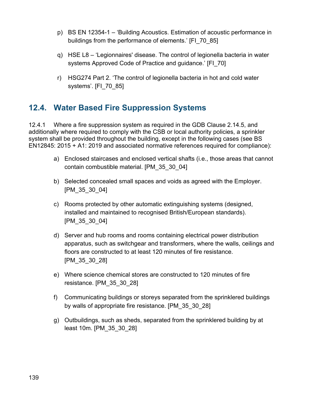- p) BS EN 12354-1 'Building Acoustics. Estimation of acoustic performance in buildings from the performance of elements.' [FI\_70\_85]
- q) HSE L8 'Legionnaires' disease. The control of legionella bacteria in water systems Approved Code of Practice and guidance.' [FI\_70]
- r) HSG274 Part 2. 'The control of legionella bacteria in hot and cold water systems'. [FI\_70\_85]

## **12.4. Water Based Fire Suppression Systems**

12.4.1 Where a fire suppression system as required in the GDB Clause 2.14.5, and additionally where required to comply with the CSB or local authority policies, a sprinkler system shall be provided throughout the building, except in the following cases (see BS EN12845: 2015 + A1: 2019 and associated normative references required for compliance):

- a) Enclosed staircases and enclosed vertical shafts (i.e., those areas that cannot contain combustible material. [PM\_35\_30\_04]
- b) Selected concealed small spaces and voids as agreed with the Employer. [PM\_35\_30\_04]
- c) Rooms protected by other automatic extinguishing systems (designed, installed and maintained to recognised British/European standards). [PM\_35\_30\_04]
- d) Server and hub rooms and rooms containing electrical power distribution apparatus, such as switchgear and transformers, where the walls, ceilings and floors are constructed to at least 120 minutes of fire resistance. [PM\_35\_30\_28]
- e) Where science chemical stores are constructed to 120 minutes of fire resistance. [PM\_35\_30\_28]
- f) Communicating buildings or storeys separated from the sprinklered buildings by walls of appropriate fire resistance. [PM\_35\_30\_28]
- g) Outbuildings, such as sheds, separated from the sprinklered building by at least 10m. [PM\_35\_30\_28]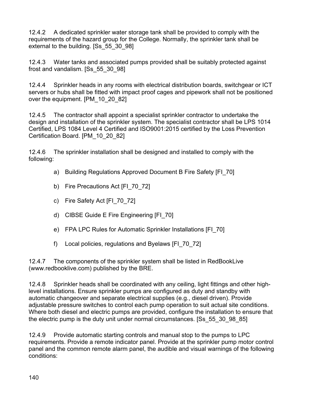12.4.2 A dedicated sprinkler water storage tank shall be provided to comply with the requirements of the hazard group for the College. Normally, the sprinkler tank shall be external to the building. [Ss\_55\_30\_98]

12.4.3 Water tanks and associated pumps provided shall be suitably protected against frost and vandalism. [Ss\_55\_30\_98]

12.4.4 Sprinkler heads in any rooms with electrical distribution boards, switchgear or ICT servers or hubs shall be fitted with impact proof cages and pipework shall not be positioned over the equipment. [PM\_10\_20\_82]

12.4.5 The contractor shall appoint a specialist sprinkler contractor to undertake the design and installation of the sprinkler system. The specialist contractor shall be LPS 1014 Certified, LPS 1084 Level 4 Certified and ISO9001:2015 certified by the Loss Prevention Certification Board. [PM\_10\_20\_82]

12.4.6 The sprinkler installation shall be designed and installed to comply with the following:

- a) Building Regulations Approved Document B Fire Safety [FI\_70]
- b) Fire Precautions Act [FI\_70\_72]
- c) Fire Safety Act [FI\_70\_72]
- d) CIBSE Guide E Fire Engineering [FI\_70]
- e) FPA LPC Rules for Automatic Sprinkler Installations [FI\_70]
- f) Local policies, regulations and Byelaws [FI\_70\_72]

12.4.7 The components of the sprinkler system shall be listed in RedBookLive (www.redbooklive.com) published by the BRE.

12.4.8 Sprinkler heads shall be coordinated with any ceiling, light fittings and other highlevel installations. Ensure sprinkler pumps are configured as duty and standby with automatic changeover and separate electrical supplies (e.g., diesel driven). Provide adjustable pressure switches to control each pump operation to suit actual site conditions. Where both diesel and electric pumps are provided, configure the installation to ensure that the electric pump is the duty unit under normal circumstances. [Ss\_55\_30\_98\_85]

12.4.9 Provide automatic starting controls and manual stop to the pumps to LPC requirements. Provide a remote indicator panel. Provide at the sprinkler pump motor control panel and the common remote alarm panel, the audible and visual warnings of the following conditions: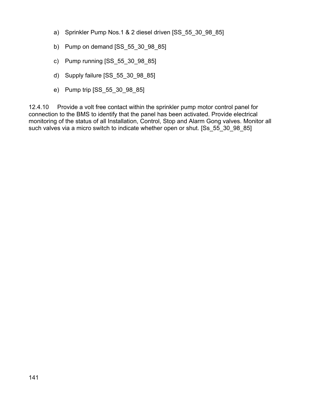- a) Sprinkler Pump Nos.1 & 2 diesel driven [SS\_55\_30\_98\_85]
- b) Pump on demand [SS\_55\_30\_98\_85]
- c) Pump running [SS\_55\_30\_98\_85]
- d) Supply failure [SS\_55\_30\_98\_85]
- e) Pump trip [SS\_55\_30\_98\_85]

12.4.10 Provide a volt free contact within the sprinkler pump motor control panel for connection to the BMS to identify that the panel has been activated. Provide electrical monitoring of the status of all Installation, Control, Stop and Alarm Gong valves. Monitor all such valves via a micro switch to indicate whether open or shut. [Ss 55 30 98 85]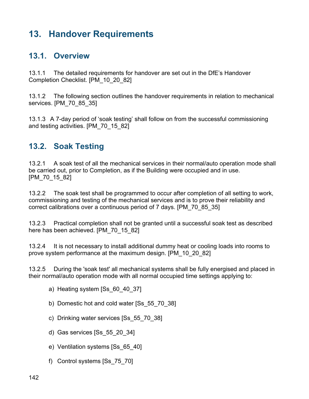# **13. Handover Requirements**

## **13.1. Overview**

13.1.1 The detailed requirements for handover are set out in the DfE's Handover Completion Checklist. [PM\_10\_20\_82]

13.1.2 The following section outlines the handover requirements in relation to mechanical services. [PM\_70\_85\_35]

13.1.3 A 7-day period of 'soak testing' shall follow on from the successful commissioning and testing activities. [PM\_70\_15\_82]

## **13.2. Soak Testing**

13.2.1 A soak test of all the mechanical services in their normal/auto operation mode shall be carried out, prior to Completion, as if the Building were occupied and in use. [PM\_70\_15\_82]

13.2.2 The soak test shall be programmed to occur after completion of all setting to work, commissioning and testing of the mechanical services and is to prove their reliability and correct calibrations over a continuous period of 7 days. [PM\_70\_85\_35]

13.2.3 Practical completion shall not be granted until a successful soak test as described here has been achieved. [PM\_70\_15\_82]

13.2.4 It is not necessary to install additional dummy heat or cooling loads into rooms to prove system performance at the maximum design. [PM\_10\_20\_82]

13.2.5 During the 'soak test' all mechanical systems shall be fully energised and placed in their normal/auto operation mode with all normal occupied time settings applying to:

- a) Heating system [Ss\_60\_40\_37]
- b) Domestic hot and cold water [Ss\_55\_70\_38]
- c) Drinking water services [Ss\_55\_70\_38]
- d) Gas services [Ss\_55\_20\_34]
- e) Ventilation systems [Ss\_65\_40]
- f) Control systems [Ss\_75\_70]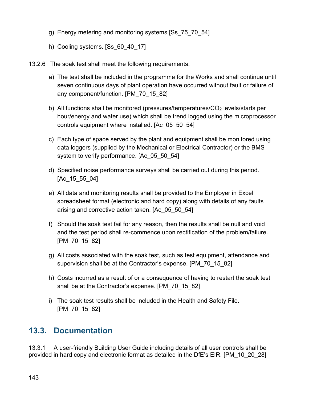- g) Energy metering and monitoring systems [Ss\_75\_70\_54]
- h) Cooling systems. [Ss\_60\_40\_17]
- 13.2.6 The soak test shall meet the following requirements.
	- a) The test shall be included in the programme for the Works and shall continue until seven continuous days of plant operation have occurred without fault or failure of any component/function. [PM\_70\_15\_82]
	- b) All functions shall be monitored (pressures/temperatures/ $CO<sub>2</sub>$  levels/starts per hour/energy and water use) which shall be trend logged using the microprocessor controls equipment where installed. [Ac\_05\_50\_54]
	- c) Each type of space served by the plant and equipment shall be monitored using data loggers (supplied by the Mechanical or Electrical Contractor) or the BMS system to verify performance. [Ac\_05\_50\_54]
	- d) Specified noise performance surveys shall be carried out during this period. [Ac\_15\_55\_04]
	- e) All data and monitoring results shall be provided to the Employer in Excel spreadsheet format (electronic and hard copy) along with details of any faults arising and corrective action taken. [Ac\_05\_50\_54]
	- f) Should the soak test fail for any reason, then the results shall be null and void and the test period shall re-commence upon rectification of the problem/failure. [PM\_70\_15\_82]
	- g) All costs associated with the soak test, such as test equipment, attendance and supervision shall be at the Contractor's expense. [PM\_70\_15\_82]
	- h) Costs incurred as a result of or a consequence of having to restart the soak test shall be at the Contractor's expense. [PM\_70\_15\_82]
	- i) The soak test results shall be included in the Health and Safety File. [PM 70 15 82]

# **13.3. Documentation**

13.3.1 A user-friendly Building User Guide including details of all user controls shall be provided in hard copy and electronic format as detailed in the DfE's EIR. [PM\_10\_20\_28]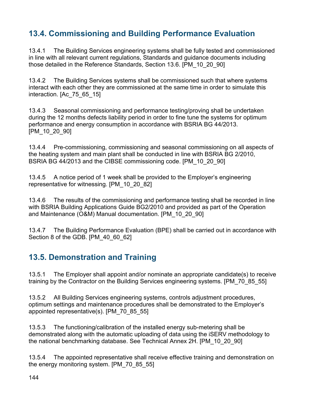# **13.4. Commissioning and Building Performance Evaluation**

13.4.1 The Building Services engineering systems shall be fully tested and commissioned in line with all relevant current regulations, Standards and guidance documents including those detailed in the Reference Standards, Section 13.6. [PM\_10\_20\_90]

13.4.2 The Building Services systems shall be commissioned such that where systems interact with each other they are commissioned at the same time in order to simulate this interaction. [Ac 75 65 15]

13.4.3 Seasonal commissioning and performance testing/proving shall be undertaken during the 12 months defects liability period in order to fine tune the systems for optimum performance and energy consumption in accordance with BSRIA BG 44/2013. [PM\_10\_20\_90]

13.4.4 Pre-commissioning, commissioning and seasonal commissioning on all aspects of the heating system and main plant shall be conducted in line with BSRIA BG 2/2010, BSRIA BG 44/2013 and the CIBSE commissioning code. [PM\_10\_20\_90]

13.4.5 A notice period of 1 week shall be provided to the Employer's engineering representative for witnessing. [PM\_10\_20\_82]

13.4.6 The results of the commissioning and performance testing shall be recorded in line with BSRIA Building Applications Guide BG2/2010 and provided as part of the Operation and Maintenance (O&M) Manual documentation. [PM\_10\_20\_90]

13.4.7 The Building Performance Evaluation (BPE) shall be carried out in accordance with Section 8 of the GDB. [PM 40 60 62]

# **13.5. Demonstration and Training**

13.5.1 The Employer shall appoint and/or nominate an appropriate candidate(s) to receive training by the Contractor on the Building Services engineering systems. [PM\_70\_85\_55]

13.5.2 All Building Services engineering systems, controls adjustment procedures, optimum settings and maintenance procedures shall be demonstrated to the Employer's appointed representative(s). [PM\_70\_85\_55]

13.5.3 The functioning/calibration of the installed energy sub-metering shall be demonstrated along with the automatic uploading of data using the iSERV methodology to the national benchmarking database. See Technical Annex 2H. [PM\_10\_20\_90]

13.5.4 The appointed representative shall receive effective training and demonstration on the energy monitoring system. [PM\_70\_85\_55]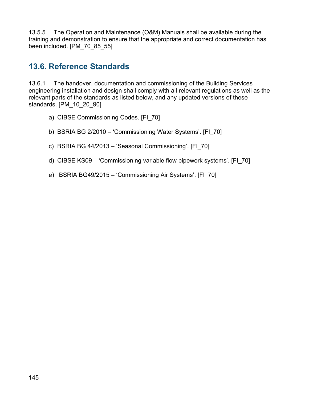13.5.5 The Operation and Maintenance (O&M) Manuals shall be available during the training and demonstration to ensure that the appropriate and correct documentation has been included. [PM\_70\_85\_55]

## **13.6. Reference Standards**

13.6.1 The handover, documentation and commissioning of the Building Services engineering installation and design shall comply with all relevant regulations as well as the relevant parts of the standards as listed below, and any updated versions of these standards. [PM\_10\_20\_90]

- a) CIBSE Commissioning Codes. [FI\_70]
- b) BSRIA BG 2/2010 'Commissioning Water Systems'. [FI\_70]
- c) BSRIA BG 44/2013 'Seasonal Commissioning'. [FI\_70]
- d) CIBSE KS09 'Commissioning variable flow pipework systems'. [FI\_70]
- e) BSRIA BG49/2015 'Commissioning Air Systems'. [FI\_70]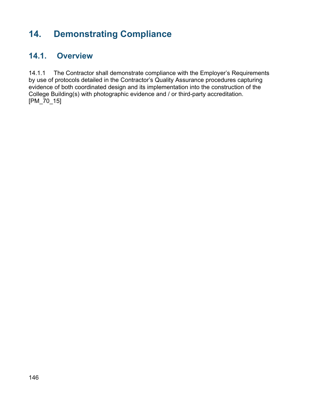## **14. Demonstrating Compliance**

## **14.1. Overview**

14.1.1 The Contractor shall demonstrate compliance with the Employer's Requirements by use of protocols detailed in the Contractor's Quality Assurance procedures capturing evidence of both coordinated design and its implementation into the construction of the College Building(s) with photographic evidence and / or third-party accreditation. [PM\_70\_15]